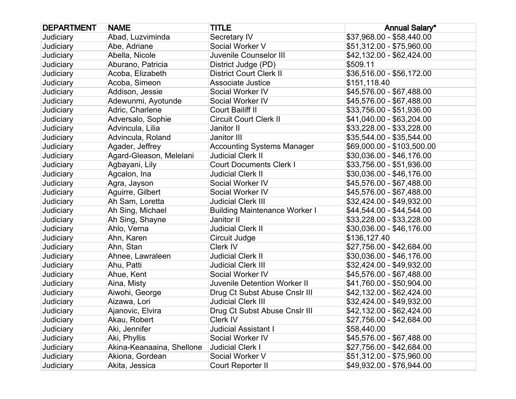| <b>DEPARTMENT</b> | <b>NAME</b>               | <b>TITLE</b>                         | <b>Annual Salary*</b>      |
|-------------------|---------------------------|--------------------------------------|----------------------------|
| Judiciary         | Abad, Luzviminda          | Secretary IV                         | \$37,968.00 - \$58,440.00  |
| Judiciary         | Abe, Adriane              | Social Worker V                      | \$51,312.00 - \$75,960.00  |
| Judiciary         | Abella, Nicole            | Juvenile Counselor III               | \$42,132.00 - \$62,424.00  |
| Judiciary         | Aburano, Patricia         | District Judge (PD)                  | \$509.11                   |
| <b>Judiciary</b>  | Acoba, Elizabeth          | <b>District Court Clerk II</b>       | \$36,516.00 - \$56,172.00  |
| Judiciary         | Acoba, Simeon             | <b>Associate Justice</b>             | \$151,118.40               |
| Judiciary         | Addison, Jessie           | Social Worker IV                     | \$45,576.00 - \$67,488.00  |
| Judiciary         | Adewunmi, Ayotunde        | Social Worker IV                     | \$45,576.00 - \$67,488.00  |
| Judiciary         | Adric, Charlene           | Court Bailiff II                     | \$33,756.00 - \$51,936.00  |
| Judiciary         | Adversalo, Sophie         | <b>Circuit Court Clerk II</b>        | \$41,040.00 - \$63,204.00  |
| Judiciary         | Advincula, Lilia          | Janitor II                           | \$33,228.00 - \$33,228.00  |
| Judiciary         | Advincula, Roland         | Janitor III                          | \$35,544.00 - \$35,544.00  |
| Judiciary         | Agader, Jeffrey           | <b>Accounting Systems Manager</b>    | \$69,000.00 - \$103,500.00 |
| Judiciary         | Agard-Gleason, Melelani   | <b>Judicial Clerk II</b>             | \$30,036.00 - \$46,176.00  |
| Judiciary         | Agbayani, Lily            | <b>Court Documents Clerk I</b>       | \$33,756.00 - \$51,936.00  |
| Judiciary         | Agcalon, Ina              | <b>Judicial Clerk II</b>             | \$30,036.00 - \$46,176.00  |
| Judiciary         | Agra, Jayson              | Social Worker IV                     | \$45,576.00 - \$67,488.00  |
| Judiciary         | Aguirre, Gilbert          | Social Worker IV                     | \$45,576.00 - \$67,488.00  |
| Judiciary         | Ah Sam, Loretta           | <b>Judicial Clerk III</b>            | \$32,424.00 - \$49,932.00  |
| Judiciary         | Ah Sing, Michael          | <b>Building Maintenance Worker I</b> | \$44,544.00 - \$44,544.00  |
| Judiciary         | Ah Sing, Shayne           | Janitor II                           | \$33,228.00 - \$33,228.00  |
| Judiciary         | Ahlo, Verna               | <b>Judicial Clerk II</b>             | \$30,036.00 - \$46,176.00  |
| <b>Judiciary</b>  | Ahn, Karen                | Circuit Judge                        | \$136,127.40               |
| Judiciary         | Ahn, Stan                 | Clerk IV                             | \$27,756.00 - \$42,684.00  |
| Judiciary         | Ahnee, Lawraleen          | <b>Judicial Clerk II</b>             | \$30,036.00 - \$46,176.00  |
| Judiciary         | Ahu, Patti                | <b>Judicial Clerk III</b>            | \$32,424.00 - \$49,932.00  |
| Judiciary         | Ahue, Kent                | Social Worker IV                     | \$45,576.00 - \$67,488.00  |
| Judiciary         | Aina, Misty               | Juvenile Detention Worker II         | \$41,760.00 - \$50,904.00  |
| Judiciary         | Aiwohi, George            | Drug Ct Subst Abuse Cnslr III        | \$42,132.00 - \$62,424.00  |
| Judiciary         | Aizawa, Lori              | <b>Judicial Clerk III</b>            | \$32,424.00 - \$49,932.00  |
| Judiciary         | Ajanovic, Elvira          | Drug Ct Subst Abuse Cnslr III        | \$42,132.00 - \$62,424.00  |
| Judiciary         | Akau, Robert              | Clerk IV                             | \$27,756.00 - \$42,684.00  |
| Judiciary         | Aki, Jennifer             | <b>Judicial Assistant I</b>          | \$58,440.00                |
| Judiciary         | Aki, Phyllis              | Social Worker IV                     | \$45,576.00 - \$67,488.00  |
| Judiciary         | Akina-Keanaaina, Shellone | <b>Judicial Clerk I</b>              | \$27,756.00 - \$42,684.00  |
| Judiciary         | Akiona, Gordean           | Social Worker V                      | \$51,312.00 - \$75,960.00  |
| Judiciary         | Akita, Jessica            | Court Reporter II                    | \$49,932.00 - \$76,944.00  |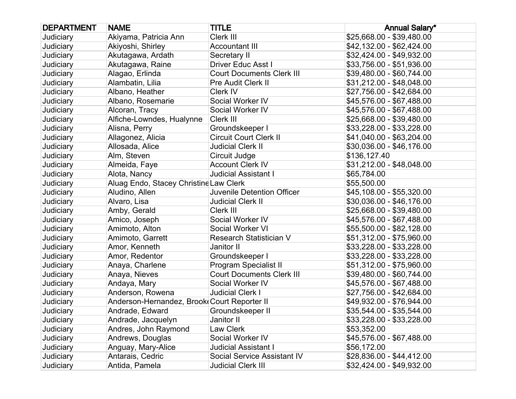| <b>DEPARTMENT</b> | <b>NAME</b>                                 | <b>TITLE</b>                     | <b>Annual Salary*</b>     |
|-------------------|---------------------------------------------|----------------------------------|---------------------------|
| Judiciary         | Akiyama, Patricia Ann                       | Clerk III                        | \$25,668.00 - \$39,480.00 |
| Judiciary         | Akiyoshi, Shirley                           | <b>Accountant III</b>            | \$42,132.00 - \$62,424.00 |
| Judiciary         | Akutagawa, Ardath                           | Secretary II                     | \$32,424.00 - \$49,932.00 |
| Judiciary         | Akutagawa, Raine                            | <b>Driver Educ Asst I</b>        | \$33,756.00 - \$51,936.00 |
| Judiciary         | Alagao, Erlinda                             | <b>Court Documents Clerk III</b> | \$39,480.00 - \$60,744.00 |
| Judiciary         | Alambatin, Lilia                            | Pre Audit Clerk II               | \$31,212.00 - \$48,048.00 |
| Judiciary         | Albano, Heather                             | Clerk IV                         | \$27,756.00 - \$42,684.00 |
| Judiciary         | Albano, Rosemarie                           | Social Worker IV                 | \$45,576.00 - \$67,488.00 |
| Judiciary         | Alcoran, Tracy                              | Social Worker IV                 | \$45,576.00 - \$67,488.00 |
| Judiciary         | Alfiche-Lowndes, Hualynne                   | Clerk III                        | \$25,668.00 - \$39,480.00 |
| Judiciary         | Alisna, Perry                               | Groundskeeper I                  | \$33,228.00 - \$33,228.00 |
| Judiciary         | Allagonez, Alicia                           | <b>Circuit Court Clerk II</b>    | \$41,040.00 - \$63,204.00 |
| Judiciary         | Allosada, Alice                             | <b>Judicial Clerk II</b>         | \$30,036.00 - \$46,176.00 |
| Judiciary         | Alm, Steven                                 | Circuit Judge                    | \$136,127.40              |
| Judiciary         | Almeida, Faye                               | <b>Account Clerk IV</b>          | \$31,212.00 - \$48,048.00 |
| Judiciary         | Alota, Nancy                                | <b>Judicial Assistant I</b>      | \$65,784.00               |
| Judiciary         | Aluag Endo, Stacey Christine Law Clerk      |                                  | \$55,500.00               |
| Judiciary         | Aludino, Allen                              | Juvenile Detention Officer       | \$45,108.00 - \$55,320.00 |
| Judiciary         | Alvaro, Lisa                                | <b>Judicial Clerk II</b>         | \$30,036.00 - \$46,176.00 |
| Judiciary         | Amby, Gerald                                | Clerk III                        | \$25,668.00 - \$39,480.00 |
| Judiciary         | Amico, Joseph                               | Social Worker IV                 | \$45,576.00 - \$67,488.00 |
| Judiciary         | Amimoto, Alton                              | Social Worker VI                 | \$55,500.00 - \$82,128.00 |
| Judiciary         | Amimoto, Garrett                            | Research Statistician V          | \$51,312.00 - \$75,960.00 |
| Judiciary         | Amor, Kenneth                               | Janitor II                       | \$33,228.00 - \$33,228.00 |
| Judiciary         | Amor, Redentor                              | Groundskeeper I                  | \$33,228.00 - \$33,228.00 |
| Judiciary         | Anaya, Charlene                             | Program Specialist II            | \$51,312.00 - \$75,960.00 |
| Judiciary         | Anaya, Nieves                               | <b>Court Documents Clerk III</b> | \$39,480.00 - \$60,744.00 |
| Judiciary         | Andaya, Mary                                | Social Worker IV                 | \$45,576.00 - \$67,488.00 |
| Judiciary         | Anderson, Rowena                            | <b>Judicial Clerk I</b>          | \$27,756.00 - \$42,684.00 |
| Judiciary         | Anderson-Hernandez, Brook Court Reporter II |                                  | \$49,932.00 - \$76,944.00 |
| Judiciary         | Andrade, Edward                             | Groundskeeper II                 | \$35,544.00 - \$35,544.00 |
| Judiciary         | Andrade, Jacquelyn                          | Janitor II                       | \$33,228.00 - \$33,228.00 |
| Judiciary         | Andres, John Raymond                        | Law Clerk                        | \$53,352.00               |
| Judiciary         | Andrews, Douglas                            | Social Worker IV                 | \$45,576.00 - \$67,488.00 |
| Judiciary         | Anguay, Mary-Alice                          | <b>Judicial Assistant I</b>      | \$56,172.00               |
| Judiciary         | Antarais, Cedric                            | Social Service Assistant IV      | \$28,836.00 - \$44,412.00 |
| Judiciary         | Antida, Pamela                              | <b>Judicial Clerk III</b>        | \$32,424.00 - \$49,932.00 |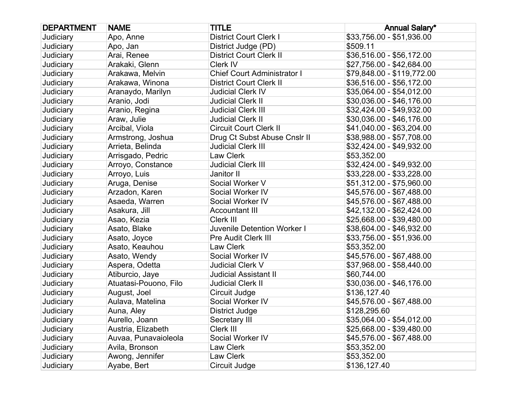| <b>DEPARTMENT</b> | <b>NAME</b>           | <b>TITLE</b>                       | <b>Annual Salary*</b>      |
|-------------------|-----------------------|------------------------------------|----------------------------|
| Judiciary         | Apo, Anne             | <b>District Court Clerk I</b>      | \$33,756.00 - \$51,936.00  |
| Judiciary         | Apo, Jan              | District Judge (PD)                | \$509.11                   |
| Judiciary         | Arai, Renee           | <b>District Court Clerk II</b>     | \$36,516.00 - \$56,172.00  |
| Judiciary         | Arakaki, Glenn        | Clerk IV                           | \$27,756.00 - \$42,684.00  |
| Judiciary         | Arakawa, Melvin       | <b>Chief Court Administrator I</b> | \$79,848.00 - \$119,772.00 |
| Judiciary         | Arakawa, Winona       | <b>District Court Clerk II</b>     | \$36,516.00 - \$56,172.00  |
| Judiciary         | Aranaydo, Marilyn     | <b>Judicial Clerk IV</b>           | \$35,064.00 - \$54,012.00  |
| Judiciary         | Aranio, Jodi          | <b>Judicial Clerk II</b>           | \$30,036.00 - \$46,176.00  |
| Judiciary         | Aranio, Regina        | <b>Judicial Clerk III</b>          | \$32,424.00 - \$49,932.00  |
| Judiciary         | Araw, Julie           | <b>Judicial Clerk II</b>           | \$30,036.00 - \$46,176.00  |
| Judiciary         | Arcibal, Viola        | <b>Circuit Court Clerk II</b>      | \$41,040.00 - \$63,204.00  |
| Judiciary         | Armstrong, Joshua     | Drug Ct Subst Abuse Cnslr II       | \$38,988.00 - \$57,708.00  |
| Judiciary         | Arrieta, Belinda      | <b>Judicial Clerk III</b>          | \$32,424.00 - \$49,932.00  |
| Judiciary         | Arrisgado, Pedric     | Law Clerk                          | \$53,352.00                |
| Judiciary         | Arroyo, Constance     | <b>Judicial Clerk III</b>          | \$32,424.00 - \$49,932.00  |
| Judiciary         | Arroyo, Luis          | Janitor II                         | \$33,228.00 - \$33,228.00  |
| Judiciary         | Aruga, Denise         | Social Worker V                    | \$51,312.00 - \$75,960.00  |
| Judiciary         | Arzadon, Karen        | Social Worker IV                   | \$45,576.00 - \$67,488.00  |
| Judiciary         | Asaeda, Warren        | Social Worker IV                   | \$45,576.00 - \$67,488.00  |
| Judiciary         | Asakura, Jill         | <b>Accountant III</b>              | \$42,132.00 - \$62,424.00  |
| Judiciary         | Asao, Kezia           | Clerk III                          | \$25,668.00 - \$39,480.00  |
| Judiciary         | Asato, Blake          | Juvenile Detention Worker I        | \$38,604.00 - \$46,932.00  |
| Judiciary         | Asato, Joyce          | <b>Pre Audit Clerk III</b>         | \$33,756.00 - \$51,936.00  |
| Judiciary         | Asato, Keauhou        | Law Clerk                          | \$53,352.00                |
| Judiciary         | Asato, Wendy          | Social Worker IV                   | \$45,576.00 - \$67,488.00  |
| Judiciary         | Aspera, Odetta        | <b>Judicial Clerk V</b>            | \$37,968.00 - \$58,440.00  |
| Judiciary         | Atiburcio, Jaye       | <b>Judicial Assistant II</b>       | \$60,744.00                |
| Judiciary         | Atuatasi-Pouono, Filo | <b>Judicial Clerk II</b>           | \$30,036.00 - \$46,176.00  |
| Judiciary         | August, Joel          | Circuit Judge                      | \$136,127.40               |
| Judiciary         | Aulava, Matelina      | Social Worker IV                   | \$45,576.00 - \$67,488.00  |
| Judiciary         | Auna, Aley            | District Judge                     | \$128,295.60               |
| Judiciary         | Aurello, Joann        | Secretary III                      | \$35,064.00 - \$54,012.00  |
| Judiciary         | Austria, Elizabeth    | Clerk III                          | \$25,668.00 - \$39,480.00  |
| Judiciary         | Auvaa, Punavaioleola  | Social Worker IV                   | \$45,576.00 - \$67,488.00  |
| Judiciary         | Avila, Bronson        | Law Clerk                          | \$53,352.00                |
| Judiciary         | Awong, Jennifer       | Law Clerk                          | \$53,352.00                |
| Judiciary         | Ayabe, Bert           | Circuit Judge                      | \$136,127.40               |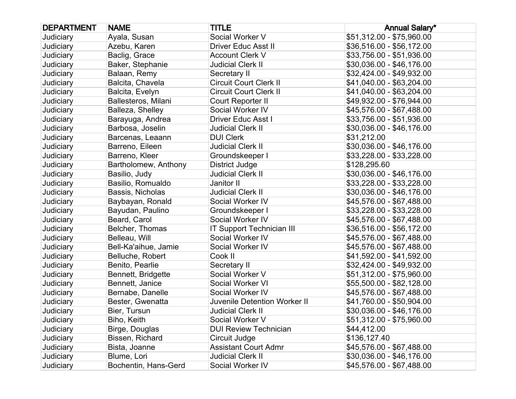| <b>DEPARTMENT</b> | <b>NAME</b>          | <b>TITLE</b>                        | <b>Annual Salary*</b>     |
|-------------------|----------------------|-------------------------------------|---------------------------|
| Judiciary         | Ayala, Susan         | Social Worker V                     | \$51,312.00 - \$75,960.00 |
| Judiciary         | Azebu, Karen         | <b>Driver Educ Asst II</b>          | \$36,516.00 - \$56,172.00 |
| Judiciary         | Baclig, Grace        | <b>Account Clerk V</b>              | \$33,756.00 - \$51,936.00 |
| Judiciary         | Baker, Stephanie     | <b>Judicial Clerk II</b>            | \$30,036.00 - \$46,176.00 |
| Judiciary         | Balaan, Remy         | Secretary II                        | \$32,424.00 - \$49,932.00 |
| Judiciary         | Balcita, Chavela     | <b>Circuit Court Clerk II</b>       | \$41,040.00 - \$63,204.00 |
| Judiciary         | Balcita, Evelyn      | <b>Circuit Court Clerk II</b>       | \$41,040.00 - \$63,204.00 |
| Judiciary         | Ballesteros, Milani  | Court Reporter II                   | \$49,932.00 - \$76,944.00 |
| Judiciary         | Balleza, Shelley     | Social Worker IV                    | \$45,576.00 - \$67,488.00 |
| Judiciary         | Barayuga, Andrea     | Driver Educ Asst I                  | \$33,756.00 - \$51,936.00 |
| Judiciary         | Barbosa, Joselin     | <b>Judicial Clerk II</b>            | \$30,036.00 - \$46,176.00 |
| Judiciary         | Barcenas, Leaann     | <b>DUI Clerk</b>                    | \$31,212.00               |
| Judiciary         | Barreno, Eileen      | <b>Judicial Clerk II</b>            | \$30,036.00 - \$46,176.00 |
| Judiciary         | Barreno, Kleer       | Groundskeeper I                     | \$33,228.00 - \$33,228.00 |
| Judiciary         | Bartholomew, Anthony | <b>District Judge</b>               | \$128,295.60              |
| Judiciary         | Basilio, Judy        | <b>Judicial Clerk II</b>            | \$30,036.00 - \$46,176.00 |
| Judiciary         | Basilio, Romualdo    | Janitor II                          | \$33,228.00 - \$33,228.00 |
| Judiciary         | Bassis, Nicholas     | <b>Judicial Clerk II</b>            | \$30,036.00 - \$46,176.00 |
| Judiciary         | Baybayan, Ronald     | Social Worker IV                    | \$45,576.00 - \$67,488.00 |
| Judiciary         | Bayudan, Paulino     | Groundskeeper I                     | \$33,228.00 - \$33,228.00 |
| Judiciary         | Beard, Carol         | Social Worker IV                    | \$45,576.00 - \$67,488.00 |
| Judiciary         | Belcher, Thomas      | <b>IT Support Technician III</b>    | \$36,516.00 - \$56,172.00 |
| Judiciary         | Belleau, Will        | Social Worker IV                    | \$45,576.00 - \$67,488.00 |
| Judiciary         | Bell-Ka'aihue, Jamie | Social Worker IV                    | \$45,576.00 - \$67,488.00 |
| Judiciary         | Belluche, Robert     | Cook II                             | \$41,592.00 - \$41,592.00 |
| Judiciary         | Benito, Pearlie      | Secretary II                        | \$32,424.00 - \$49,932.00 |
| Judiciary         | Bennett, Bridgette   | Social Worker V                     | \$51,312.00 - \$75,960.00 |
| Judiciary         | Bennett, Janice      | Social Worker VI                    | \$55,500.00 - \$82,128.00 |
| Judiciary         | Bernabe, Danelle     | Social Worker IV                    | \$45,576.00 - \$67,488.00 |
| Judiciary         | Bester, Gwenatta     | <b>Juvenile Detention Worker II</b> | \$41,760.00 - \$50,904.00 |
| Judiciary         | Bier, Tursun         | <b>Judicial Clerk II</b>            | \$30,036.00 - \$46,176.00 |
| Judiciary         | Biho, Keith          | Social Worker V                     | \$51,312.00 - \$75,960.00 |
| Judiciary         | Birge, Douglas       | <b>DUI Review Technician</b>        | \$44,412.00               |
| Judiciary         | Bissen, Richard      | Circuit Judge                       | \$136,127.40              |
| Judiciary         | Bista, Joanne        | <b>Assistant Court Admr</b>         | \$45,576.00 - \$67,488.00 |
| Judiciary         | Blume, Lori          | <b>Judicial Clerk II</b>            | \$30,036.00 - \$46,176.00 |
| Judiciary         | Bochentin, Hans-Gerd | Social Worker IV                    | \$45,576.00 - \$67,488.00 |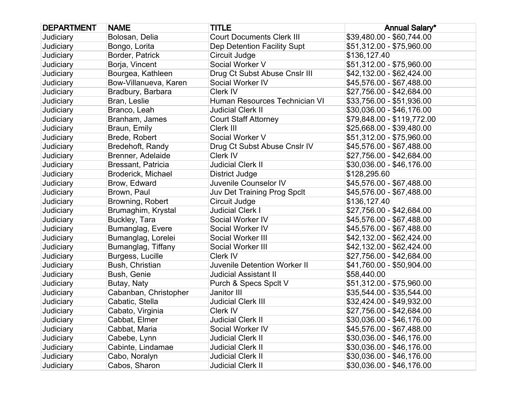| <b>DEPARTMENT</b> | <b>NAME</b>           | <b>TITLE</b>                        | <b>Annual Salary*</b>      |
|-------------------|-----------------------|-------------------------------------|----------------------------|
| Judiciary         | Bolosan, Delia        | <b>Court Documents Clerk III</b>    | \$39,480.00 - \$60,744.00  |
| Judiciary         | Bongo, Lorita         | Dep Detention Facility Supt         | \$51,312.00 - \$75,960.00  |
| Judiciary         | Border, Patrick       | Circuit Judge                       | \$136,127.40               |
| Judiciary         | Borja, Vincent        | Social Worker V                     | \$51,312.00 - \$75,960.00  |
| Judiciary         | Bourgea, Kathleen     | Drug Ct Subst Abuse Cnslr III       | \$42,132.00 - \$62,424.00  |
| Judiciary         | Bow-Villanueva, Karen | Social Worker IV                    | \$45,576.00 - \$67,488.00  |
| Judiciary         | Bradbury, Barbara     | Clerk IV                            | \$27,756.00 - \$42,684.00  |
| Judiciary         | Bran, Leslie          | Human Resources Technician VI       | \$33,756.00 - \$51,936.00  |
| Judiciary         | Branco, Leah          | <b>Judicial Clerk II</b>            | \$30,036.00 - \$46,176.00  |
| Judiciary         | Branham, James        | <b>Court Staff Attorney</b>         | \$79,848.00 - \$119,772.00 |
| Judiciary         | Braun, Emily          | Clerk III                           | \$25,668.00 - \$39,480.00  |
| Judiciary         | Brede, Robert         | Social Worker V                     | \$51,312.00 - \$75,960.00  |
| Judiciary         | Bredehoft, Randy      | Drug Ct Subst Abuse Cnslr IV        | \$45,576.00 - \$67,488.00  |
| Judiciary         | Brenner, Adelaide     | Clerk IV                            | \$27,756.00 - \$42,684.00  |
| Judiciary         | Bressant, Patricia    | <b>Judicial Clerk II</b>            | \$30,036.00 - \$46,176.00  |
| Judiciary         | Broderick, Michael    | <b>District Judge</b>               | \$128,295.60               |
| Judiciary         | Brow, Edward          | Juvenile Counselor IV               | \$45,576.00 - \$67,488.00  |
| Judiciary         | Brown, Paul           | Juv Det Training Prog Spclt         | \$45,576.00 - \$67,488.00  |
| Judiciary         | Browning, Robert      | Circuit Judge                       | \$136,127.40               |
| Judiciary         | Brumaghim, Krystal    | <b>Judicial Clerk I</b>             | \$27,756.00 - \$42,684.00  |
| Judiciary         | Buckley, Tara         | Social Worker IV                    | \$45,576.00 - \$67,488.00  |
| Judiciary         | Bumanglag, Evere      | Social Worker IV                    | \$45,576.00 - \$67,488.00  |
| Judiciary         | Bumanglag, Lorelei    | Social Worker III                   | \$42,132.00 - \$62,424.00  |
| Judiciary         | Bumanglag, Tiffany    | Social Worker III                   | \$42,132.00 - \$62,424.00  |
| Judiciary         | Burgess, Lucille      | Clerk IV                            | \$27,756.00 - \$42,684.00  |
| Judiciary         | Bush, Christian       | <b>Juvenile Detention Worker II</b> | \$41,760.00 - \$50,904.00  |
| Judiciary         | Bush, Genie           | <b>Judicial Assistant II</b>        | \$58,440.00                |
| Judiciary         | Butay, Naty           | Purch & Specs Spclt V               | \$51,312.00 - \$75,960.00  |
| Judiciary         | Cabanban, Christopher | Janitor III                         | \$35,544.00 - \$35,544.00  |
| Judiciary         | Cabatic, Stella       | <b>Judicial Clerk III</b>           | \$32,424.00 - \$49,932.00  |
| Judiciary         | Cabato, Virginia      | Clerk IV                            | \$27,756.00 - \$42,684.00  |
| Judiciary         | Cabbat, Elmer         | <b>Judicial Clerk II</b>            | \$30,036.00 - \$46,176.00  |
| Judiciary         | Cabbat, Maria         | Social Worker IV                    | \$45,576.00 - \$67,488.00  |
| Judiciary         | Cabebe, Lynn          | <b>Judicial Clerk II</b>            | \$30,036.00 - \$46,176.00  |
| Judiciary         | Cabinte, Lindamae     | <b>Judicial Clerk II</b>            | \$30,036.00 - \$46,176.00  |
| Judiciary         | Cabo, Noralyn         | <b>Judicial Clerk II</b>            | \$30,036.00 - \$46,176.00  |
| Judiciary         | Cabos, Sharon         | <b>Judicial Clerk II</b>            | \$30,036.00 - \$46,176.00  |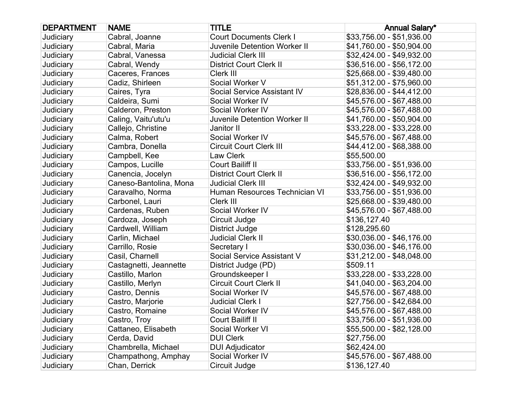| <b>DEPARTMENT</b> | <b>NAME</b>            | <b>TITLE</b>                        | <b>Annual Salary*</b>     |
|-------------------|------------------------|-------------------------------------|---------------------------|
| Judiciary         | Cabral, Joanne         | <b>Court Documents Clerk I</b>      | \$33,756.00 - \$51,936.00 |
| Judiciary         | Cabral, Maria          | <b>Juvenile Detention Worker II</b> | \$41,760.00 - \$50,904.00 |
| Judiciary         | Cabral, Vanessa        | <b>Judicial Clerk III</b>           | \$32,424.00 - \$49,932.00 |
| Judiciary         | Cabral, Wendy          | <b>District Court Clerk II</b>      | \$36,516.00 - \$56,172.00 |
| Judiciary         | Caceres, Frances       | Clerk III                           | \$25,668.00 - \$39,480.00 |
| Judiciary         | Cadiz, Shirleen        | Social Worker V                     | \$51,312.00 - \$75,960.00 |
| Judiciary         | Caires, Tyra           | Social Service Assistant IV         | \$28,836.00 - \$44,412.00 |
| Judiciary         | Caldeira, Sumi         | Social Worker IV                    | \$45,576.00 - \$67,488.00 |
| Judiciary         | Calderon, Preston      | Social Worker IV                    | \$45,576.00 - \$67,488.00 |
| Judiciary         | Caling, Vaitu'utu'u    | Juvenile Detention Worker II        | \$41,760.00 - \$50,904.00 |
| Judiciary         | Callejo, Christine     | Janitor II                          | \$33,228.00 - \$33,228.00 |
| Judiciary         | Calma, Robert          | Social Worker IV                    | \$45,576.00 - \$67,488.00 |
| Judiciary         | Cambra, Donella        | <b>Circuit Court Clerk III</b>      | \$44,412.00 - \$68,388.00 |
| Judiciary         | Campbell, Kee          | Law Clerk                           | \$55,500.00               |
| Judiciary         | Campos, Lucille        | Court Bailiff II                    | \$33,756.00 - \$51,936.00 |
| Judiciary         | Canencia, Jocelyn      | <b>District Court Clerk II</b>      | \$36,516.00 - \$56,172.00 |
| Judiciary         | Caneso-Bantolina, Mona | <b>Judicial Clerk III</b>           | \$32,424.00 - \$49,932.00 |
| Judiciary         | Caravalho, Norma       | Human Resources Technician VI       | \$33,756.00 - \$51,936.00 |
| Judiciary         | Carbonel, Lauri        | Clerk III                           | \$25,668.00 - \$39,480.00 |
| Judiciary         | Cardenas, Ruben        | Social Worker IV                    | \$45,576.00 - \$67,488.00 |
| Judiciary         | Cardoza, Joseph        | Circuit Judge                       | \$136,127.40              |
| Judiciary         | Cardwell, William      | <b>District Judge</b>               | \$128,295.60              |
| Judiciary         | Carlin, Michael        | <b>Judicial Clerk II</b>            | \$30,036.00 - \$46,176.00 |
| Judiciary         | Carrillo, Rosie        | Secretary I                         | \$30,036.00 - \$46,176.00 |
| Judiciary         | Casil, Charnell        | Social Service Assistant V          | \$31,212.00 - \$48,048.00 |
| Judiciary         | Castagnetti, Jeannette | District Judge (PD)                 | \$509.11                  |
| Judiciary         | Castillo, Marlon       | Groundskeeper I                     | \$33,228.00 - \$33,228.00 |
| Judiciary         | Castillo, Merlyn       | <b>Circuit Court Clerk II</b>       | \$41,040.00 - \$63,204.00 |
| Judiciary         | Castro, Dennis         | Social Worker IV                    | \$45,576.00 - \$67,488.00 |
| Judiciary         | Castro, Marjorie       | <b>Judicial Clerk I</b>             | \$27,756.00 - \$42,684.00 |
| Judiciary         | Castro, Romaine        | Social Worker IV                    | \$45,576.00 - \$67,488.00 |
| Judiciary         | Castro, Troy           | Court Bailiff II                    | \$33,756.00 - \$51,936.00 |
| Judiciary         | Cattaneo, Elisabeth    | Social Worker VI                    | \$55,500.00 - \$82,128.00 |
| Judiciary         | Cerda, David           | <b>DUI Clerk</b>                    | \$27,756.00               |
| Judiciary         | Chambrella, Michael    | <b>DUI Adjudicator</b>              | \$62,424.00               |
| Judiciary         | Champathong, Amphay    | Social Worker IV                    | \$45,576.00 - \$67,488.00 |
| Judiciary         | Chan, Derrick          | Circuit Judge                       | \$136,127.40              |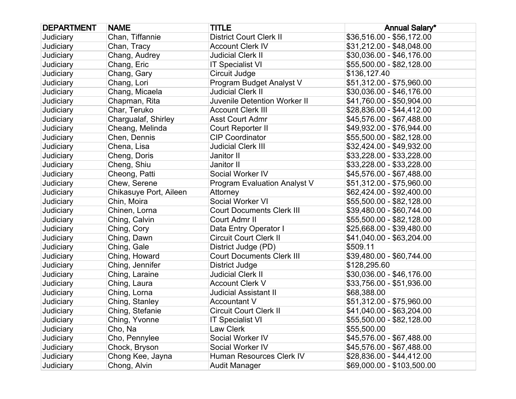| <b>DEPARTMENT</b> | <b>NAME</b>            | <b>TITLE</b>                        | <b>Annual Salary*</b>      |
|-------------------|------------------------|-------------------------------------|----------------------------|
| Judiciary         | Chan, Tiffannie        | <b>District Court Clerk II</b>      | \$36,516.00 - \$56,172.00  |
| Judiciary         | Chan, Tracy            | <b>Account Clerk IV</b>             | \$31,212.00 - \$48,048.00  |
| Judiciary         | Chang, Audrey          | <b>Judicial Clerk II</b>            | \$30,036.00 - \$46,176.00  |
| Judiciary         | Chang, Eric            | <b>IT Specialist VI</b>             | \$55,500.00 - \$82,128.00  |
| Judiciary         | Chang, Gary            | Circuit Judge                       | \$136,127.40               |
| Judiciary         | Chang, Lori            | Program Budget Analyst V            | \$51,312.00 - \$75,960.00  |
| Judiciary         | Chang, Micaela         | <b>Judicial Clerk II</b>            | \$30,036.00 - \$46,176.00  |
| Judiciary         | Chapman, Rita          | <b>Juvenile Detention Worker II</b> | \$41,760.00 - \$50,904.00  |
| Judiciary         | Char, Teruko           | <b>Account Clerk III</b>            | \$28,836.00 - \$44,412.00  |
| Judiciary         | Chargualaf, Shirley    | <b>Asst Court Admr</b>              | \$45,576.00 - \$67,488.00  |
| Judiciary         | Cheang, Melinda        | Court Reporter II                   | \$49,932.00 - \$76,944.00  |
| Judiciary         | Chen, Dennis           | <b>CIP Coordinator</b>              | \$55,500.00 - \$82,128.00  |
| Judiciary         | Chena, Lisa            | <b>Judicial Clerk III</b>           | \$32,424.00 - \$49,932.00  |
| Judiciary         | Cheng, Doris           | Janitor II                          | \$33,228.00 - \$33,228.00  |
| Judiciary         | Cheng, Shiu            | Janitor II                          | \$33,228.00 - \$33,228.00  |
| Judiciary         | Cheong, Patti          | Social Worker IV                    | \$45,576.00 - \$67,488.00  |
| Judiciary         | Chew, Serene           | Program Evaluation Analyst V        | \$51,312.00 - \$75,960.00  |
| Judiciary         | Chikasuye Port, Aileen | Attorney                            | \$62,424.00 - \$92,400.00  |
| Judiciary         | Chin, Moira            | Social Worker VI                    | \$55,500.00 - \$82,128.00  |
| Judiciary         | Chinen, Lorna          | <b>Court Documents Clerk III</b>    | \$39,480.00 - \$60,744.00  |
| Judiciary         | Ching, Calvin          | Court Admr II                       | \$55,500.00 - \$82,128.00  |
| Judiciary         | Ching, Cory            | Data Entry Operator I               | \$25,668.00 - \$39,480.00  |
| Judiciary         | Ching, Dawn            | <b>Circuit Court Clerk II</b>       | \$41,040.00 - \$63,204.00  |
| Judiciary         | Ching, Gale            | District Judge (PD)                 | \$509.11                   |
| Judiciary         | Ching, Howard          | <b>Court Documents Clerk III</b>    | \$39,480.00 - \$60,744.00  |
| Judiciary         | Ching, Jennifer        | District Judge                      | \$128,295.60               |
| Judiciary         | Ching, Laraine         | <b>Judicial Clerk II</b>            | \$30,036.00 - \$46,176.00  |
| Judiciary         | Ching, Laura           | <b>Account Clerk V</b>              | \$33,756.00 - \$51,936.00  |
| Judiciary         | Ching, Lorna           | <b>Judicial Assistant II</b>        | \$68,388.00                |
| Judiciary         | Ching, Stanley         | <b>Accountant V</b>                 | \$51,312.00 - \$75,960.00  |
| Judiciary         | Ching, Stefanie        | <b>Circuit Court Clerk II</b>       | \$41,040.00 - \$63,204.00  |
| Judiciary         | Ching, Yvonne          | <b>IT Specialist VI</b>             | \$55,500.00 - \$82,128.00  |
| Judiciary         | Cho, Na                | Law Clerk                           | \$55,500.00                |
| Judiciary         | Cho, Pennylee          | Social Worker IV                    | \$45,576.00 - \$67,488.00  |
| Judiciary         | Chock, Bryson          | Social Worker IV                    | \$45,576.00 - \$67,488.00  |
| Judiciary         | Chong Kee, Jayna       | Human Resources Clerk IV            | \$28,836.00 - \$44,412.00  |
| Judiciary         | Chong, Alvin           | <b>Audit Manager</b>                | \$69,000.00 - \$103,500.00 |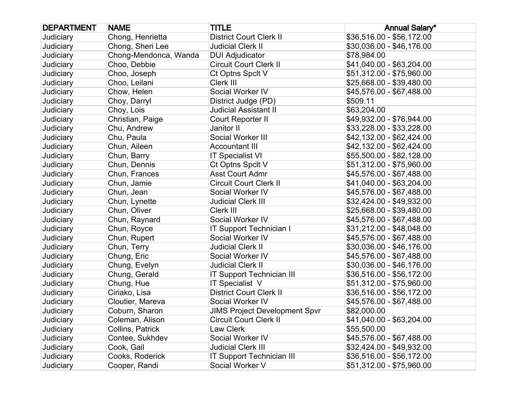| <b>DEPARTMENT</b> | <b>NAME</b>           | <b>TITLE</b>                         | <b>Annual Salary*</b>     |
|-------------------|-----------------------|--------------------------------------|---------------------------|
| Judiciary         | Chong, Henrietta      | <b>District Court Clerk II</b>       | \$36,516.00 - \$56,172.00 |
| Judiciary         | Chong, Sheri Lee      | <b>Judicial Clerk II</b>             | \$30,036.00 - \$46,176.00 |
| Judiciary         | Chong-Mendonca, Wanda | <b>DUI Adjudicator</b>               | \$78,984.00               |
| Judiciary         | Choo, Debbie          | <b>Circuit Court Clerk II</b>        | \$41,040.00 - \$63,204.00 |
| Judiciary         | Choo, Joseph          | Ct Optns Spclt V                     | \$51,312.00 - \$75,960.00 |
| Judiciary         | Choo, Leilani         | Clerk III                            | \$25,668.00 - \$39,480.00 |
| Judiciary         | Chow, Helen           | Social Worker IV                     | \$45,576.00 - \$67,488.00 |
| Judiciary         | Choy, Darryl          | District Judge (PD)                  | \$509.11                  |
| Judiciary         | Choy, Lois            | <b>Judicial Assistant II</b>         | \$63,204.00               |
| Judiciary         | Christian, Paige      | Court Reporter II                    | \$49,932.00 - \$76,944.00 |
| Judiciary         | Chu, Andrew           | Janitor II                           | \$33,228.00 - \$33,228.00 |
| Judiciary         | Chu, Paula            | Social Worker III                    | \$42,132.00 - \$62,424.00 |
| Judiciary         | Chun, Aileen          | <b>Accountant III</b>                | \$42,132.00 - \$62,424.00 |
| Judiciary         | Chun, Barry           | <b>IT Specialist VI</b>              | \$55,500.00 - \$82,128.00 |
| Judiciary         | Chun, Dennis          | Ct Optns Spclt V                     | \$51,312.00 - \$75,960.00 |
| Judiciary         | Chun, Frances         | <b>Asst Court Admr</b>               | \$45,576.00 - \$67,488.00 |
| Judiciary         | Chun, Jamie           | <b>Circuit Court Clerk II</b>        | \$41,040.00 - \$63,204.00 |
| Judiciary         | Chun, Jean            | Social Worker IV                     | \$45,576.00 - \$67,488.00 |
| Judiciary         | Chun, Lynette         | <b>Judicial Clerk III</b>            | \$32,424.00 - \$49,932.00 |
| Judiciary         | Chun, Oliver          | Clerk III                            | \$25,668.00 - \$39,480.00 |
| Judiciary         | Chun, Raynard         | Social Worker IV                     | \$45,576.00 - \$67,488.00 |
| Judiciary         | Chun, Royce           | <b>IT Support Technician I</b>       | \$31,212.00 - \$48,048.00 |
| Judiciary         | Chun, Rupert          | Social Worker IV                     | \$45,576.00 - \$67,488.00 |
| Judiciary         | Chun, Terry           | <b>Judicial Clerk II</b>             | \$30,036.00 - \$46,176.00 |
| Judiciary         | Chung, Eric           | Social Worker IV                     | \$45,576.00 - \$67,488.00 |
| Judiciary         | Chung, Evelyn         | <b>Judicial Clerk II</b>             | \$30,036.00 - \$46,176.00 |
| Judiciary         | Chung, Gerald         | IT Support Technician III            | \$36,516.00 - \$56,172.00 |
| Judiciary         | Chung, Hue            | IT Specialist V                      | \$51,312.00 - \$75,960.00 |
| Judiciary         | Ciriako, Lisa         | <b>District Court Clerk II</b>       | \$36,516.00 - \$56,172.00 |
| Judiciary         | Cloutier, Mareva      | Social Worker IV                     | \$45,576.00 - \$67,488.00 |
| Judiciary         | Coburn, Sharon        | <b>JIMS Project Development Spvr</b> | \$82,000.00               |
| Judiciary         | Coleman, Alison       | <b>Circuit Court Clerk II</b>        | \$41,040.00 - \$63,204.00 |
| Judiciary         | Collins, Patrick      | Law Clerk                            | \$55,500.00               |
| Judiciary         | Contee, Sukhdev       | Social Worker IV                     | \$45,576.00 - \$67,488.00 |
| Judiciary         | Cook, Gail            | <b>Judicial Clerk III</b>            | \$32,424.00 - \$49,932.00 |
| Judiciary         | Cooks, Roderick       | <b>IT Support Technician III</b>     | \$36,516.00 - \$56,172.00 |
| Judiciary         | Cooper, Randi         | Social Worker V                      | \$51,312.00 - \$75,960.00 |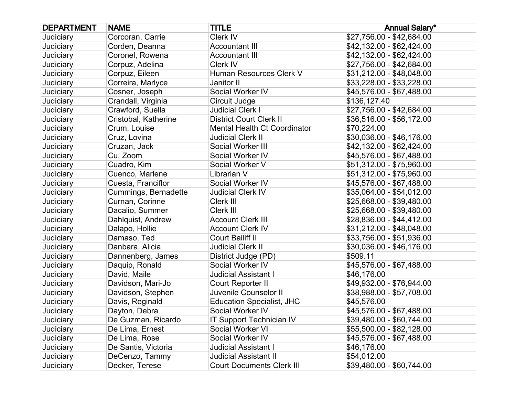| <b>DEPARTMENT</b> | <b>NAME</b>          | <b>TITLE</b>                        | <b>Annual Salary*</b>     |
|-------------------|----------------------|-------------------------------------|---------------------------|
| Judiciary         | Corcoran, Carrie     | Clerk IV                            | \$27,756.00 - \$42,684.00 |
| Judiciary         | Corden, Deanna       | <b>Accountant III</b>               | \$42,132.00 - \$62,424.00 |
| Judiciary         | Coronel, Rowena      | <b>Accountant III</b>               | \$42,132.00 - \$62,424.00 |
| Judiciary         | Corpuz, Adelina      | Clerk IV                            | \$27,756.00 - \$42,684.00 |
| Judiciary         | Corpuz, Eileen       | Human Resources Clerk V             | \$31,212.00 - \$48,048.00 |
| Judiciary         | Correira, Marlyce    | Janitor II                          | \$33,228.00 - \$33,228.00 |
| Judiciary         | Cosner, Joseph       | Social Worker IV                    | \$45,576.00 - \$67,488.00 |
| Judiciary         | Crandall, Virginia   | Circuit Judge                       | \$136,127.40              |
| Judiciary         | Crawford, Suella     | <b>Judicial Clerk I</b>             | \$27,756.00 - \$42,684.00 |
| Judiciary         | Cristobal, Katherine | <b>District Court Clerk II</b>      | \$36,516.00 - \$56,172.00 |
| Judiciary         | Crum, Louise         | <b>Mental Health Ct Coordinator</b> | \$70,224.00               |
| Judiciary         | Cruz, Lovina         | <b>Judicial Clerk II</b>            | \$30,036.00 - \$46,176.00 |
| Judiciary         | Cruzan, Jack         | Social Worker III                   | \$42,132.00 - \$62,424.00 |
| Judiciary         | Cu, Zoom             | Social Worker IV                    | \$45,576.00 - \$67,488.00 |
| Judiciary         | Cuadro, Kim          | Social Worker V                     | \$51,312.00 - \$75,960.00 |
| Judiciary         | Cuenco, Marlene      | Librarian V                         | \$51,312.00 - \$75,960.00 |
| Judiciary         | Cuesta, Franciflor   | Social Worker IV                    | \$45,576.00 - \$67,488.00 |
| Judiciary         | Cummings, Bernadette | <b>Judicial Clerk IV</b>            | \$35,064.00 - \$54,012.00 |
| Judiciary         | Curnan, Corinne      | Clerk III                           | \$25,668.00 - \$39,480.00 |
| Judiciary         | Dacalio, Summer      | Clerk III                           | \$25,668.00 - \$39,480.00 |
| Judiciary         | Dahlquist, Andrew    | <b>Account Clerk III</b>            | \$28,836.00 - \$44,412.00 |
| Judiciary         | Dalapo, Hollie       | <b>Account Clerk IV</b>             | \$31,212.00 - \$48,048.00 |
| Judiciary         | Damaso, Ted          | Court Bailiff II                    | \$33,756.00 - \$51,936.00 |
| Judiciary         | Danbara, Alicia      | <b>Judicial Clerk II</b>            | \$30,036.00 - \$46,176.00 |
| Judiciary         | Dannenberg, James    | District Judge (PD)                 | \$509.11                  |
| Judiciary         | Daquip, Ronald       | Social Worker IV                    | \$45,576.00 - \$67,488.00 |
| Judiciary         | David, Maile         | <b>Judicial Assistant I</b>         | \$46,176.00               |
| Judiciary         | Davidson, Mari-Jo    | Court Reporter II                   | \$49,932.00 - \$76,944.00 |
| Judiciary         | Davidson, Stephen    | Juvenile Counselor II               | \$38,988.00 - \$57,708.00 |
| Judiciary         | Davis, Reginald      | <b>Education Specialist, JHC</b>    | \$45,576.00               |
| Judiciary         | Dayton, Debra        | Social Worker IV                    | \$45,576.00 - \$67,488.00 |
| Judiciary         | De Guzman, Ricardo   | <b>IT Support Technician IV</b>     | \$39,480.00 - \$60,744.00 |
| Judiciary         | De Lima, Ernest      | Social Worker VI                    | \$55,500.00 - \$82,128.00 |
| Judiciary         | De Lima, Rose        | Social Worker IV                    | \$45,576.00 - \$67,488.00 |
| Judiciary         | De Santis, Victoria  | <b>Judicial Assistant I</b>         | \$46,176.00               |
| Judiciary         | DeCenzo, Tammy       | <b>Judicial Assistant II</b>        | \$54,012.00               |
| Judiciary         | Decker, Terese       | <b>Court Documents Clerk III</b>    | \$39,480.00 - \$60,744.00 |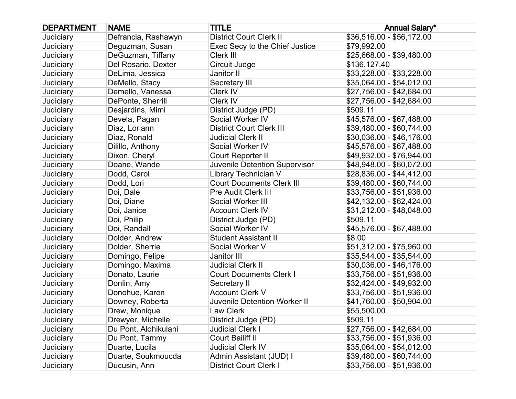| <b>DEPARTMENT</b> | <b>NAME</b>          | <b>TITLE</b>                        | <b>Annual Salary*</b>     |
|-------------------|----------------------|-------------------------------------|---------------------------|
| Judiciary         | Defrancia, Rashawyn  | <b>District Court Clerk II</b>      | \$36,516.00 - \$56,172.00 |
| Judiciary         | Deguzman, Susan      | Exec Secy to the Chief Justice      | \$79,992.00               |
| Judiciary         | DeGuzman, Tiffany    | Clerk III                           | \$25,668.00 - \$39,480.00 |
| Judiciary         | Del Rosario, Dexter  | Circuit Judge                       | \$136,127.40              |
| Judiciary         | DeLima, Jessica      | Janitor II                          | \$33,228.00 - \$33,228.00 |
| Judiciary         | DeMello, Stacy       | Secretary III                       | \$35,064.00 - \$54,012.00 |
| Judiciary         | Demello, Vanessa     | Clerk IV                            | \$27,756.00 - \$42,684.00 |
| Judiciary         | DePonte, Sherrill    | Clerk IV                            | \$27,756.00 - \$42,684.00 |
| Judiciary         | Desjardins, Mimi     | District Judge (PD)                 | \$509.11                  |
| Judiciary         | Devela, Pagan        | Social Worker IV                    | \$45,576.00 - \$67,488.00 |
| Judiciary         | Diaz, Loriann        | <b>District Court Clerk III</b>     | \$39,480.00 - \$60,744.00 |
| Judiciary         | Diaz, Ronald         | <b>Judicial Clerk II</b>            | \$30,036.00 - \$46,176.00 |
| Judiciary         | Dilillo, Anthony     | Social Worker IV                    | \$45,576.00 - \$67,488.00 |
| Judiciary         | Dixon, Cheryl        | Court Reporter II                   | \$49,932.00 - \$76,944.00 |
| Judiciary         | Doane, Wande         | Juvenile Detention Supervisor       | \$48,948.00 - \$60,072.00 |
| Judiciary         | Dodd, Carol          | Library Technician V                | \$28,836.00 - \$44,412.00 |
| Judiciary         | Dodd, Lori           | <b>Court Documents Clerk III</b>    | \$39,480.00 - \$60,744.00 |
| Judiciary         | Doi, Dale            | <b>Pre Audit Clerk III</b>          | \$33,756.00 - \$51,936.00 |
| Judiciary         | Doi, Diane           | Social Worker III                   | \$42,132.00 - \$62,424.00 |
| Judiciary         | Doi, Janice          | <b>Account Clerk IV</b>             | \$31,212.00 - \$48,048.00 |
| Judiciary         | Doi, Philip          | District Judge (PD)                 | \$509.11                  |
| Judiciary         | Doi, Randall         | Social Worker IV                    | \$45,576.00 - \$67,488.00 |
| Judiciary         | Dolder, Andrew       | <b>Student Assistant II</b>         | \$8.00                    |
| Judiciary         | Dolder, Sherrie      | Social Worker V                     | \$51,312.00 - \$75,960.00 |
| Judiciary         | Domingo, Felipe      | Janitor III                         | \$35,544.00 - \$35,544.00 |
| Judiciary         | Domingo, Maxima      | <b>Judicial Clerk II</b>            | \$30,036.00 - \$46,176.00 |
| Judiciary         | Donato, Laurie       | <b>Court Documents Clerk I</b>      | \$33,756.00 - \$51,936.00 |
| Judiciary         | Donlin, Amy          | Secretary II                        | \$32,424.00 - \$49,932.00 |
| Judiciary         | Donohue, Karen       | <b>Account Clerk V</b>              | \$33,756.00 - \$51,936.00 |
| Judiciary         | Downey, Roberta      | <b>Juvenile Detention Worker II</b> | \$41,760.00 - \$50,904.00 |
| Judiciary         | Drew, Monique        | Law Clerk                           | \$55,500.00               |
| Judiciary         | Drewyer, Michelle    | District Judge (PD)                 | \$509.11                  |
| Judiciary         | Du Pont, Alohikulani | <b>Judicial Clerk I</b>             | \$27,756.00 - \$42,684.00 |
| Judiciary         | Du Pont, Tammy       | <b>Court Bailiff II</b>             | \$33,756.00 - \$51,936.00 |
| Judiciary         | Duarte, Lucila       | <b>Judicial Clerk IV</b>            | \$35,064.00 - \$54,012.00 |
| Judiciary         | Duarte, Soukmoucda   | Admin Assistant (JUD) I             | \$39,480.00 - \$60,744.00 |
| Judiciary         | Ducusin, Ann         | <b>District Court Clerk I</b>       | \$33,756.00 - \$51,936.00 |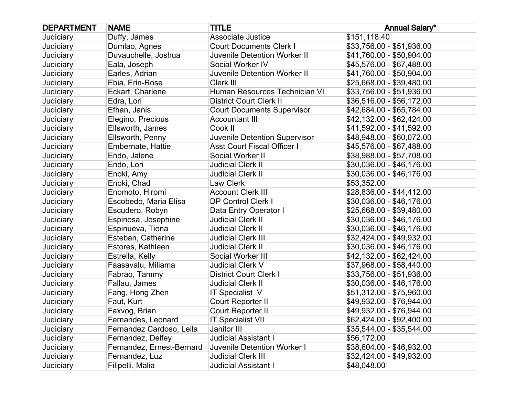| <b>DEPARTMENT</b> | <b>NAME</b>               | <b>TITLE</b>                        | <b>Annual Salary*</b>     |
|-------------------|---------------------------|-------------------------------------|---------------------------|
| Judiciary         | Duffy, James              | <b>Associate Justice</b>            | \$151,118.40              |
| Judiciary         | Dumlao, Agnes             | <b>Court Documents Clerk I</b>      | \$33,756.00 - \$51,936.00 |
| Judiciary         | Duvauchelle, Joshua       | <b>Juvenile Detention Worker II</b> | \$41,760.00 - \$50,904.00 |
| Judiciary         | Eala, Joseph              | Social Worker IV                    | \$45,576.00 - \$67,488.00 |
| Judiciary         | Earles, Adrian            | Juvenile Detention Worker II        | \$41,760.00 - \$50,904.00 |
| Judiciary         | Ebia, Erin-Rose           | Clerk III                           | \$25,668.00 - \$39,480.00 |
| Judiciary         | Eckart, Charlene          | Human Resources Technician VI       | \$33,756.00 - \$51,936.00 |
| Judiciary         | Edra, Lori                | <b>District Court Clerk II</b>      | \$36,516.00 - \$56,172.00 |
| Judiciary         | Efhan, Janis              | <b>Court Documents Supervisor</b>   | \$42,684.00 - \$65,784.00 |
| Judiciary         | Elegino, Precious         | <b>Accountant III</b>               | \$42,132.00 - \$62,424.00 |
| Judiciary         | Ellsworth, James          | Cook II                             | \$41,592.00 - \$41,592.00 |
| Judiciary         | Ellsworth, Penny          | Juvenile Detention Supervisor       | \$48,948.00 - \$60,072.00 |
| Judiciary         | Embernate, Hattie         | <b>Asst Court Fiscal Officer I</b>  | \$45,576.00 - \$67,488.00 |
| Judiciary         | Endo, Jalene              | Social Worker II                    | \$38,988.00 - \$57,708.00 |
| Judiciary         | Endo, Lori                | <b>Judicial Clerk II</b>            | \$30,036.00 - \$46,176.00 |
| Judiciary         | Enoki, Amy                | <b>Judicial Clerk II</b>            | \$30,036.00 - \$46,176.00 |
| Judiciary         | Enoki, Chad               | Law Clerk                           | \$53,352.00               |
| Judiciary         | Enomoto, Hiromi           | <b>Account Clerk III</b>            | \$28,836.00 - \$44,412.00 |
| Judiciary         | Escobedo, Maria Elisa     | <b>DP Control Clerk I</b>           | \$30,036.00 - \$46,176.00 |
| Judiciary         | Escudero, Robyn           | Data Entry Operator I               | \$25,668.00 - \$39,480.00 |
| Judiciary         | Espinosa, Josephine       | <b>Judicial Clerk II</b>            | \$30,036.00 - \$46,176.00 |
| Judiciary         | Espinueva, Tiona          | <b>Judicial Clerk II</b>            | \$30,036.00 - \$46,176.00 |
| Judiciary         | Esteban, Catherine        | <b>Judicial Clerk III</b>           | \$32,424.00 - \$49,932.00 |
| Judiciary         | Estores, Kathleen         | <b>Judicial Clerk II</b>            | \$30,036.00 - \$46,176.00 |
| Judiciary         | Estrella, Kelly           | Social Worker III                   | \$42,132.00 - \$62,424.00 |
| Judiciary         | Faasavalu, Miliama        | <b>Judicial Clerk V</b>             | \$37,968.00 - \$58,440.00 |
| Judiciary         | Fabrao, Tammy             | <b>District Court Clerk I</b>       | \$33,756.00 - \$51,936.00 |
| Judiciary         | Fallau, James             | <b>Judicial Clerk II</b>            | \$30,036.00 - \$46,176.00 |
| Judiciary         | Fang, Hong Zhen           | IT Specialist V                     | \$51,312.00 - \$75,960.00 |
| Judiciary         | Faut, Kurt                | Court Reporter II                   | \$49,932.00 - \$76,944.00 |
| Judiciary         | Faxvog, Brian             | Court Reporter II                   | \$49,932.00 - \$76,944.00 |
| Judiciary         | Fernandes, Leonard        | <b>IT Specialist VII</b>            | \$62,424.00 - \$92,400.00 |
| Judiciary         | Fernandez Cardoso, Leila  | Janitor III                         | \$35,544.00 - \$35,544.00 |
| Judiciary         | Fernandez, Delfey         | <b>Judicial Assistant I</b>         | \$56,172.00               |
| Judiciary         | Fernandez, Ernest-Bernard | Juvenile Detention Worker I         | \$38,604.00 - \$46,932.00 |
| Judiciary         | Fernandez, Luz            | <b>Judicial Clerk III</b>           | \$32,424.00 - \$49,932.00 |
| Judiciary         | Filipelli, Malia          | <b>Judicial Assistant I</b>         | \$48,048.00               |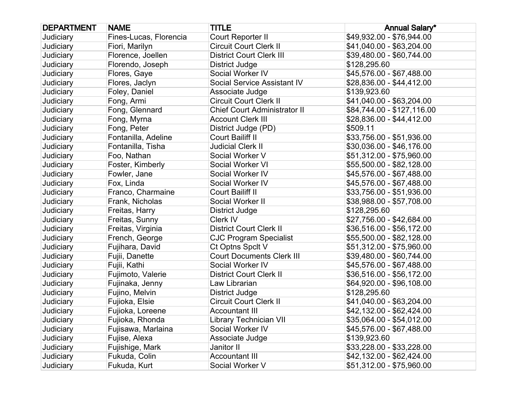| <b>DEPARTMENT</b> | <b>NAME</b>            | <b>TITLE</b>                        | <b>Annual Salary*</b>      |
|-------------------|------------------------|-------------------------------------|----------------------------|
| Judiciary         | Fines-Lucas, Florencia | Court Reporter II                   | \$49,932.00 - \$76,944.00  |
| Judiciary         | Fiori, Marilyn         | <b>Circuit Court Clerk II</b>       | \$41,040.00 - \$63,204.00  |
| Judiciary         | Florence, Joellen      | <b>District Court Clerk III</b>     | \$39,480.00 - \$60,744.00  |
| Judiciary         | Florendo, Joseph       | District Judge                      | \$128,295.60               |
| Judiciary         | Flores, Gaye           | Social Worker IV                    | \$45,576.00 - \$67,488.00  |
| Judiciary         | Flores, Jaclyn         | Social Service Assistant IV         | \$28,836.00 - \$44,412.00  |
| Judiciary         | Foley, Daniel          | Associate Judge                     | \$139,923.60               |
| Judiciary         | Fong, Armi             | <b>Circuit Court Clerk II</b>       | \$41,040.00 - \$63,204.00  |
| Judiciary         | Fong, Glennard         | <b>Chief Court Administrator II</b> | \$84,744.00 - \$127,116.00 |
| Judiciary         | Fong, Myrna            | <b>Account Clerk III</b>            | \$28,836.00 - \$44,412.00  |
| Judiciary         | Fong, Peter            | District Judge (PD)                 | \$509.11                   |
| Judiciary         | Fontanilla, Adeline    | Court Bailiff II                    | \$33,756.00 - \$51,936.00  |
| Judiciary         | Fontanilla, Tisha      | <b>Judicial Clerk II</b>            | \$30,036.00 - \$46,176.00  |
| Judiciary         | Foo, Nathan            | Social Worker V                     | \$51,312.00 - \$75,960.00  |
| Judiciary         | Foster, Kimberly       | Social Worker VI                    | \$55,500.00 - \$82,128.00  |
| Judiciary         | Fowler, Jane           | Social Worker IV                    | \$45,576.00 - \$67,488.00  |
| Judiciary         | Fox, Linda             | Social Worker IV                    | \$45,576.00 - \$67,488.00  |
| Judiciary         | Franco, Charmaine      | Court Bailiff II                    | \$33,756.00 - \$51,936.00  |
| Judiciary         | Frank, Nicholas        | Social Worker II                    | \$38,988.00 - \$57,708.00  |
| <b>Judiciary</b>  | Freitas, Harry         | District Judge                      | \$128,295.60               |
| Judiciary         | Freitas, Sunny         | Clerk IV                            | \$27,756.00 - \$42,684.00  |
| Judiciary         | Freitas, Virginia      | <b>District Court Clerk II</b>      | \$36,516.00 - \$56,172.00  |
| Judiciary         | French, George         | <b>CJC Program Specialist</b>       | \$55,500.00 - \$82,128.00  |
| Judiciary         | Fujihara, David        | Ct Optns Spclt V                    | \$51,312.00 - \$75,960.00  |
| Judiciary         | Fujii, Danette         | <b>Court Documents Clerk III</b>    | \$39,480.00 - \$60,744.00  |
| Judiciary         | Fujii, Kathi           | Social Worker IV                    | \$45,576.00 - \$67,488.00  |
| Judiciary         | Fujimoto, Valerie      | <b>District Court Clerk II</b>      | \$36,516.00 - \$56,172.00  |
| Judiciary         | Fujinaka, Jenny        | Law Librarian                       | \$64,920.00 - \$96,108.00  |
| Judiciary         | Fujino, Melvin         | <b>District Judge</b>               | \$128,295.60               |
| Judiciary         | Fujioka, Elsie         | <b>Circuit Court Clerk II</b>       | \$41,040.00 - \$63,204.00  |
| Judiciary         | Fujioka, Loreene       | <b>Accountant III</b>               | \$42,132.00 - \$62,424.00  |
| Judiciary         | Fujioka, Rhonda        | Library Technician VII              | \$35,064.00 - \$54,012.00  |
| Judiciary         | Fujisawa, Marlaina     | Social Worker IV                    | \$45,576.00 - \$67,488.00  |
| Judiciary         | Fujise, Alexa          | Associate Judge                     | \$139,923.60               |
| Judiciary         | Fujishige, Mark        | Janitor II                          | \$33,228.00 - \$33,228.00  |
| Judiciary         | Fukuda, Colin          | <b>Accountant III</b>               | \$42,132.00 - \$62,424.00  |
| Judiciary         | Fukuda, Kurt           | Social Worker V                     | \$51,312.00 - \$75,960.00  |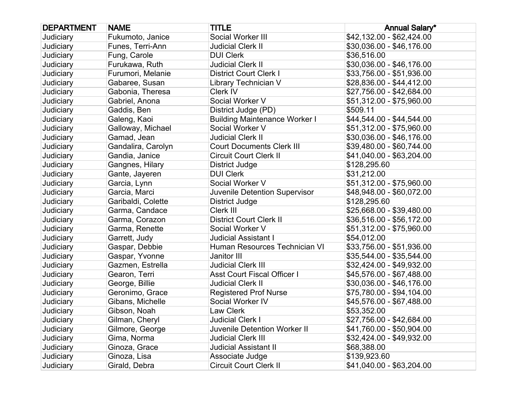| <b>DEPARTMENT</b> | <b>NAME</b>        | <b>TITLE</b>                         | <b>Annual Salary*</b>     |
|-------------------|--------------------|--------------------------------------|---------------------------|
| Judiciary         | Fukumoto, Janice   | Social Worker III                    | \$42,132.00 - \$62,424.00 |
| Judiciary         | Funes, Terri-Ann   | <b>Judicial Clerk II</b>             | \$30,036.00 - \$46,176.00 |
| Judiciary         | Fung, Carole       | <b>DUI Clerk</b>                     | \$36,516.00               |
| Judiciary         | Furukawa, Ruth     | <b>Judicial Clerk II</b>             | \$30,036.00 - \$46,176.00 |
| <b>Judiciary</b>  | Furumori, Melanie  | <b>District Court Clerk I</b>        | \$33,756.00 - \$51,936.00 |
| Judiciary         | Gabaree, Susan     | Library Technician V                 | \$28,836.00 - \$44,412.00 |
| Judiciary         | Gabonia, Theresa   | Clerk IV                             | \$27,756.00 - \$42,684.00 |
| Judiciary         | Gabriel, Anona     | Social Worker V                      | \$51,312.00 - \$75,960.00 |
| Judiciary         | Gaddis, Ben        | District Judge (PD)                  | \$509.11                  |
| Judiciary         | Galeng, Kaoi       | <b>Building Maintenance Worker I</b> | \$44,544.00 - \$44,544.00 |
| <b>Judiciary</b>  | Galloway, Michael  | Social Worker V                      | \$51,312.00 - \$75,960.00 |
| Judiciary         | Gamad, Jean        | <b>Judicial Clerk II</b>             | \$30,036.00 - \$46,176.00 |
| Judiciary         | Gandalira, Carolyn | <b>Court Documents Clerk III</b>     | \$39,480.00 - \$60,744.00 |
| Judiciary         | Gandia, Janice     | <b>Circuit Court Clerk II</b>        | \$41,040.00 - \$63,204.00 |
| Judiciary         | Gangnes, Hilary    | District Judge                       | \$128,295.60              |
| Judiciary         | Gante, Jayeren     | <b>DUI Clerk</b>                     | \$31,212.00               |
| <b>Judiciary</b>  | Garcia, Lynn       | Social Worker V                      | \$51,312.00 - \$75,960.00 |
| Judiciary         | Garcia, Marci      | Juvenile Detention Supervisor        | \$48,948.00 - \$60,072.00 |
| Judiciary         | Garibaldi, Colette | <b>District Judge</b>                | \$128,295.60              |
| Judiciary         | Garma, Candace     | Clerk III                            | \$25,668.00 - \$39,480.00 |
| Judiciary         | Garma, Corazon     | <b>District Court Clerk II</b>       | \$36,516.00 - \$56,172.00 |
| Judiciary         | Garma, Renette     | Social Worker V                      | \$51,312.00 - \$75,960.00 |
| <b>Judiciary</b>  | Garrett, Judy      | <b>Judicial Assistant I</b>          | \$54,012.00               |
| Judiciary         | Gaspar, Debbie     | Human Resources Technician VI        | \$33,756.00 - \$51,936.00 |
| Judiciary         | Gaspar, Yvonne     | Janitor III                          | \$35,544.00 - \$35,544.00 |
| Judiciary         | Gazmen, Estrella   | <b>Judicial Clerk III</b>            | \$32,424.00 - \$49,932.00 |
| Judiciary         | Gearon, Terri      | <b>Asst Court Fiscal Officer I</b>   | \$45,576.00 - \$67,488.00 |
| Judiciary         | George, Billie     | <b>Judicial Clerk II</b>             | \$30,036.00 - \$46,176.00 |
| Judiciary         | Geronimo, Grace    | <b>Registered Prof Nurse</b>         | \$75,780.00 - \$94,104.00 |
| Judiciary         | Gibans, Michelle   | Social Worker IV                     | \$45,576.00 - \$67,488.00 |
| Judiciary         | Gibson, Noah       | Law Clerk                            | \$53,352.00               |
| Judiciary         | Gilman, Cheryl     | <b>Judicial Clerk I</b>              | \$27,756.00 - \$42,684.00 |
| Judiciary         | Gilmore, George    | <b>Juvenile Detention Worker II</b>  | \$41,760.00 - \$50,904.00 |
| Judiciary         | Gima, Norma        | <b>Judicial Clerk III</b>            | \$32,424.00 - \$49,932.00 |
| Judiciary         | Ginoza, Grace      | <b>Judicial Assistant II</b>         | \$68,388.00               |
| Judiciary         | Ginoza, Lisa       | Associate Judge                      | \$139,923.60              |
| Judiciary         | Girald, Debra      | <b>Circuit Court Clerk II</b>        | \$41,040.00 - \$63,204.00 |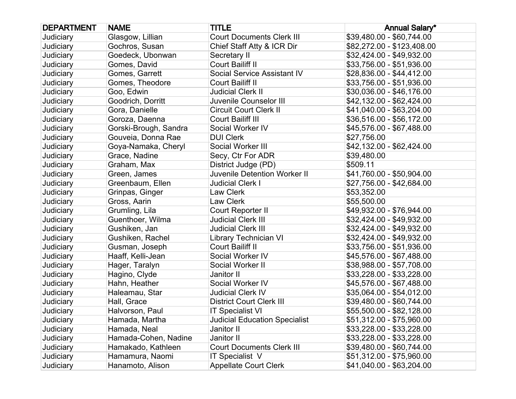| <b>DEPARTMENT</b> | <b>NAME</b>           | <b>TITLE</b>                         | <b>Annual Salary*</b>      |
|-------------------|-----------------------|--------------------------------------|----------------------------|
| Judiciary         | Glasgow, Lillian      | <b>Court Documents Clerk III</b>     | \$39,480.00 - \$60,744.00  |
| <b>Judiciary</b>  | Gochros, Susan        | Chief Staff Atty & ICR Dir           | \$82,272.00 - \$123,408.00 |
| Judiciary         | Goedeck, Ubonwan      | Secretary II                         | \$32,424.00 - \$49,932.00  |
| Judiciary         | Gomes, David          | Court Bailiff II                     | \$33,756.00 - \$51,936.00  |
| <b>Judiciary</b>  | Gomes, Garrett        | Social Service Assistant IV          | \$28,836.00 - \$44,412.00  |
| Judiciary         | Gomes, Theodore       | Court Bailiff II                     | \$33,756.00 - \$51,936.00  |
| Judiciary         | Goo, Edwin            | <b>Judicial Clerk II</b>             | \$30,036.00 - \$46,176.00  |
| <b>Judiciary</b>  | Goodrich, Dorritt     | Juvenile Counselor III               | \$42,132.00 - \$62,424.00  |
| Judiciary         | Gora, Danielle        | <b>Circuit Court Clerk II</b>        | \$41,040.00 - \$63,204.00  |
| Judiciary         | Goroza, Daenna        | Court Bailiff III                    | \$36,516.00 - \$56,172.00  |
| Judiciary         | Gorski-Brough, Sandra | Social Worker IV                     | \$45,576.00 - \$67,488.00  |
| Judiciary         | Gouveia, Donna Rae    | <b>DUI Clerk</b>                     | \$27,756.00                |
| Judiciary         | Goya-Namaka, Cheryl   | Social Worker III                    | \$42,132.00 - \$62,424.00  |
| <b>Judiciary</b>  | Grace, Nadine         | Secy, Ctr For ADR                    | \$39,480.00                |
| Judiciary         | Graham, Max           | District Judge (PD)                  | \$509.11                   |
| Judiciary         | Green, James          | Juvenile Detention Worker II         | \$41,760.00 - \$50,904.00  |
| <b>Judiciary</b>  | Greenbaum, Ellen      | <b>Judicial Clerk I</b>              | \$27,756.00 - \$42,684.00  |
| Judiciary         | Grinpas, Ginger       | Law Clerk                            | \$53,352.00                |
| Judiciary         | Gross, Aarin          | Law Clerk                            | \$55,500.00                |
| <b>Judiciary</b>  | Grumling, Lila        | Court Reporter II                    | \$49,932.00 - \$76,944.00  |
| Judiciary         | Guenthoer, Wilma      | <b>Judicial Clerk III</b>            | \$32,424.00 - \$49,932.00  |
| Judiciary         | Gushiken, Jan         | <b>Judicial Clerk III</b>            | \$32,424.00 - \$49,932.00  |
| Judiciary         | Gushiken, Rachel      | <b>Library Technician VI</b>         | \$32,424.00 - \$49,932.00  |
| Judiciary         | Gusman, Joseph        | Court Bailiff II                     | \$33,756.00 - \$51,936.00  |
| Judiciary         | Haaff, Kelli-Jean     | Social Worker IV                     | \$45,576.00 - \$67,488.00  |
| Judiciary         | Hager, Taralyn        | Social Worker II                     | \$38,988.00 - \$57,708.00  |
| Judiciary         | Hagino, Clyde         | Janitor II                           | \$33,228.00 - \$33,228.00  |
| Judiciary         | Hahn, Heather         | Social Worker IV                     | \$45,576.00 - \$67,488.00  |
| Judiciary         | Haleamau, Star        | <b>Judicial Clerk IV</b>             | \$35,064.00 - \$54,012.00  |
| Judiciary         | Hall, Grace           | <b>District Court Clerk III</b>      | \$39,480.00 - \$60,744.00  |
| Judiciary         | Halvorson, Paul       | <b>IT Specialist VI</b>              | \$55,500.00 - \$82,128.00  |
| Judiciary         | Hamada, Martha        | <b>Judicial Education Specialist</b> | \$51,312.00 - \$75,960.00  |
| Judiciary         | Hamada, Neal          | Janitor II                           | \$33,228.00 - \$33,228.00  |
| Judiciary         | Hamada-Cohen, Nadine  | Janitor II                           | \$33,228.00 - \$33,228.00  |
| Judiciary         | Hamakado, Kathleen    | <b>Court Documents Clerk III</b>     | \$39,480.00 - \$60,744.00  |
| Judiciary         | Hamamura, Naomi       | <b>IT Specialist V</b>               | \$51,312.00 - \$75,960.00  |
| Judiciary         | Hanamoto, Alison      | <b>Appellate Court Clerk</b>         | \$41,040.00 - \$63,204.00  |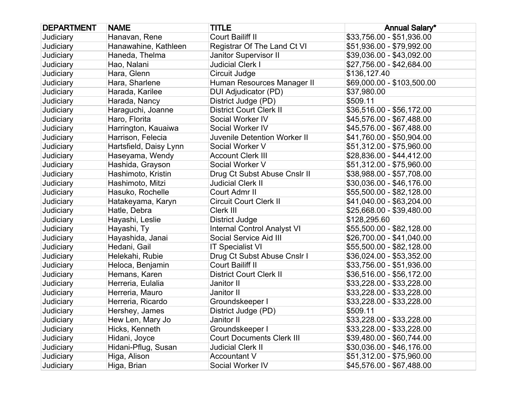| <b>DEPARTMENT</b> | <b>NAME</b>            | <b>TITLE</b>                        | <b>Annual Salary*</b>      |
|-------------------|------------------------|-------------------------------------|----------------------------|
| Judiciary         | Hanavan, Rene          | Court Bailiff II                    | \$33,756.00 - \$51,936.00  |
| Judiciary         | Hanawahine, Kathleen   | Registrar Of The Land Ct VI         | \$51,936.00 - \$79,992.00  |
| Judiciary         | Haneda, Thelma         | Janitor Supervisor II               | \$39,036.00 - \$43,092.00  |
| Judiciary         | Hao, Nalani            | <b>Judicial Clerk I</b>             | \$27,756.00 - \$42,684.00  |
| <b>Judiciary</b>  | Hara, Glenn            | Circuit Judge                       | \$136,127.40               |
| Judiciary         | Hara, Sharlene         | Human Resources Manager II          | \$69,000.00 - \$103,500.00 |
| Judiciary         | Harada, Karilee        | DUI Adjudicator (PD)                | \$37,980.00                |
| Judiciary         | Harada, Nancy          | District Judge (PD)                 | \$509.11                   |
| Judiciary         | Haraguchi, Joanne      | <b>District Court Clerk II</b>      | \$36,516.00 - \$56,172.00  |
| Judiciary         | Haro, Florita          | Social Worker IV                    | \$45,576.00 - \$67,488.00  |
| Judiciary         | Harrington, Kauaiwa    | Social Worker IV                    | \$45,576.00 - \$67,488.00  |
| Judiciary         | Harrison, Felecia      | <b>Juvenile Detention Worker II</b> | \$41,760.00 - \$50,904.00  |
| Judiciary         | Hartsfield, Daisy Lynn | Social Worker V                     | \$51,312.00 - \$75,960.00  |
| Judiciary         | Haseyama, Wendy        | <b>Account Clerk III</b>            | \$28,836.00 - \$44,412.00  |
| Judiciary         | Hashida, Grayson       | Social Worker V                     | \$51,312.00 - \$75,960.00  |
| Judiciary         | Hashimoto, Kristin     | Drug Ct Subst Abuse Cnslr II        | \$38,988.00 - \$57,708.00  |
| <b>Judiciary</b>  | Hashimoto, Mitzi       | <b>Judicial Clerk II</b>            | \$30,036.00 - \$46,176.00  |
| Judiciary         | Hasuko, Rochelle       | Court Admr II                       | \$55,500.00 - \$82,128.00  |
| Judiciary         | Hatakeyama, Karyn      | <b>Circuit Court Clerk II</b>       | \$41,040.00 - \$63,204.00  |
| Judiciary         | Hatle, Debra           | Clerk III                           | \$25,668.00 - \$39,480.00  |
| Judiciary         | Hayashi, Leslie        | District Judge                      | \$128,295.60               |
| Judiciary         | Hayashi, Ty            | <b>Internal Control Analyst VI</b>  | \$55,500.00 - \$82,128.00  |
| Judiciary         | Hayashida, Janai       | Social Service Aid III              | \$26,700.00 - \$41,040.00  |
| Judiciary         | Hedani, Gail           | <b>IT Specialist VI</b>             | \$55,500.00 - \$82,128.00  |
| Judiciary         | Helekahi, Rubie        | Drug Ct Subst Abuse Cnslr I         | \$36,024.00 - \$53,352.00  |
| Judiciary         | Heloca, Benjamin       | Court Bailiff II                    | \$33,756.00 - \$51,936.00  |
| Judiciary         | Hemans, Karen          | <b>District Court Clerk II</b>      | \$36,516.00 - \$56,172.00  |
| Judiciary         | Herreria, Eulalia      | Janitor II                          | \$33,228.00 - \$33,228.00  |
| Judiciary         | Herreria, Mauro        | Janitor II                          | \$33,228.00 - \$33,228.00  |
| Judiciary         | Herreria, Ricardo      | Groundskeeper I                     | \$33,228.00 - \$33,228.00  |
| Judiciary         | Hershey, James         | District Judge (PD)                 | \$509.11                   |
| Judiciary         | Hew Len, Mary Jo       | Janitor II                          | \$33,228.00 - \$33,228.00  |
| Judiciary         | Hicks, Kenneth         | Groundskeeper I                     | \$33,228.00 - \$33,228.00  |
| Judiciary         | Hidani, Joyce          | <b>Court Documents Clerk III</b>    | \$39,480.00 - \$60,744.00  |
| Judiciary         | Hidani-Pflug, Susan    | <b>Judicial Clerk II</b>            | \$30,036.00 - \$46,176.00  |
| Judiciary         | Higa, Alison           | <b>Accountant V</b>                 | \$51,312.00 - \$75,960.00  |
| Judiciary         | Higa, Brian            | Social Worker IV                    | \$45,576.00 - \$67,488.00  |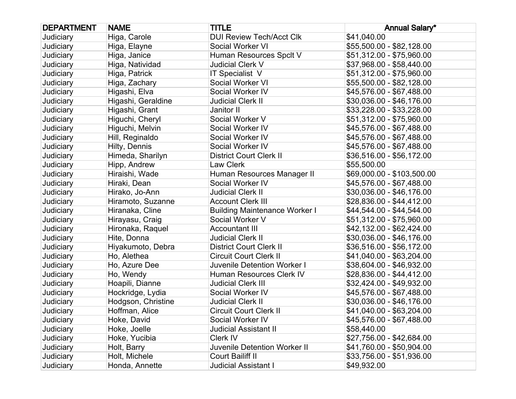| <b>DEPARTMENT</b> | <b>NAME</b>        | <b>TITLE</b>                         | <b>Annual Salary*</b>      |
|-------------------|--------------------|--------------------------------------|----------------------------|
| Judiciary         | Higa, Carole       | <b>DUI Review Tech/Acct Clk</b>      | \$41,040.00                |
| <b>Judiciary</b>  | Higa, Elayne       | Social Worker VI                     | \$55,500.00 - \$82,128.00  |
| Judiciary         | Higa, Janice       | Human Resources Spclt V              | \$51,312.00 - \$75,960.00  |
| Judiciary         | Higa, Natividad    | Judicial Clerk V                     | \$37,968.00 - \$58,440.00  |
| Judiciary         | Higa, Patrick      | <b>IT Specialist V</b>               | \$51,312.00 - \$75,960.00  |
| Judiciary         | Higa, Zachary      | Social Worker VI                     | \$55,500.00 - \$82,128.00  |
| Judiciary         | Higashi, Elva      | Social Worker IV                     | \$45,576.00 - \$67,488.00  |
| Judiciary         | Higashi, Geraldine | Judicial Clerk II                    | \$30,036.00 - \$46,176.00  |
| Judiciary         | Higashi, Grant     | Janitor II                           | \$33,228.00 - \$33,228.00  |
| Judiciary         | Higuchi, Cheryl    | Social Worker V                      | \$51,312.00 - \$75,960.00  |
| Judiciary         | Higuchi, Melvin    | Social Worker IV                     | \$45,576.00 - \$67,488.00  |
| Judiciary         | Hill, Reginaldo    | Social Worker IV                     | \$45,576.00 - \$67,488.00  |
| Judiciary         | Hilty, Dennis      | Social Worker IV                     | \$45,576.00 - \$67,488.00  |
| Judiciary         | Himeda, Sharilyn   | <b>District Court Clerk II</b>       | \$36,516.00 - \$56,172.00  |
| Judiciary         | Hipp, Andrew       | Law Clerk                            | \$55,500.00                |
| Judiciary         | Hiraishi, Wade     | Human Resources Manager II           | \$69,000.00 - \$103,500.00 |
| Judiciary         | Hiraki, Dean       | Social Worker IV                     | \$45,576.00 - \$67,488.00  |
| Judiciary         | Hirako, Jo-Ann     | <b>Judicial Clerk II</b>             | \$30,036.00 - \$46,176.00  |
| Judiciary         | Hiramoto, Suzanne  | <b>Account Clerk III</b>             | \$28,836.00 - \$44,412.00  |
| Judiciary         | Hiranaka, Cline    | <b>Building Maintenance Worker I</b> | \$44,544.00 - \$44,544.00  |
| Judiciary         | Hirayasu, Craig    | Social Worker V                      | \$51,312.00 - \$75,960.00  |
| Judiciary         | Hironaka, Raquel   | <b>Accountant III</b>                | \$42,132.00 - \$62,424.00  |
| Judiciary         | Hite, Donna        | Judicial Clerk II                    | \$30,036.00 - \$46,176.00  |
| Judiciary         | Hiyakumoto, Debra  | <b>District Court Clerk II</b>       | \$36,516.00 - \$56,172.00  |
| Judiciary         | Ho, Alethea        | <b>Circuit Court Clerk II</b>        | \$41,040.00 - \$63,204.00  |
| Judiciary         | Ho, Azure Dee      | Juvenile Detention Worker I          | \$38,604.00 - \$46,932.00  |
| Judiciary         | Ho, Wendy          | Human Resources Clerk IV             | \$28,836.00 - \$44,412.00  |
| Judiciary         | Hoapili, Dianne    | <b>Judicial Clerk III</b>            | \$32,424.00 - \$49,932.00  |
| Judiciary         | Hockridge, Lydia   | Social Worker IV                     | \$45,576.00 - \$67,488.00  |
| Judiciary         | Hodgson, Christine | <b>Judicial Clerk II</b>             | \$30,036.00 - \$46,176.00  |
| Judiciary         | Hoffman, Alice     | <b>Circuit Court Clerk II</b>        | \$41,040.00 - \$63,204.00  |
| Judiciary         | Hoke, David        | Social Worker IV                     | \$45,576.00 - \$67,488.00  |
| Judiciary         | Hoke, Joelle       | Judicial Assistant II                | \$58,440.00                |
| Judiciary         | Hoke, Yucibia      | Clerk IV                             | \$27,756.00 - \$42,684.00  |
| Judiciary         | Holt, Barry        | <b>Juvenile Detention Worker II</b>  | \$41,760.00 - \$50,904.00  |
| Judiciary         | Holt, Michele      | <b>Court Bailiff II</b>              | \$33,756.00 - \$51,936.00  |
| Judiciary         | Honda, Annette     | Judicial Assistant I                 | \$49,932.00                |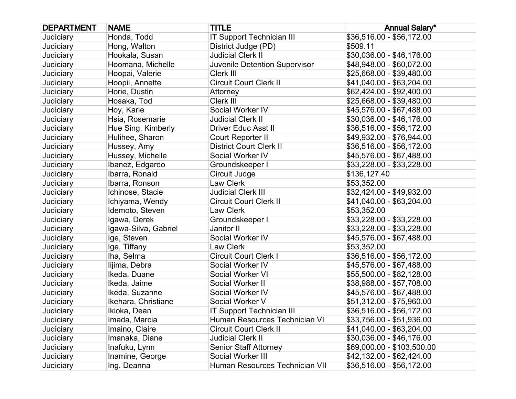| <b>DEPARTMENT</b> | <b>NAME</b>          | <b>TITLE</b>                     | <b>Annual Salary*</b>      |
|-------------------|----------------------|----------------------------------|----------------------------|
| Judiciary         | Honda, Todd          | <b>IT Support Technician III</b> | \$36,516.00 - \$56,172.00  |
| Judiciary         | Hong, Walton         | District Judge (PD)              | \$509.11                   |
| Judiciary         | Hookala, Susan       | <b>Judicial Clerk II</b>         | \$30,036.00 - \$46,176.00  |
| Judiciary         | Hoomana, Michelle    | Juvenile Detention Supervisor    | \$48,948.00 - \$60,072.00  |
| Judiciary         | Hoopai, Valerie      | Clerk III                        | \$25,668.00 - \$39,480.00  |
| Judiciary         | Hoopii, Annette      | <b>Circuit Court Clerk II</b>    | \$41,040.00 - \$63,204.00  |
| Judiciary         | Horie, Dustin        | Attorney                         | \$62,424.00 - \$92,400.00  |
| Judiciary         | Hosaka, Tod          | Clerk III                        | \$25,668.00 - \$39,480.00  |
| Judiciary         | Hoy, Karie           | Social Worker IV                 | \$45,576.00 - \$67,488.00  |
| Judiciary         | Hsia, Rosemarie      | <b>Judicial Clerk II</b>         | \$30,036.00 - \$46,176.00  |
| Judiciary         | Hue Sing, Kimberly   | <b>Driver Educ Asst II</b>       | \$36,516.00 - \$56,172.00  |
| Judiciary         | Hulihee, Sharon      | Court Reporter II                | \$49,932.00 - \$76,944.00  |
| Judiciary         | Hussey, Amy          | <b>District Court Clerk II</b>   | \$36,516.00 - \$56,172.00  |
| Judiciary         | Hussey, Michelle     | Social Worker IV                 | \$45,576.00 - \$67,488.00  |
| Judiciary         | Ibanez, Edgardo      | Groundskeeper I                  | \$33,228.00 - \$33,228.00  |
| Judiciary         | Ibarra, Ronald       | Circuit Judge                    | \$136,127.40               |
| Judiciary         | Ibarra, Ronson       | Law Clerk                        | \$53,352.00                |
| Judiciary         | Ichinose, Stacie     | <b>Judicial Clerk III</b>        | \$32,424.00 - \$49,932.00  |
| Judiciary         | Ichiyama, Wendy      | <b>Circuit Court Clerk II</b>    | \$41,040.00 - \$63,204.00  |
| Judiciary         | Idemoto, Steven      | Law Clerk                        | \$53,352.00                |
| Judiciary         | Igawa, Derek         | Groundskeeper I                  | \$33,228.00 - \$33,228.00  |
| Judiciary         | Igawa-Silva, Gabriel | Janitor II                       | \$33,228.00 - \$33,228.00  |
| Judiciary         | Ige, Steven          | Social Worker IV                 | \$45,576.00 - \$67,488.00  |
| Judiciary         | Ige, Tiffany         | Law Clerk                        | \$53,352.00                |
| Judiciary         | Iha, Selma           | Circuit Court Clerk I            | \$36,516.00 - \$56,172.00  |
| Judiciary         | lijima, Debra        | Social Worker IV                 | \$45,576.00 - \$67,488.00  |
| Judiciary         | Ikeda, Duane         | Social Worker VI                 | \$55,500.00 - \$82,128.00  |
| Judiciary         | Ikeda, Jaime         | Social Worker II                 | \$38,988.00 - \$57,708.00  |
| Judiciary         | Ikeda, Suzanne       | Social Worker IV                 | \$45,576.00 - \$67,488.00  |
| Judiciary         | Ikehara, Christiane  | Social Worker V                  | \$51,312.00 - \$75,960.00  |
| Judiciary         | Ikioka, Dean         | <b>IT Support Technician III</b> | \$36,516.00 - \$56,172.00  |
| Judiciary         | Imada, Marcia        | Human Resources Technician VI    | \$33,756.00 - \$51,936.00  |
| Judiciary         | Imaino, Claire       | <b>Circuit Court Clerk II</b>    | \$41,040.00 - \$63,204.00  |
| Judiciary         | Imanaka, Diane       | <b>Judicial Clerk II</b>         | \$30,036.00 - \$46,176.00  |
| Judiciary         | Inafuku, Lynn        | <b>Senior Staff Attorney</b>     | \$69,000.00 - \$103,500.00 |
| Judiciary         | Inamine, George      | Social Worker III                | \$42,132.00 - \$62,424.00  |
| Judiciary         | Ing, Deanna          | Human Resources Technician VII   | \$36,516.00 - \$56,172.00  |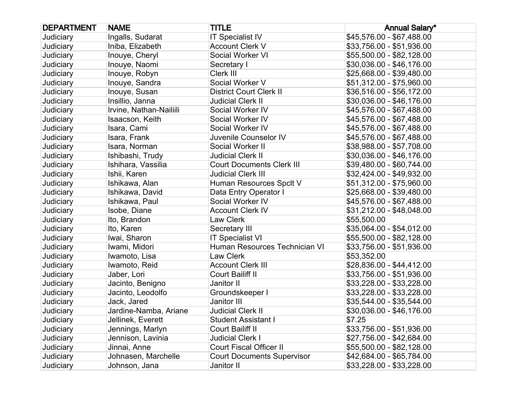| <b>DEPARTMENT</b> | <b>NAME</b>             | <b>TITLE</b>                      | <b>Annual Salary*</b>     |
|-------------------|-------------------------|-----------------------------------|---------------------------|
| Judiciary         | Ingalls, Sudarat        | <b>IT Specialist IV</b>           | \$45,576.00 - \$67,488.00 |
| Judiciary         | Iniba, Elizabeth        | <b>Account Clerk V</b>            | \$33,756.00 - \$51,936.00 |
| Judiciary         | Inouye, Cheryl          | Social Worker VI                  | \$55,500.00 - \$82,128.00 |
| Judiciary         | Inouye, Naomi           | Secretary I                       | \$30,036.00 - \$46,176.00 |
| Judiciary         | Inouye, Robyn           | Clerk III                         | \$25,668.00 - \$39,480.00 |
| Judiciary         | Inouye, Sandra          | Social Worker V                   | \$51,312.00 - \$75,960.00 |
| Judiciary         | Inouye, Susan           | <b>District Court Clerk II</b>    | \$36,516.00 - \$56,172.00 |
| Judiciary         | Insillio, Janna         | <b>Judicial Clerk II</b>          | \$30,036.00 - \$46,176.00 |
| Judiciary         | Irvine, Nathan-Nailiili | Social Worker IV                  | \$45,576.00 - \$67,488.00 |
| Judiciary         | Isaacson, Keith         | Social Worker IV                  | \$45,576.00 - \$67,488.00 |
| Judiciary         | Isara, Cami             | Social Worker IV                  | \$45,576.00 - \$67,488.00 |
| Judiciary         | Isara, Frank            | Juvenile Counselor IV             | \$45,576.00 - \$67,488.00 |
| Judiciary         | Isara, Norman           | Social Worker II                  | \$38,988.00 - \$57,708.00 |
| Judiciary         | Ishibashi, Trudy        | <b>Judicial Clerk II</b>          | \$30,036.00 - \$46,176.00 |
| Judiciary         | Ishihara, Vassilia      | <b>Court Documents Clerk III</b>  | \$39,480.00 - \$60,744.00 |
| Judiciary         | Ishii, Karen            | <b>Judicial Clerk III</b>         | \$32,424.00 - \$49,932.00 |
| Judiciary         | Ishikawa, Alan          | Human Resources Spclt V           | \$51,312.00 - \$75,960.00 |
| Judiciary         | Ishikawa, David         | Data Entry Operator I             | \$25,668.00 - \$39,480.00 |
| Judiciary         | Ishikawa, Paul          | Social Worker IV                  | \$45,576.00 - \$67,488.00 |
| Judiciary         | Isobe, Diane            | <b>Account Clerk IV</b>           | \$31,212.00 - \$48,048.00 |
| Judiciary         | Ito, Brandon            | Law Clerk                         | \$55,500.00               |
| Judiciary         | Ito, Karen              | Secretary III                     | \$35,064.00 - \$54,012.00 |
| Judiciary         | Iwai, Sharon            | <b>IT Specialist VI</b>           | \$55,500.00 - \$82,128.00 |
| Judiciary         | Iwami, Midori           | Human Resources Technician VI     | \$33,756.00 - \$51,936.00 |
| Judiciary         | Iwamoto, Lisa           | Law Clerk                         | \$53,352.00               |
| Judiciary         | Iwamoto, Reid           | <b>Account Clerk III</b>          | \$28,836.00 - \$44,412.00 |
| Judiciary         | Jaber, Lori             | Court Bailiff II                  | \$33,756.00 - \$51,936.00 |
| Judiciary         | Jacinto, Benigno        | Janitor II                        | \$33,228.00 - \$33,228.00 |
| Judiciary         | Jacinto, Leodolfo       | Groundskeeper I                   | \$33,228.00 - \$33,228.00 |
| Judiciary         | Jack, Jared             | Janitor III                       | \$35,544.00 - \$35,544.00 |
| Judiciary         | Jardine-Namba, Ariane   | <b>Judicial Clerk II</b>          | \$30,036.00 - \$46,176.00 |
| Judiciary         | Jellinek, Everett       | <b>Student Assistant I</b>        | \$7.25                    |
| Judiciary         | Jennings, Marlyn        | <b>Court Bailiff II</b>           | \$33,756.00 - \$51,936.00 |
| Judiciary         | Jennison, Lavinia       | <b>Judicial Clerk I</b>           | \$27,756.00 - \$42,684.00 |
| Judiciary         | Jinnai, Anne            | <b>Court Fiscal Officer II</b>    | \$55,500.00 - \$82,128.00 |
| Judiciary         | Johnasen, Marchelle     | <b>Court Documents Supervisor</b> | \$42,684.00 - \$65,784.00 |
| Judiciary         | Johnson, Jana           | Janitor II                        | \$33,228.00 - \$33,228.00 |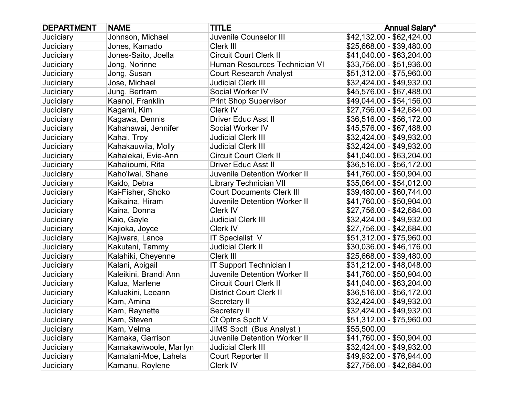| <b>DEPARTMENT</b> | <b>NAME</b>            | <b>TITLE</b>                        | <b>Annual Salary*</b>     |
|-------------------|------------------------|-------------------------------------|---------------------------|
| Judiciary         | Johnson, Michael       | Juvenile Counselor III              | \$42,132.00 - \$62,424.00 |
| Judiciary         | Jones, Kamado          | Clerk III                           | \$25,668.00 - \$39,480.00 |
| Judiciary         | Jones-Saito, Joella    | <b>Circuit Court Clerk II</b>       | \$41,040.00 - \$63,204.00 |
| Judiciary         | Jong, Norinne          | Human Resources Technician VI       | \$33,756.00 - \$51,936.00 |
| Judiciary         | Jong, Susan            | <b>Court Research Analyst</b>       | \$51,312.00 - \$75,960.00 |
| Judiciary         | Jose, Michael          | <b>Judicial Clerk III</b>           | \$32,424.00 - \$49,932.00 |
| Judiciary         | Jung, Bertram          | Social Worker IV                    | \$45,576.00 - \$67,488.00 |
| Judiciary         | Kaanoi, Franklin       | <b>Print Shop Supervisor</b>        | \$49,044.00 - \$54,156.00 |
| Judiciary         | Kagami, Kim            | Clerk IV                            | \$27,756.00 - \$42,684.00 |
| Judiciary         | Kagawa, Dennis         | <b>Driver Educ Asst II</b>          | \$36,516.00 - \$56,172.00 |
| Judiciary         | Kahahawai, Jennifer    | Social Worker IV                    | \$45,576.00 - \$67,488.00 |
| Judiciary         | Kahai, Troy            | <b>Judicial Clerk III</b>           | \$32,424.00 - \$49,932.00 |
| Judiciary         | Kahakauwila, Molly     | <b>Judicial Clerk III</b>           | \$32,424.00 - \$49,932.00 |
| Judiciary         | Kahalekai, Evie-Ann    | <b>Circuit Court Clerk II</b>       | \$41,040.00 - \$63,204.00 |
| Judiciary         | Kahalioumi, Rita       | <b>Driver Educ Asst II</b>          | \$36,516.00 - \$56,172.00 |
| Judiciary         | Kaho'iwai, Shane       | Juvenile Detention Worker II        | \$41,760.00 - \$50,904.00 |
| Judiciary         | Kaido, Debra           | <b>Library Technician VII</b>       | \$35,064.00 - \$54,012.00 |
| Judiciary         | Kai-Fisher, Shoko      | <b>Court Documents Clerk III</b>    | \$39,480.00 - \$60,744.00 |
| Judiciary         | Kaikaina, Hiram        | Juvenile Detention Worker II        | \$41,760.00 - \$50,904.00 |
| Judiciary         | Kaina, Donna           | Clerk IV                            | \$27,756.00 - \$42,684.00 |
| Judiciary         | Kaio, Gayle            | <b>Judicial Clerk III</b>           | \$32,424.00 - \$49,932.00 |
| Judiciary         | Kajioka, Joyce         | Clerk IV                            | \$27,756.00 - \$42,684.00 |
| Judiciary         | Kajiwara, Lance        | <b>IT Specialist V</b>              | \$51,312.00 - \$75,960.00 |
| Judiciary         | Kakutani, Tammy        | <b>Judicial Clerk II</b>            | \$30,036.00 - \$46,176.00 |
| Judiciary         | Kalahiki, Cheyenne     | Clerk III                           | \$25,668.00 - \$39,480.00 |
| Judiciary         | Kalani, Abigail        | IT Support Technician I             | \$31,212.00 - \$48,048.00 |
| Judiciary         | Kaleikini, Brandi Ann  | <b>Juvenile Detention Worker II</b> | \$41,760.00 - \$50,904.00 |
| Judiciary         | Kalua, Marlene         | <b>Circuit Court Clerk II</b>       | \$41,040.00 - \$63,204.00 |
| Judiciary         | Kaluakini, Leeann      | <b>District Court Clerk II</b>      | \$36,516.00 - \$56,172.00 |
| Judiciary         | Kam, Amina             | Secretary II                        | \$32,424.00 - \$49,932.00 |
| Judiciary         | Kam, Raynette          | Secretary II                        | \$32,424.00 - \$49,932.00 |
| Judiciary         | Kam, Steven            | Ct Optns Spclt V                    | \$51,312.00 - \$75,960.00 |
| Judiciary         | Kam, Velma             | <b>JIMS Spclt (Bus Analyst)</b>     | \$55,500.00               |
| Judiciary         | Kamaka, Garrison       | Juvenile Detention Worker II        | \$41,760.00 - \$50,904.00 |
| Judiciary         | Kamakawiwoole, Marilyn | <b>Judicial Clerk III</b>           | \$32,424.00 - \$49,932.00 |
| Judiciary         | Kamalani-Moe, Lahela   | Court Reporter II                   | \$49,932.00 - \$76,944.00 |
| Judiciary         | Kamanu, Roylene        | Clerk IV                            | \$27,756.00 - \$42,684.00 |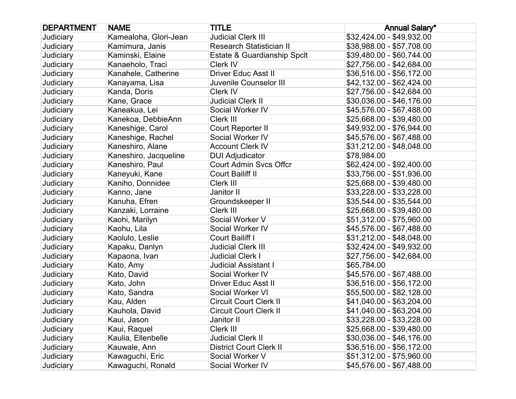| <b>DEPARTMENT</b> | <b>NAME</b>           | <b>TITLE</b>                    | <b>Annual Salary*</b>     |
|-------------------|-----------------------|---------------------------------|---------------------------|
| Judiciary         | Kamealoha, Glori-Jean | <b>Judicial Clerk III</b>       | \$32,424.00 - \$49,932.00 |
| Judiciary         | Kamimura, Janis       | <b>Research Statistician II</b> | \$38,988.00 - \$57,708.00 |
| Judiciary         | Kaminski, Elaine      | Estate & Guardianship Spclt     | \$39,480.00 - \$60,744.00 |
| Judiciary         | Kanaeholo, Traci      | Clerk IV                        | \$27,756.00 - \$42,684.00 |
| Judiciary         | Kanahele, Catherine   | <b>Driver Educ Asst II</b>      | \$36,516.00 - \$56,172.00 |
| Judiciary         | Kanayama, Lisa        | Juvenile Counselor III          | \$42,132.00 - \$62,424.00 |
| Judiciary         | Kanda, Doris          | Clerk IV                        | \$27,756.00 - \$42,684.00 |
| Judiciary         | Kane, Grace           | <b>Judicial Clerk II</b>        | \$30,036.00 - \$46,176.00 |
| Judiciary         | Kaneakua, Lei         | Social Worker IV                | \$45,576.00 - \$67,488.00 |
| Judiciary         | Kanekoa, DebbieAnn    | Clerk III                       | \$25,668.00 - \$39,480.00 |
| Judiciary         | Kaneshige, Carol      | Court Reporter II               | \$49,932.00 - \$76,944.00 |
| Judiciary         | Kaneshige, Rachel     | Social Worker IV                | \$45,576.00 - \$67,488.00 |
| Judiciary         | Kaneshiro, Alane      | <b>Account Clerk IV</b>         | \$31,212.00 - \$48,048.00 |
| Judiciary         | Kaneshiro, Jacqueline | <b>DUI Adjudicator</b>          | \$78,984.00               |
| Judiciary         | Kaneshiro, Paul       | <b>Court Admin Svcs Offcr</b>   | \$62,424.00 - \$92,400.00 |
| Judiciary         | Kaneyuki, Kane        | Court Bailiff II                | \$33,756.00 - \$51,936.00 |
| Judiciary         | Kaniho, Donnidee      | Clerk III                       | \$25,668.00 - \$39,480.00 |
| Judiciary         | Kanno, Jane           | Janitor II                      | \$33,228.00 - \$33,228.00 |
| Judiciary         | Kanuha, Efren         | Groundskeeper II                | \$35,544.00 - \$35,544.00 |
| Judiciary         | Kanzaki, Lorraine     | Clerk III                       | \$25,668.00 - \$39,480.00 |
| Judiciary         | Kaohi, Marilyn        | Social Worker V                 | \$51,312.00 - \$75,960.00 |
| Judiciary         | Kaohu, Lila           | Social Worker IV                | \$45,576.00 - \$67,488.00 |
| Judiciary         | Kaolulo, Leslie       | Court Bailiff I                 | \$31,212.00 - \$48,048.00 |
| Judiciary         | Kapaku, Danlyn        | <b>Judicial Clerk III</b>       | \$32,424.00 - \$49,932.00 |
| Judiciary         | Kapaona, Ivan         | <b>Judicial Clerk I</b>         | \$27,756.00 - \$42,684.00 |
| Judiciary         | Kato, Amy             | <b>Judicial Assistant I</b>     | \$65,784.00               |
| Judiciary         | Kato, David           | Social Worker IV                | \$45,576.00 - \$67,488.00 |
| Judiciary         | Kato, John            | <b>Driver Educ Asst II</b>      | \$36,516.00 - \$56,172.00 |
| Judiciary         | Kato, Sandra          | Social Worker VI                | \$55,500.00 - \$82,128.00 |
| Judiciary         | Kau, Alden            | <b>Circuit Court Clerk II</b>   | \$41,040.00 - \$63,204.00 |
| Judiciary         | Kauhola, David        | <b>Circuit Court Clerk II</b>   | \$41,040.00 - \$63,204.00 |
| Judiciary         | Kaui, Jason           | Janitor II                      | \$33,228.00 - \$33,228.00 |
| Judiciary         | Kaui, Raquel          | Clerk III                       | \$25,668.00 - \$39,480.00 |
| Judiciary         | Kaulia, Ellenbelle    | <b>Judicial Clerk II</b>        | \$30,036.00 - \$46,176.00 |
| Judiciary         | Kauwale, Ann          | <b>District Court Clerk II</b>  | \$36,516.00 - \$56,172.00 |
| Judiciary         | Kawaguchi, Eric       | Social Worker V                 | \$51,312.00 - \$75,960.00 |
| Judiciary         | Kawaguchi, Ronald     | Social Worker IV                | \$45,576.00 - \$67,488.00 |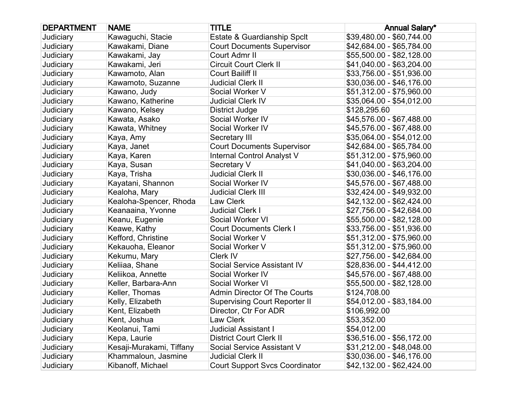| <b>DEPARTMENT</b> | <b>NAME</b>              | <b>TITLE</b>                          | <b>Annual Salary*</b>     |
|-------------------|--------------------------|---------------------------------------|---------------------------|
| Judiciary         | Kawaguchi, Stacie        | Estate & Guardianship Spclt           | \$39,480.00 - \$60,744.00 |
| Judiciary         | Kawakami, Diane          | <b>Court Documents Supervisor</b>     | \$42,684.00 - \$65,784.00 |
| Judiciary         | Kawakami, Jay            | Court Admr II                         | \$55,500.00 - \$82,128.00 |
| Judiciary         | Kawakami, Jeri           | <b>Circuit Court Clerk II</b>         | \$41,040.00 - \$63,204.00 |
| Judiciary         | Kawamoto, Alan           | Court Bailiff II                      | \$33,756.00 - \$51,936.00 |
| Judiciary         | Kawamoto, Suzanne        | <b>Judicial Clerk II</b>              | \$30,036.00 - \$46,176.00 |
| Judiciary         | Kawano, Judy             | Social Worker V                       | \$51,312.00 - \$75,960.00 |
| Judiciary         | Kawano, Katherine        | <b>Judicial Clerk IV</b>              | \$35,064.00 - \$54,012.00 |
| Judiciary         | Kawano, Kelsey           | <b>District Judge</b>                 | \$128,295.60              |
| Judiciary         | Kawata, Asako            | Social Worker IV                      | \$45,576.00 - \$67,488.00 |
| Judiciary         | Kawata, Whitney          | Social Worker IV                      | \$45,576.00 - \$67,488.00 |
| Judiciary         | Kaya, Amy                | Secretary III                         | \$35,064.00 - \$54,012.00 |
| Judiciary         | Kaya, Janet              | <b>Court Documents Supervisor</b>     | \$42,684.00 - \$65,784.00 |
| Judiciary         | Kaya, Karen              | Internal Control Analyst V            | \$51,312.00 - \$75,960.00 |
| Judiciary         | Kaya, Susan              | Secretary V                           | \$41,040.00 - \$63,204.00 |
| Judiciary         | Kaya, Trisha             | <b>Judicial Clerk II</b>              | \$30,036.00 - \$46,176.00 |
| Judiciary         | Kayatani, Shannon        | Social Worker IV                      | \$45,576.00 - \$67,488.00 |
| Judiciary         | Kealoha, Mary            | <b>Judicial Clerk III</b>             | \$32,424.00 - \$49,932.00 |
| Judiciary         | Kealoha-Spencer, Rhoda   | Law Clerk                             | \$42,132.00 - \$62,424.00 |
| Judiciary         | Keanaaina, Yvonne        | <b>Judicial Clerk I</b>               | \$27,756.00 - \$42,684.00 |
| Judiciary         | Keanu, Eugenie           | Social Worker VI                      | \$55,500.00 - \$82,128.00 |
| Judiciary         | Keawe, Kathy             | <b>Court Documents Clerk I</b>        | \$33,756.00 - \$51,936.00 |
| Judiciary         | Kefford, Christine       | Social Worker V                       | \$51,312.00 - \$75,960.00 |
| Judiciary         | Kekauoha, Eleanor        | Social Worker V                       | \$51,312.00 - \$75,960.00 |
| Judiciary         | Kekumu, Mary             | Clerk IV                              | \$27,756.00 - \$42,684.00 |
| Judiciary         | Keliiaa, Shane           | Social Service Assistant IV           | \$28,836.00 - \$44,412.00 |
| Judiciary         | Keliikoa, Annette        | Social Worker IV                      | \$45,576.00 - \$67,488.00 |
| Judiciary         | Keller, Barbara-Ann      | Social Worker VI                      | \$55,500.00 - \$82,128.00 |
| Judiciary         | Keller, Thomas           | Admin Director Of The Courts          | \$124,708.00              |
| Judiciary         | Kelly, Elizabeth         | <b>Supervising Court Reporter II</b>  | \$54,012.00 - \$83,184.00 |
| Judiciary         | Kent, Elizabeth          | Director, Ctr For ADR                 | \$106,992.00              |
| Judiciary         | Kent, Joshua             | Law Clerk                             | \$53,352.00               |
| Judiciary         | Keolanui, Tami           | <b>Judicial Assistant I</b>           | \$54,012.00               |
| Judiciary         | Kepa, Laurie             | <b>District Court Clerk II</b>        | \$36,516.00 - \$56,172.00 |
| Judiciary         | Kesaji-Murakami, Tiffany | Social Service Assistant V            | \$31,212.00 - \$48,048.00 |
| Judiciary         | Khammaloun, Jasmine      | <b>Judicial Clerk II</b>              | \$30,036.00 - \$46,176.00 |
| Judiciary         | Kibanoff, Michael        | <b>Court Support Svcs Coordinator</b> | \$42,132.00 - \$62,424.00 |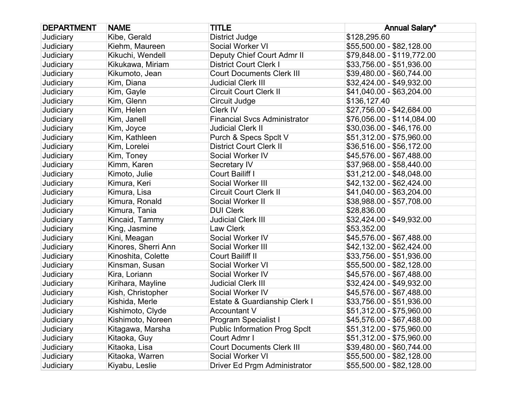| <b>DEPARTMENT</b> | <b>NAME</b>         | <b>TITLE</b>                         | <b>Annual Salary*</b>      |
|-------------------|---------------------|--------------------------------------|----------------------------|
| Judiciary         | Kibe, Gerald        | <b>District Judge</b>                | \$128,295.60               |
| Judiciary         | Kiehm, Maureen      | Social Worker VI                     | \$55,500.00 - \$82,128.00  |
| Judiciary         | Kikuchi, Wendell    | Deputy Chief Court Admr II           | \$79,848.00 - \$119,772.00 |
| Judiciary         | Kikukawa, Miriam    | <b>District Court Clerk I</b>        | \$33,756.00 - \$51,936.00  |
| Judiciary         | Kikumoto, Jean      | <b>Court Documents Clerk III</b>     | \$39,480.00 - \$60,744.00  |
| Judiciary         | Kim, Diana          | <b>Judicial Clerk III</b>            | \$32,424.00 - \$49,932.00  |
| Judiciary         | Kim, Gayle          | <b>Circuit Court Clerk II</b>        | \$41,040.00 - \$63,204.00  |
| Judiciary         | Kim, Glenn          | Circuit Judge                        | \$136,127.40               |
| Judiciary         | Kim, Helen          | Clerk IV                             | \$27,756.00 - \$42,684.00  |
| Judiciary         | Kim, Janell         | <b>Financial Svcs Administrator</b>  | \$76,056.00 - \$114,084.00 |
| Judiciary         | Kim, Joyce          | Judicial Clerk II                    | \$30,036.00 - \$46,176.00  |
| Judiciary         | Kim, Kathleen       | Purch & Specs Spclt V                | \$51,312.00 - \$75,960.00  |
| Judiciary         | Kim, Lorelei        | <b>District Court Clerk II</b>       | \$36,516.00 - \$56,172.00  |
| Judiciary         | Kim, Toney          | Social Worker IV                     | \$45,576.00 - \$67,488.00  |
| Judiciary         | Kimm, Karen         | Secretary IV                         | \$37,968.00 - \$58,440.00  |
| Judiciary         | Kimoto, Julie       | Court Bailiff I                      | \$31,212.00 - \$48,048.00  |
| Judiciary         | Kimura, Keri        | Social Worker III                    | \$42,132.00 - \$62,424.00  |
| Judiciary         | Kimura, Lisa        | <b>Circuit Court Clerk II</b>        | \$41,040.00 - \$63,204.00  |
| Judiciary         | Kimura, Ronald      | Social Worker II                     | \$38,988.00 - \$57,708.00  |
| Judiciary         | Kimura, Tania       | <b>DUI Clerk</b>                     | \$28,836.00                |
| Judiciary         | Kincaid, Tammy      | <b>Judicial Clerk III</b>            | \$32,424.00 - \$49,932.00  |
| Judiciary         | King, Jasmine       | Law Clerk                            | \$53,352.00                |
| Judiciary         | Kini, Meagan        | Social Worker IV                     | \$45,576.00 - \$67,488.00  |
| Judiciary         | Kinores, Sherri Ann | Social Worker III                    | \$42,132.00 - \$62,424.00  |
| Judiciary         | Kinoshita, Colette  | Court Bailiff II                     | \$33,756.00 - \$51,936.00  |
| Judiciary         | Kinsman, Susan      | Social Worker VI                     | \$55,500.00 - \$82,128.00  |
| Judiciary         | Kira, Loriann       | Social Worker IV                     | \$45,576.00 - \$67,488.00  |
| Judiciary         | Kirihara, Mayline   | <b>Judicial Clerk III</b>            | \$32,424.00 - \$49,932.00  |
| Judiciary         | Kish, Christopher   | Social Worker IV                     | \$45,576.00 - \$67,488.00  |
| Judiciary         | Kishida, Merle      | Estate & Guardianship Clerk I        | \$33,756.00 - \$51,936.00  |
| Judiciary         | Kishimoto, Clyde    | <b>Accountant V</b>                  | \$51,312.00 - \$75,960.00  |
| Judiciary         | Kishimoto, Noreen   | Program Specialist I                 | \$45,576.00 - \$67,488.00  |
| Judiciary         | Kitagawa, Marsha    | <b>Public Information Prog Spclt</b> | \$51,312.00 - \$75,960.00  |
| Judiciary         | Kitaoka, Guy        | Court Admr I                         | \$51,312.00 - \$75,960.00  |
| Judiciary         | Kitaoka, Lisa       | <b>Court Documents Clerk III</b>     | \$39,480.00 - \$60,744.00  |
| Judiciary         | Kitaoka, Warren     | Social Worker VI                     | \$55,500.00 - \$82,128.00  |
| Judiciary         | Kiyabu, Leslie      | Driver Ed Prgm Administrator         | \$55,500.00 - \$82,128.00  |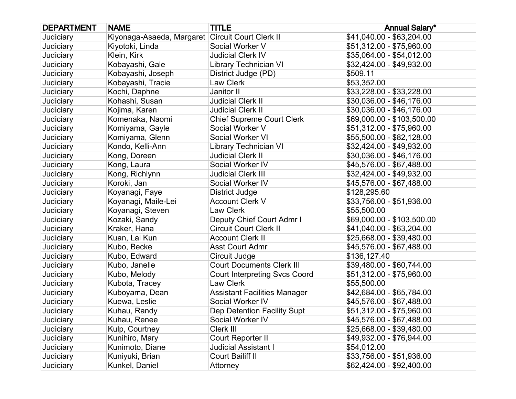| <b>DEPARTMENT</b> | <b>NAME</b>                                      | <b>TITLE</b>                         | <b>Annual Salary*</b>      |
|-------------------|--------------------------------------------------|--------------------------------------|----------------------------|
| Judiciary         | Kiyonaga-Asaeda, Margaret Circuit Court Clerk II |                                      | \$41,040.00 - \$63,204.00  |
| Judiciary         | Kiyotoki, Linda                                  | Social Worker V                      | \$51,312.00 - \$75,960.00  |
| Judiciary         | Klein, Kirk                                      | <b>Judicial Clerk IV</b>             | \$35,064.00 - \$54,012.00  |
| Judiciary         | Kobayashi, Gale                                  | <b>Library Technician VI</b>         | \$32,424.00 - \$49,932.00  |
| Judiciary         | Kobayashi, Joseph                                | District Judge (PD)                  | \$509.11                   |
| Judiciary         | Kobayashi, Tracie                                | Law Clerk                            | \$53,352.00                |
| Judiciary         | Kochi, Daphne                                    | Janitor II                           | \$33,228.00 - \$33,228.00  |
| Judiciary         | Kohashi, Susan                                   | <b>Judicial Clerk II</b>             | \$30,036.00 - \$46,176.00  |
| Judiciary         | Kojima, Karen                                    | <b>Judicial Clerk II</b>             | \$30,036.00 - \$46,176.00  |
| Judiciary         | Komenaka, Naomi                                  | <b>Chief Supreme Court Clerk</b>     | \$69,000.00 - \$103,500.00 |
| Judiciary         | Komiyama, Gayle                                  | Social Worker V                      | \$51,312.00 - \$75,960.00  |
| Judiciary         | Komiyama, Glenn                                  | Social Worker VI                     | \$55,500.00 - \$82,128.00  |
| Judiciary         | Kondo, Kelli-Ann                                 | <b>Library Technician VI</b>         | \$32,424.00 - \$49,932.00  |
| Judiciary         | Kong, Doreen                                     | <b>Judicial Clerk II</b>             | \$30,036.00 - \$46,176.00  |
| Judiciary         | Kong, Laura                                      | Social Worker IV                     | \$45,576.00 - \$67,488.00  |
| Judiciary         | Kong, Richlynn                                   | <b>Judicial Clerk III</b>            | \$32,424.00 - \$49,932.00  |
| Judiciary         | Koroki, Jan                                      | Social Worker IV                     | \$45,576.00 - \$67,488.00  |
| Judiciary         | Koyanagi, Faye                                   | <b>District Judge</b>                | \$128,295.60               |
| Judiciary         | Koyanagi, Maile-Lei                              | <b>Account Clerk V</b>               | \$33,756.00 - \$51,936.00  |
| Judiciary         | Koyanagi, Steven                                 | Law Clerk                            | \$55,500.00                |
| Judiciary         | Kozaki, Sandy                                    | Deputy Chief Court Admr I            | \$69,000.00 - \$103,500.00 |
| Judiciary         | Kraker, Hana                                     | <b>Circuit Court Clerk II</b>        | \$41,040.00 - \$63,204.00  |
| Judiciary         | Kuan, Lai Kun                                    | <b>Account Clerk II</b>              | \$25,668.00 - \$39,480.00  |
| Judiciary         | Kubo, Becke                                      | <b>Asst Court Admr</b>               | \$45,576.00 - \$67,488.00  |
| Judiciary         | Kubo, Edward                                     | Circuit Judge                        | \$136,127.40               |
| Judiciary         | Kubo, Janelle                                    | <b>Court Documents Clerk III</b>     | \$39,480.00 - \$60,744.00  |
| Judiciary         | Kubo, Melody                                     | <b>Court Interpreting Svcs Coord</b> | \$51,312.00 - \$75,960.00  |
| Judiciary         | Kubota, Tracey                                   | Law Clerk                            | \$55,500.00                |
| Judiciary         | Kuboyama, Dean                                   | <b>Assistant Facilities Manager</b>  | \$42,684.00 - \$65,784.00  |
| Judiciary         | Kuewa, Leslie                                    | Social Worker IV                     | \$45,576.00 - \$67,488.00  |
| Judiciary         | Kuhau, Randy                                     | Dep Detention Facility Supt          | \$51,312.00 - \$75,960.00  |
| Judiciary         | Kuhau, Renee                                     | Social Worker IV                     | \$45,576.00 - \$67,488.00  |
| Judiciary         | Kulp, Courtney                                   | Clerk III                            | \$25,668.00 - \$39,480.00  |
| Judiciary         | Kunihiro, Mary                                   | Court Reporter II                    | \$49,932.00 - \$76,944.00  |
| Judiciary         | Kunimoto, Diane                                  | <b>Judicial Assistant I</b>          | \$54,012.00                |
| Judiciary         | Kuniyuki, Brian                                  | Court Bailiff II                     | \$33,756.00 - \$51,936.00  |
| Judiciary         | Kunkel, Daniel                                   | Attorney                             | \$62,424.00 - \$92,400.00  |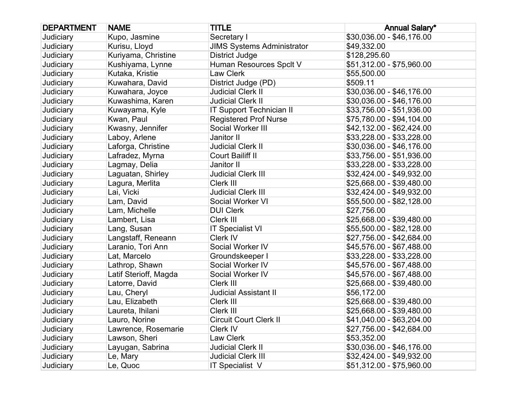| <b>DEPARTMENT</b> | <b>NAME</b>           | <b>TITLE</b>                      | <b>Annual Salary*</b>     |
|-------------------|-----------------------|-----------------------------------|---------------------------|
| Judiciary         | Kupo, Jasmine         | Secretary I                       | \$30,036.00 - \$46,176.00 |
| Judiciary         | Kurisu, Lloyd         | <b>JIMS Systems Administrator</b> | \$49,332.00               |
| Judiciary         | Kuriyama, Christine   | District Judge                    | \$128,295.60              |
| Judiciary         | Kushiyama, Lynne      | Human Resources Spclt V           | \$51,312.00 - \$75,960.00 |
| Judiciary         | Kutaka, Kristie       | Law Clerk                         | \$55,500.00               |
| Judiciary         | Kuwahara, David       | District Judge (PD)               | \$509.11                  |
| Judiciary         | Kuwahara, Joyce       | <b>Judicial Clerk II</b>          | \$30,036.00 - \$46,176.00 |
| Judiciary         | Kuwashima, Karen      | <b>Judicial Clerk II</b>          | \$30,036.00 - \$46,176.00 |
| Judiciary         | Kuwayama, Kyle        | <b>IT Support Technician II</b>   | \$33,756.00 - \$51,936.00 |
| Judiciary         | Kwan, Paul            | <b>Registered Prof Nurse</b>      | \$75,780.00 - \$94,104.00 |
| Judiciary         | Kwasny, Jennifer      | Social Worker III                 | \$42,132.00 - \$62,424.00 |
| Judiciary         | Laboy, Arlene         | Janitor II                        | \$33,228.00 - \$33,228.00 |
| Judiciary         | Laforga, Christine    | <b>Judicial Clerk II</b>          | \$30,036.00 - \$46,176.00 |
| Judiciary         | Lafradez, Myrna       | Court Bailiff II                  | \$33,756.00 - \$51,936.00 |
| Judiciary         | Lagmay, Delia         | Janitor II                        | \$33,228.00 - \$33,228.00 |
| Judiciary         | Laguatan, Shirley     | <b>Judicial Clerk III</b>         | \$32,424.00 - \$49,932.00 |
| Judiciary         | Lagura, Merlita       | Clerk III                         | \$25,668.00 - \$39,480.00 |
| Judiciary         | Lai, Vicki            | <b>Judicial Clerk III</b>         | \$32,424.00 - \$49,932.00 |
| Judiciary         | Lam, David            | Social Worker VI                  | \$55,500.00 - \$82,128.00 |
| Judiciary         | Lam, Michelle         | <b>DUI Clerk</b>                  | \$27,756.00               |
| Judiciary         | Lambert, Lisa         | Clerk III                         | \$25,668.00 - \$39,480.00 |
| Judiciary         | Lang, Susan           | <b>IT Specialist VI</b>           | \$55,500.00 - \$82,128.00 |
| Judiciary         | Langstaff, Reneann    | Clerk IV                          | \$27,756.00 - \$42,684.00 |
| Judiciary         | Laranio, Tori Ann     | Social Worker IV                  | \$45,576.00 - \$67,488.00 |
| Judiciary         | Lat, Marcelo          | Groundskeeper I                   | \$33,228.00 - \$33,228.00 |
| Judiciary         | Lathrop, Shawn        | Social Worker IV                  | \$45,576.00 - \$67,488.00 |
| Judiciary         | Latif Sterioff, Magda | Social Worker IV                  | \$45,576.00 - \$67,488.00 |
| Judiciary         | Latorre, David        | Clerk III                         | \$25,668.00 - \$39,480.00 |
| Judiciary         | Lau, Cheryl           | <b>Judicial Assistant II</b>      | \$56,172.00               |
| Judiciary         | Lau, Elizabeth        | Clerk III                         | \$25,668.00 - \$39,480.00 |
| Judiciary         | Laureta, Ihilani      | Clerk III                         | \$25,668.00 - \$39,480.00 |
| Judiciary         | Lauro, Norine         | <b>Circuit Court Clerk II</b>     | \$41,040.00 - \$63,204.00 |
| Judiciary         | Lawrence, Rosemarie   | Clerk IV                          | \$27,756.00 - \$42,684.00 |
| Judiciary         | Lawson, Sheri         | Law Clerk                         | \$53,352.00               |
| Judiciary         | Layugan, Sabrina      | <b>Judicial Clerk II</b>          | \$30,036.00 - \$46,176.00 |
| Judiciary         | Le, Mary              | <b>Judicial Clerk III</b>         | \$32,424.00 - \$49,932.00 |
| Judiciary         | Le, Quoc              | IT Specialist V                   | \$51,312.00 - \$75,960.00 |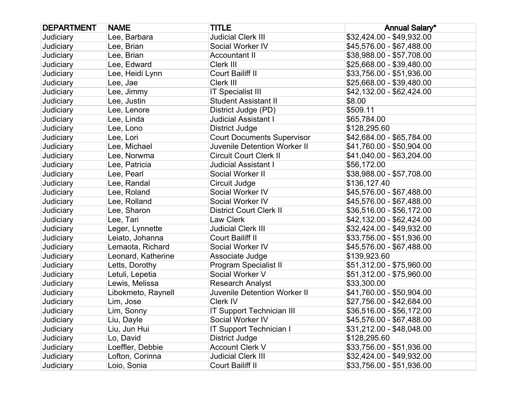| <b>DEPARTMENT</b> | <b>NAME</b>        | <b>TITLE</b>                        | <b>Annual Salary*</b>     |
|-------------------|--------------------|-------------------------------------|---------------------------|
| Judiciary         | Lee, Barbara       | <b>Judicial Clerk III</b>           | \$32,424.00 - \$49,932.00 |
| Judiciary         | Lee, Brian         | Social Worker IV                    | \$45,576.00 - \$67,488.00 |
| Judiciary         | Lee, Brian         | <b>Accountant II</b>                | \$38,988.00 - \$57,708.00 |
| <b>Judiciary</b>  | Lee, Edward        | Clerk III                           | \$25,668.00 - \$39,480.00 |
| Judiciary         | Lee, Heidi Lynn    | Court Bailiff II                    | \$33,756.00 - \$51,936.00 |
| <b>Judiciary</b>  | Lee, Jae           | Clerk III                           | \$25,668.00 - \$39,480.00 |
| Judiciary         | Lee, Jimmy         | <b>IT Specialist III</b>            | \$42,132.00 - \$62,424.00 |
| Judiciary         | Lee, Justin        | <b>Student Assistant II</b>         | \$8.00                    |
| Judiciary         | Lee, Lenore        | District Judge (PD)                 | \$509.11                  |
| <b>Judiciary</b>  | Lee, Linda         | Judicial Assistant I                | \$65,784.00               |
| Judiciary         | Lee, Lono          | District Judge                      | \$128,295.60              |
| <b>Judiciary</b>  | Lee, Lori          | <b>Court Documents Supervisor</b>   | \$42,684.00 - \$65,784.00 |
| Judiciary         | Lee, Michael       | <b>Juvenile Detention Worker II</b> | \$41,760.00 - \$50,904.00 |
| Judiciary         | Lee, Norwma        | <b>Circuit Court Clerk II</b>       | \$41,040.00 - \$63,204.00 |
| Judiciary         | Lee, Patricia      | <b>Judicial Assistant I</b>         | \$56,172.00               |
| <b>Judiciary</b>  | Lee, Pearl         | Social Worker II                    | \$38,988.00 - \$57,708.00 |
| <b>Judiciary</b>  | Lee, Randal        | Circuit Judge                       | \$136,127.40              |
| <b>Judiciary</b>  | Lee, Roland        | Social Worker IV                    | \$45,576.00 - \$67,488.00 |
| Judiciary         | Lee, Rolland       | Social Worker IV                    | \$45,576.00 - \$67,488.00 |
| Judiciary         | Lee, Sharon        | <b>District Court Clerk II</b>      | \$36,516.00 - \$56,172.00 |
| Judiciary         | Lee, Tari          | Law Clerk                           | \$42,132.00 - \$62,424.00 |
| <b>Judiciary</b>  | Leger, Lynnette    | <b>Judicial Clerk III</b>           | \$32,424.00 - \$49,932.00 |
| <b>Judiciary</b>  | Leiato, Johanna    | Court Bailiff II                    | \$33,756.00 - \$51,936.00 |
| Judiciary         | Lemaota, Richard   | Social Worker IV                    | \$45,576.00 - \$67,488.00 |
| Judiciary         | Leonard, Katherine | Associate Judge                     | \$139,923.60              |
| Judiciary         | Letts, Dorothy     | <b>Program Specialist II</b>        | \$51,312.00 - \$75,960.00 |
| Judiciary         | Letuli, Lepetia    | Social Worker V                     | \$51,312.00 - \$75,960.00 |
| Judiciary         | Lewis, Melissa     | <b>Research Analyst</b>             | \$33,300.00               |
| Judiciary         | Libokmeto, Raynell | Juvenile Detention Worker II        | \$41,760.00 - \$50,904.00 |
| Judiciary         | Lim, Jose          | Clerk IV                            | \$27,756.00 - \$42,684.00 |
| Judiciary         | Lim, Sonny         | <b>IT Support Technician III</b>    | \$36,516.00 - \$56,172.00 |
| Judiciary         | Liu, Dayle         | Social Worker IV                    | \$45,576.00 - \$67,488.00 |
| Judiciary         | Liu, Jun Hui       | <b>IT Support Technician I</b>      | \$31,212.00 - \$48,048.00 |
| Judiciary         | Lo, David          | <b>District Judge</b>               | \$128,295.60              |
| Judiciary         | Loeffler, Debbie   | <b>Account Clerk V</b>              | \$33,756.00 - \$51,936.00 |
| Judiciary         | Lofton, Corinna    | <b>Judicial Clerk III</b>           | \$32,424.00 - \$49,932.00 |
| Judiciary         | Loio, Sonia        | Court Bailiff II                    | \$33,756.00 - \$51,936.00 |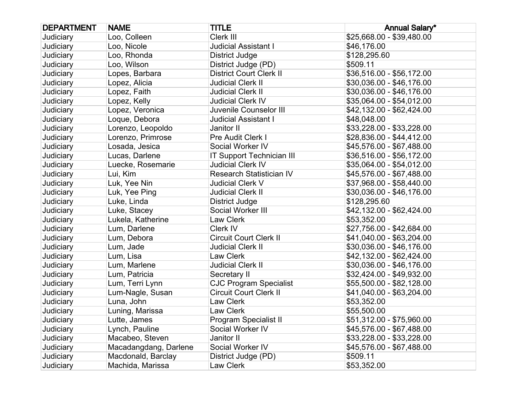| <b>DEPARTMENT</b> | <b>NAME</b>           | <b>TITLE</b>                     | <b>Annual Salary*</b>     |
|-------------------|-----------------------|----------------------------------|---------------------------|
| Judiciary         | Loo, Colleen          | Clerk III                        | \$25,668.00 - \$39,480.00 |
| Judiciary         | Loo, Nicole           | <b>Judicial Assistant I</b>      | \$46,176.00               |
| Judiciary         | Loo, Rhonda           | District Judge                   | \$128,295.60              |
| Judiciary         | Loo, Wilson           | District Judge (PD)              | \$509.11                  |
| Judiciary         | Lopes, Barbara        | <b>District Court Clerk II</b>   | \$36,516.00 - \$56,172.00 |
| Judiciary         | Lopez, Alicia         | <b>Judicial Clerk II</b>         | \$30,036.00 - \$46,176.00 |
| Judiciary         | Lopez, Faith          | <b>Judicial Clerk II</b>         | \$30,036.00 - \$46,176.00 |
| Judiciary         | Lopez, Kelly          | <b>Judicial Clerk IV</b>         | \$35,064.00 - \$54,012.00 |
| Judiciary         | Lopez, Veronica       | Juvenile Counselor III           | \$42,132.00 - \$62,424.00 |
| Judiciary         | Loque, Debora         | <b>Judicial Assistant I</b>      | \$48,048.00               |
| Judiciary         | Lorenzo, Leopoldo     | Janitor II                       | \$33,228.00 - \$33,228.00 |
| Judiciary         | Lorenzo, Primrose     | Pre Audit Clerk I                | \$28,836.00 - \$44,412.00 |
| Judiciary         | Losada, Jesica        | Social Worker IV                 | \$45,576.00 - \$67,488.00 |
| Judiciary         | Lucas, Darlene        | <b>IT Support Technician III</b> | \$36,516.00 - \$56,172.00 |
| Judiciary         | Luecke, Rosemarie     | <b>Judicial Clerk IV</b>         | \$35,064.00 - \$54,012.00 |
| Judiciary         | Lui, Kim              | <b>Research Statistician IV</b>  | \$45,576.00 - \$67,488.00 |
| Judiciary         | Luk, Yee Nin          | <b>Judicial Clerk V</b>          | \$37,968.00 - \$58,440.00 |
| Judiciary         | Luk, Yee Ping         | <b>Judicial Clerk II</b>         | \$30,036.00 - \$46,176.00 |
| Judiciary         | Luke, Linda           | <b>District Judge</b>            | \$128,295.60              |
| Judiciary         | Luke, Stacey          | Social Worker III                | \$42,132.00 - \$62,424.00 |
| Judiciary         | Lukela, Katherine     | Law Clerk                        | \$53,352.00               |
| Judiciary         | Lum, Darlene          | Clerk IV                         | \$27,756.00 - \$42,684.00 |
| Judiciary         | Lum, Debora           | <b>Circuit Court Clerk II</b>    | \$41,040.00 - \$63,204.00 |
| Judiciary         | Lum, Jade             | <b>Judicial Clerk II</b>         | \$30,036.00 - \$46,176.00 |
| Judiciary         | Lum, Lisa             | Law Clerk                        | \$42,132.00 - \$62,424.00 |
| Judiciary         | Lum, Marlene          | <b>Judicial Clerk II</b>         | \$30,036.00 - \$46,176.00 |
| Judiciary         | Lum, Patricia         | Secretary II                     | \$32,424.00 - \$49,932.00 |
| Judiciary         | Lum, Terri Lynn       | <b>CJC Program Specialist</b>    | \$55,500.00 - \$82,128.00 |
| Judiciary         | Lum-Nagle, Susan      | <b>Circuit Court Clerk II</b>    | \$41,040.00 - \$63,204.00 |
| Judiciary         | Luna, John            | Law Clerk                        | \$53,352.00               |
| Judiciary         | Luning, Marissa       | Law Clerk                        | \$55,500.00               |
| Judiciary         | Lutte, James          | Program Specialist II            | \$51,312.00 - \$75,960.00 |
| Judiciary         | Lynch, Pauline        | Social Worker IV                 | \$45,576.00 - \$67,488.00 |
| Judiciary         | Macabeo, Steven       | Janitor II                       | \$33,228.00 - \$33,228.00 |
| Judiciary         | Macadangdang, Darlene | Social Worker IV                 | \$45,576.00 - \$67,488.00 |
| Judiciary         | Macdonald, Barclay    | District Judge (PD)              | \$509.11                  |
| Judiciary         | Machida, Marissa      | Law Clerk                        | \$53,352.00               |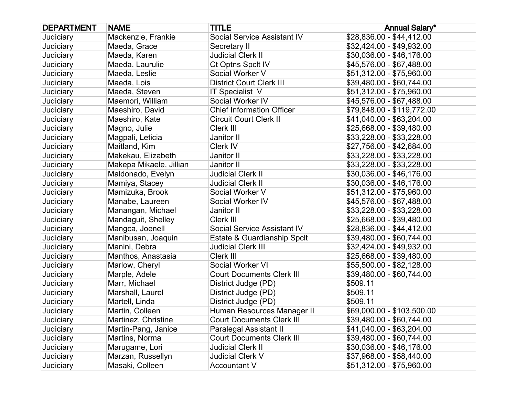| <b>DEPARTMENT</b> | <b>NAME</b>             | <b>TITLE</b>                     | <b>Annual Salary*</b>      |
|-------------------|-------------------------|----------------------------------|----------------------------|
| Judiciary         | Mackenzie, Frankie      | Social Service Assistant IV      | \$28,836.00 - \$44,412.00  |
| Judiciary         | Maeda, Grace            | Secretary II                     | \$32,424.00 - \$49,932.00  |
| Judiciary         | Maeda, Karen            | <b>Judicial Clerk II</b>         | \$30,036.00 - \$46,176.00  |
| Judiciary         | Maeda, Laurulie         | Ct Optns Spclt IV                | \$45,576.00 - \$67,488.00  |
| Judiciary         | Maeda, Leslie           | Social Worker V                  | \$51,312.00 - \$75,960.00  |
| Judiciary         | Maeda, Lois             | <b>District Court Clerk III</b>  | \$39,480.00 - \$60,744.00  |
| Judiciary         | Maeda, Steven           | IT Specialist V                  | \$51,312.00 - \$75,960.00  |
| Judiciary         | Maemori, William        | Social Worker IV                 | \$45,576.00 - \$67,488.00  |
| Judiciary         | Maeshiro, David         | <b>Chief Information Officer</b> | \$79,848.00 - \$119,772.00 |
| Judiciary         | Maeshiro, Kate          | <b>Circuit Court Clerk II</b>    | \$41,040.00 - \$63,204.00  |
| Judiciary         | Magno, Julie            | Clerk III                        | \$25,668.00 - \$39,480.00  |
| Judiciary         | Magpali, Leticia        | Janitor II                       | \$33,228.00 - \$33,228.00  |
| Judiciary         | Maitland, Kim           | Clerk IV                         | \$27,756.00 - \$42,684.00  |
| Judiciary         | Makekau, Elizabeth      | Janitor II                       | \$33,228.00 - \$33,228.00  |
| Judiciary         | Makepa Mikaele, Jillian | Janitor II                       | \$33,228.00 - \$33,228.00  |
| Judiciary         | Maldonado, Evelyn       | <b>Judicial Clerk II</b>         | \$30,036.00 - \$46,176.00  |
| Judiciary         | Mamiya, Stacey          | <b>Judicial Clerk II</b>         | \$30,036.00 - \$46,176.00  |
| Judiciary         | Mamizuka, Brook         | Social Worker V                  | \$51,312.00 - \$75,960.00  |
| Judiciary         | Manabe, Laureen         | Social Worker IV                 | \$45,576.00 - \$67,488.00  |
| Judiciary         | Manangan, Michael       | Janitor II                       | \$33,228.00 - \$33,228.00  |
| Judiciary         | Mandaguit, Shelley      | Clerk III                        | \$25,668.00 - \$39,480.00  |
| Judiciary         | Mangca, Joenell         | Social Service Assistant IV      | \$28,836.00 - \$44,412.00  |
| Judiciary         | Manibusan, Joaquin      | Estate & Guardianship Spclt      | \$39,480.00 - \$60,744.00  |
| Judiciary         | Manini, Debra           | <b>Judicial Clerk III</b>        | \$32,424.00 - \$49,932.00  |
| Judiciary         | Manthos, Anastasia      | Clerk III                        | \$25,668.00 - \$39,480.00  |
| Judiciary         | Marlow, Cheryl          | Social Worker VI                 | \$55,500.00 - \$82,128.00  |
| Judiciary         | Marple, Adele           | <b>Court Documents Clerk III</b> | \$39,480.00 - \$60,744.00  |
| Judiciary         | Marr, Michael           | District Judge (PD)              | \$509.11                   |
| Judiciary         | Marshall, Laurel        | District Judge (PD)              | \$509.11                   |
| Judiciary         | Martell, Linda          | District Judge (PD)              | \$509.11                   |
| Judiciary         | Martin, Colleen         | Human Resources Manager II       | \$69,000.00 - \$103,500.00 |
| Judiciary         | Martinez, Christine     | <b>Court Documents Clerk III</b> | \$39,480.00 - \$60,744.00  |
| Judiciary         | Martin-Pang, Janice     | <b>Paralegal Assistant II</b>    | \$41,040.00 - \$63,204.00  |
| Judiciary         | Martins, Norma          | <b>Court Documents Clerk III</b> | \$39,480.00 - \$60,744.00  |
| Judiciary         | Marugame, Lori          | <b>Judicial Clerk II</b>         | \$30,036.00 - \$46,176.00  |
| Judiciary         | Marzan, Russellyn       | Judicial Clerk V                 | \$37,968.00 - \$58,440.00  |
| Judiciary         | Masaki, Colleen         | <b>Accountant V</b>              | \$51,312.00 - \$75,960.00  |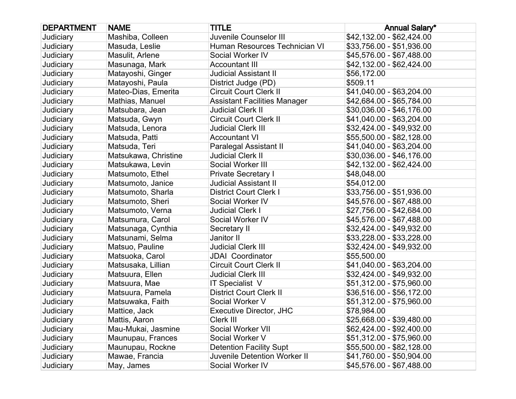| <b>DEPARTMENT</b> | <b>NAME</b>          | <b>TITLE</b>                        | <b>Annual Salary*</b>     |
|-------------------|----------------------|-------------------------------------|---------------------------|
| Judiciary         | Mashiba, Colleen     | Juvenile Counselor III              | \$42,132.00 - \$62,424.00 |
| Judiciary         | Masuda, Leslie       | Human Resources Technician VI       | \$33,756.00 - \$51,936.00 |
| Judiciary         | Masulit, Arlene      | Social Worker IV                    | \$45,576.00 - \$67,488.00 |
| Judiciary         | Masunaga, Mark       | <b>Accountant III</b>               | \$42,132.00 - \$62,424.00 |
| Judiciary         | Matayoshi, Ginger    | <b>Judicial Assistant II</b>        | \$56,172.00               |
| Judiciary         | Matayoshi, Paula     | District Judge (PD)                 | \$509.11                  |
| Judiciary         | Mateo-Dias, Emerita  | <b>Circuit Court Clerk II</b>       | \$41,040.00 - \$63,204.00 |
| Judiciary         | Mathias, Manuel      | <b>Assistant Facilities Manager</b> | \$42,684.00 - \$65,784.00 |
| Judiciary         | Matsubara, Jean      | <b>Judicial Clerk II</b>            | \$30,036.00 - \$46,176.00 |
| Judiciary         | Matsuda, Gwyn        | <b>Circuit Court Clerk II</b>       | \$41,040.00 - \$63,204.00 |
| Judiciary         | Matsuda, Lenora      | <b>Judicial Clerk III</b>           | \$32,424.00 - \$49,932.00 |
| Judiciary         | Matsuda, Patti       | <b>Accountant VI</b>                | \$55,500.00 - \$82,128.00 |
| Judiciary         | Matsuda, Teri        | Paralegal Assistant II              | \$41,040.00 - \$63,204.00 |
| Judiciary         | Matsukawa, Christine | <b>Judicial Clerk II</b>            | \$30,036.00 - \$46,176.00 |
| Judiciary         | Matsukawa, Levin     | Social Worker III                   | \$42,132.00 - \$62,424.00 |
| Judiciary         | Matsumoto, Ethel     | <b>Private Secretary I</b>          | \$48,048.00               |
| Judiciary         | Matsumoto, Janice    | <b>Judicial Assistant II</b>        | \$54,012.00               |
| Judiciary         | Matsumoto, Sharla    | <b>District Court Clerk I</b>       | \$33,756.00 - \$51,936.00 |
| Judiciary         | Matsumoto, Sheri     | Social Worker IV                    | \$45,576.00 - \$67,488.00 |
| Judiciary         | Matsumoto, Verna     | <b>Judicial Clerk I</b>             | \$27,756.00 - \$42,684.00 |
| Judiciary         | Matsumura, Carol     | Social Worker IV                    | \$45,576.00 - \$67,488.00 |
| Judiciary         | Matsunaga, Cynthia   | Secretary II                        | \$32,424.00 - \$49,932.00 |
| Judiciary         | Matsunami, Selma     | Janitor II                          | \$33,228.00 - \$33,228.00 |
| Judiciary         | Matsuo, Pauline      | <b>Judicial Clerk III</b>           | \$32,424.00 - \$49,932.00 |
| Judiciary         | Matsuoka, Carol      | <b>JDAI</b> Coordinator             | \$55,500.00               |
| Judiciary         | Matsusaka, Lillian   | <b>Circuit Court Clerk II</b>       | \$41,040.00 - \$63,204.00 |
| Judiciary         | Matsuura, Ellen      | <b>Judicial Clerk III</b>           | \$32,424.00 - \$49,932.00 |
| Judiciary         | Matsuura, Mae        | IT Specialist V                     | \$51,312.00 - \$75,960.00 |
| Judiciary         | Matsuura, Pamela     | <b>District Court Clerk II</b>      | \$36,516.00 - \$56,172.00 |
| Judiciary         | Matsuwaka, Faith     | Social Worker V                     | \$51,312.00 - \$75,960.00 |
| Judiciary         | Mattice, Jack        | <b>Executive Director, JHC</b>      | \$78,984.00               |
| Judiciary         | Mattis, Aaron        | Clerk III                           | \$25,668.00 - \$39,480.00 |
| Judiciary         | Mau-Mukai, Jasmine   | Social Worker VII                   | \$62,424.00 - \$92,400.00 |
| Judiciary         | Maunupau, Frances    | Social Worker V                     | \$51,312.00 - \$75,960.00 |
| Judiciary         | Maunupau, Rockne     | <b>Detention Facility Supt</b>      | \$55,500.00 - \$82,128.00 |
| Judiciary         | Mawae, Francia       | <b>Juvenile Detention Worker II</b> | \$41,760.00 - \$50,904.00 |
| Judiciary         | May, James           | Social Worker IV                    | \$45,576.00 - \$67,488.00 |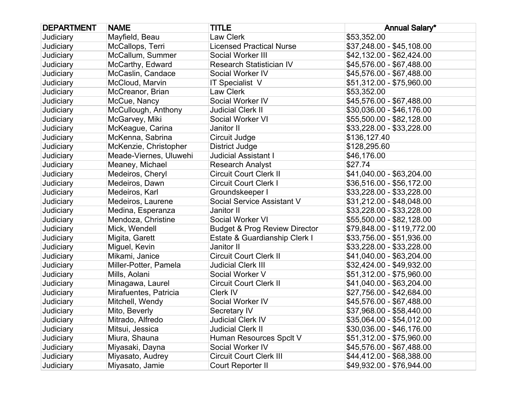| <b>DEPARTMENT</b> | <b>NAME</b>            | <b>TITLE</b>                             | <b>Annual Salary*</b>      |
|-------------------|------------------------|------------------------------------------|----------------------------|
| Judiciary         | Mayfield, Beau         | Law Clerk                                | \$53,352.00                |
| Judiciary         | McCallops, Terri       | <b>Licensed Practical Nurse</b>          | \$37,248.00 - \$45,108.00  |
| Judiciary         | McCallum, Summer       | Social Worker III                        | \$42,132.00 - \$62,424.00  |
| Judiciary         | McCarthy, Edward       | <b>Research Statistician IV</b>          | \$45,576.00 - \$67,488.00  |
| Judiciary         | McCaslin, Candace      | Social Worker IV                         | \$45,576.00 - \$67,488.00  |
| Judiciary         | McCloud, Marvin        | IT Specialist V                          | \$51,312.00 - \$75,960.00  |
| Judiciary         | McCreanor, Brian       | Law Clerk                                | \$53,352.00                |
| Judiciary         | McCue, Nancy           | Social Worker IV                         | \$45,576.00 - \$67,488.00  |
| Judiciary         | McCullough, Anthony    | <b>Judicial Clerk II</b>                 | \$30,036.00 - \$46,176.00  |
| Judiciary         | McGarvey, Miki         | Social Worker VI                         | \$55,500.00 - \$82,128.00  |
| Judiciary         | McKeague, Carina       | Janitor II                               | \$33,228.00 - \$33,228.00  |
| Judiciary         | McKenna, Sabrina       | Circuit Judge                            | \$136,127.40               |
| Judiciary         | McKenzie, Christopher  | <b>District Judge</b>                    | \$128,295.60               |
| Judiciary         | Meade-Viernes, Uluwehi | <b>Judicial Assistant I</b>              | \$46,176.00                |
| Judiciary         | Meaney, Michael        | <b>Research Analyst</b>                  | \$27.74                    |
| Judiciary         | Medeiros, Cheryl       | <b>Circuit Court Clerk II</b>            | \$41,040.00 - \$63,204.00  |
| Judiciary         | Medeiros, Dawn         | <b>Circuit Court Clerk I</b>             | \$36,516.00 - \$56,172.00  |
| Judiciary         | Medeiros, Karl         | Groundskeeper I                          | \$33,228.00 - \$33,228.00  |
| Judiciary         | Medeiros, Laurene      | Social Service Assistant V               | \$31,212.00 - \$48,048.00  |
| Judiciary         | Medina, Esperanza      | Janitor II                               | \$33,228.00 - \$33,228.00  |
| Judiciary         | Mendoza, Christine     | Social Worker VI                         | \$55,500.00 - \$82,128.00  |
| Judiciary         | Mick, Wendell          | <b>Budget &amp; Prog Review Director</b> | \$79,848.00 - \$119,772.00 |
| Judiciary         | Migita, Garett         | Estate & Guardianship Clerk I            | \$33,756.00 - \$51,936.00  |
| Judiciary         | Miguel, Kevin          | Janitor II                               | \$33,228.00 - \$33,228.00  |
| Judiciary         | Mikami, Janice         | <b>Circuit Court Clerk II</b>            | \$41,040.00 - \$63,204.00  |
| Judiciary         | Miller-Potter, Pamela  | <b>Judicial Clerk III</b>                | \$32,424.00 - \$49,932.00  |
| Judiciary         | Mills, Aolani          | Social Worker V                          | \$51,312.00 - \$75,960.00  |
| Judiciary         | Minagawa, Laurel       | <b>Circuit Court Clerk II</b>            | \$41,040.00 - \$63,204.00  |
| Judiciary         | Mirafuentes, Patricia  | Clerk IV                                 | \$27,756.00 - \$42,684.00  |
| Judiciary         | Mitchell, Wendy        | Social Worker IV                         | \$45,576.00 - \$67,488.00  |
| Judiciary         | Mito, Beverly          | Secretary IV                             | \$37,968.00 - \$58,440.00  |
| Judiciary         | Mitrado, Alfredo       | <b>Judicial Clerk IV</b>                 | \$35,064.00 - \$54,012.00  |
| Judiciary         | Mitsui, Jessica        | <b>Judicial Clerk II</b>                 | \$30,036.00 - \$46,176.00  |
| Judiciary         | Miura, Shauna          | Human Resources Spclt V                  | \$51,312.00 - \$75,960.00  |
| Judiciary         | Miyasaki, Dayna        | Social Worker IV                         | \$45,576.00 - \$67,488.00  |
| Judiciary         | Miyasato, Audrey       | <b>Circuit Court Clerk III</b>           | \$44,412.00 - \$68,388.00  |
| Judiciary         | Miyasato, Jamie        | Court Reporter II                        | \$49,932.00 - \$76,944.00  |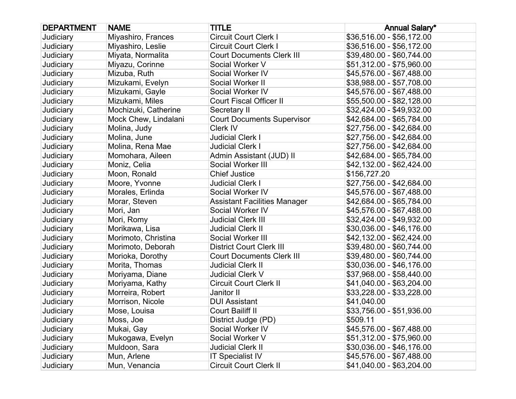| <b>DEPARTMENT</b> | <b>NAME</b>          | <b>TITLE</b>                        | <b>Annual Salary*</b>     |
|-------------------|----------------------|-------------------------------------|---------------------------|
| Judiciary         | Miyashiro, Frances   | <b>Circuit Court Clerk I</b>        | \$36,516.00 - \$56,172.00 |
| Judiciary         | Miyashiro, Leslie    | <b>Circuit Court Clerk I</b>        | \$36,516.00 - \$56,172.00 |
| Judiciary         | Miyata, Normalita    | <b>Court Documents Clerk III</b>    | \$39,480.00 - \$60,744.00 |
| Judiciary         | Miyazu, Corinne      | Social Worker V                     | \$51,312.00 - \$75,960.00 |
| Judiciary         | Mizuba, Ruth         | Social Worker IV                    | \$45,576.00 - \$67,488.00 |
| Judiciary         | Mizukami, Evelyn     | Social Worker II                    | \$38,988.00 - \$57,708.00 |
| Judiciary         | Mizukami, Gayle      | Social Worker IV                    | \$45,576.00 - \$67,488.00 |
| Judiciary         | Mizukami, Miles      | <b>Court Fiscal Officer II</b>      | \$55,500.00 - \$82,128.00 |
| Judiciary         | Mochizuki, Catherine | Secretary II                        | \$32,424.00 - \$49,932.00 |
| Judiciary         | Mock Chew, Lindalani | <b>Court Documents Supervisor</b>   | \$42,684.00 - \$65,784.00 |
| Judiciary         | Molina, Judy         | Clerk IV                            | \$27,756.00 - \$42,684.00 |
| Judiciary         | Molina, June         | <b>Judicial Clerk I</b>             | \$27,756.00 - \$42,684.00 |
| Judiciary         | Molina, Rena Mae     | <b>Judicial Clerk I</b>             | \$27,756.00 - \$42,684.00 |
| Judiciary         | Momohara, Aileen     | Admin Assistant (JUD) II            | \$42,684.00 - \$65,784.00 |
| Judiciary         | Moniz, Celia         | Social Worker III                   | \$42,132.00 - \$62,424.00 |
| Judiciary         | Moon, Ronald         | <b>Chief Justice</b>                | \$156,727.20              |
| Judiciary         | Moore, Yvonne        | <b>Judicial Clerk I</b>             | \$27,756.00 - \$42,684.00 |
| Judiciary         | Morales, Erlinda     | Social Worker IV                    | \$45,576.00 - \$67,488.00 |
| Judiciary         | Morar, Steven        | <b>Assistant Facilities Manager</b> | \$42,684.00 - \$65,784.00 |
| Judiciary         | Mori, Jan            | Social Worker IV                    | \$45,576.00 - \$67,488.00 |
| Judiciary         | Mori, Romy           | <b>Judicial Clerk III</b>           | \$32,424.00 - \$49,932.00 |
| Judiciary         | Morikawa, Lisa       | <b>Judicial Clerk II</b>            | \$30,036.00 - \$46,176.00 |
| Judiciary         | Morimoto, Christina  | Social Worker III                   | \$42,132.00 - \$62,424.00 |
| Judiciary         | Morimoto, Deborah    | <b>District Court Clerk III</b>     | \$39,480.00 - \$60,744.00 |
| Judiciary         | Morioka, Dorothy     | <b>Court Documents Clerk III</b>    | \$39,480.00 - \$60,744.00 |
| Judiciary         | Morita, Thomas       | <b>Judicial Clerk II</b>            | \$30,036.00 - \$46,176.00 |
| Judiciary         | Moriyama, Diane      | <b>Judicial Clerk V</b>             | \$37,968.00 - \$58,440.00 |
| Judiciary         | Moriyama, Kathy      | <b>Circuit Court Clerk II</b>       | \$41,040.00 - \$63,204.00 |
| Judiciary         | Morreira, Robert     | Janitor II                          | \$33,228.00 - \$33,228.00 |
| Judiciary         | Morrison, Nicole     | <b>DUI Assistant</b>                | \$41,040.00               |
| Judiciary         | Mose, Louisa         | <b>Court Bailiff II</b>             | \$33,756.00 - \$51,936.00 |
| Judiciary         | Moss, Joe            | District Judge (PD)                 | \$509.11                  |
| Judiciary         | Mukai, Gay           | Social Worker IV                    | \$45,576.00 - \$67,488.00 |
| Judiciary         | Mukogawa, Evelyn     | Social Worker V                     | \$51,312.00 - \$75,960.00 |
| Judiciary         | Muldoon, Sara        | <b>Judicial Clerk II</b>            | \$30,036.00 - \$46,176.00 |
| Judiciary         | Mun, Arlene          | <b>IT Specialist IV</b>             | \$45,576.00 - \$67,488.00 |
| Judiciary         | Mun, Venancia        | Circuit Court Clerk II              | \$41,040.00 - \$63,204.00 |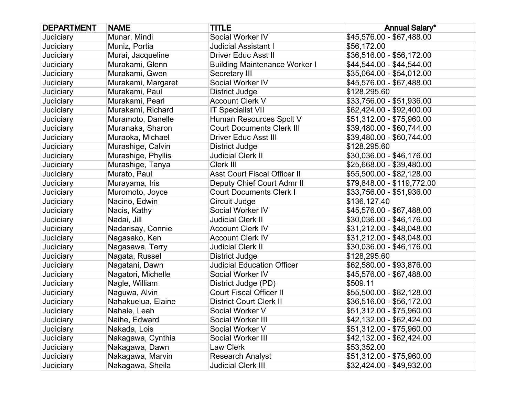| <b>DEPARTMENT</b> | <b>NAME</b>        | <b>TITLE</b>                         | <b>Annual Salary*</b>      |
|-------------------|--------------------|--------------------------------------|----------------------------|
| Judiciary         | Munar, Mindi       | Social Worker IV                     | \$45,576.00 - \$67,488.00  |
| Judiciary         | Muniz, Portia      | <b>Judicial Assistant I</b>          | \$56,172.00                |
| Judiciary         | Murai, Jacqueline  | Driver Educ Asst II                  | \$36,516.00 - \$56,172.00  |
| Judiciary         | Murakami, Glenn    | <b>Building Maintenance Worker I</b> | \$44,544.00 - \$44,544.00  |
| Judiciary         | Murakami, Gwen     | Secretary III                        | \$35,064.00 - \$54,012.00  |
| Judiciary         | Murakami, Margaret | Social Worker IV                     | \$45,576.00 - \$67,488.00  |
| Judiciary         | Murakami, Paul     | <b>District Judge</b>                | \$128,295.60               |
| Judiciary         | Murakami, Pearl    | <b>Account Clerk V</b>               | \$33,756.00 - \$51,936.00  |
| Judiciary         | Murakami, Richard  | <b>IT Specialist VII</b>             | \$62,424.00 - \$92,400.00  |
| Judiciary         | Muramoto, Danelle  | Human Resources Spclt V              | \$51,312.00 - \$75,960.00  |
| Judiciary         | Muranaka, Sharon   | <b>Court Documents Clerk III</b>     | \$39,480.00 - \$60,744.00  |
| Judiciary         | Muraoka, Michael   | <b>Driver Educ Asst III</b>          | \$39,480.00 - \$60,744.00  |
| Judiciary         | Murashige, Calvin  | District Judge                       | \$128,295.60               |
| Judiciary         | Murashige, Phyllis | <b>Judicial Clerk II</b>             | \$30,036.00 - \$46,176.00  |
| Judiciary         | Murashige, Tanya   | Clerk III                            | \$25,668.00 - \$39,480.00  |
| Judiciary         | Murato, Paul       | <b>Asst Court Fiscal Officer II</b>  | \$55,500.00 - \$82,128.00  |
| Judiciary         | Murayama, Iris     | Deputy Chief Court Admr II           | \$79,848.00 - \$119,772.00 |
| Judiciary         | Muromoto, Joyce    | <b>Court Documents Clerk I</b>       | \$33,756.00 - \$51,936.00  |
| Judiciary         | Nacino, Edwin      | Circuit Judge                        | \$136,127.40               |
| Judiciary         | Nacis, Kathy       | Social Worker IV                     | \$45,576.00 - \$67,488.00  |
| Judiciary         | Nadai, Jill        | <b>Judicial Clerk II</b>             | \$30,036.00 - \$46,176.00  |
| Judiciary         | Nadarisay, Connie  | <b>Account Clerk IV</b>              | \$31,212.00 - \$48,048.00  |
| Judiciary         | Nagasako, Ken      | <b>Account Clerk IV</b>              | \$31,212.00 - \$48,048.00  |
| Judiciary         | Nagasawa, Terry    | <b>Judicial Clerk II</b>             | \$30,036.00 - \$46,176.00  |
| Judiciary         | Nagata, Russel     | <b>District Judge</b>                | \$128,295.60               |
| Judiciary         | Nagatani, Dawn     | <b>Judicial Education Officer</b>    | \$62,580.00 - \$93,876.00  |
| Judiciary         | Nagatori, Michelle | Social Worker IV                     | \$45,576.00 - \$67,488.00  |
| Judiciary         | Nagle, William     | District Judge (PD)                  | \$509.11                   |
| Judiciary         | Naguwa, Alvin      | <b>Court Fiscal Officer II</b>       | \$55,500.00 - \$82,128.00  |
| Judiciary         | Nahakuelua, Elaine | <b>District Court Clerk II</b>       | \$36,516.00 - \$56,172.00  |
| Judiciary         | Nahale, Leah       | Social Worker V                      | \$51,312.00 - \$75,960.00  |
| Judiciary         | Naihe, Edward      | Social Worker III                    | \$42,132.00 - \$62,424.00  |
| Judiciary         | Nakada, Lois       | Social Worker V                      | \$51,312.00 - \$75,960.00  |
| Judiciary         | Nakagawa, Cynthia  | Social Worker III                    | \$42,132.00 - \$62,424.00  |
| Judiciary         | Nakagawa, Dawn     | Law Clerk                            | \$53,352.00                |
| Judiciary         | Nakagawa, Marvin   | <b>Research Analyst</b>              | \$51,312.00 - \$75,960.00  |
| Judiciary         | Nakagawa, Sheila   | <b>Judicial Clerk III</b>            | \$32,424.00 - \$49,932.00  |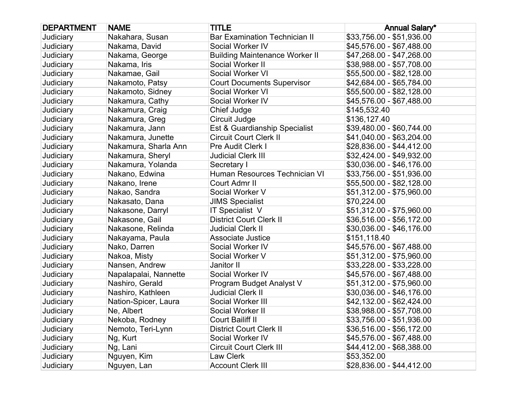| <b>DEPARTMENT</b> | <b>NAME</b>           | <b>TITLE</b>                          | <b>Annual Salary*</b>     |
|-------------------|-----------------------|---------------------------------------|---------------------------|
| Judiciary         | Nakahara, Susan       | <b>Bar Examination Technician II</b>  | \$33,756.00 - \$51,936.00 |
| Judiciary         | Nakama, David         | Social Worker IV                      | \$45,576.00 - \$67,488.00 |
| Judiciary         | Nakama, George        | <b>Building Maintenance Worker II</b> | \$47,268.00 - \$47,268.00 |
| Judiciary         | Nakama, Iris          | Social Worker II                      | \$38,988.00 - \$57,708.00 |
| Judiciary         | Nakamae, Gail         | Social Worker VI                      | \$55,500.00 - \$82,128.00 |
| Judiciary         | Nakamoto, Patsy       | <b>Court Documents Supervisor</b>     | \$42,684.00 - \$65,784.00 |
| Judiciary         | Nakamoto, Sidney      | Social Worker VI                      | \$55,500.00 - \$82,128.00 |
| Judiciary         | Nakamura, Cathy       | Social Worker IV                      | \$45,576.00 - \$67,488.00 |
| Judiciary         | Nakamura, Craig       | Chief Judge                           | \$145,532.40              |
| Judiciary         | Nakamura, Greg        | Circuit Judge                         | \$136,127.40              |
| Judiciary         | Nakamura, Jann        | Est & Guardianship Specialist         | \$39,480.00 - \$60,744.00 |
| Judiciary         | Nakamura, Junette     | <b>Circuit Court Clerk II</b>         | \$41,040.00 - \$63,204.00 |
| Judiciary         | Nakamura, Sharla Ann  | Pre Audit Clerk I                     | \$28,836.00 - \$44,412.00 |
| Judiciary         | Nakamura, Sheryl      | <b>Judicial Clerk III</b>             | \$32,424.00 - \$49,932.00 |
| Judiciary         | Nakamura, Yolanda     | Secretary I                           | \$30,036.00 - \$46,176.00 |
| Judiciary         | Nakano, Edwina        | Human Resources Technician VI         | \$33,756.00 - \$51,936.00 |
| Judiciary         | Nakano, Irene         | Court Admr II                         | \$55,500.00 - \$82,128.00 |
| Judiciary         | Nakao, Sandra         | Social Worker V                       | \$51,312.00 - \$75,960.00 |
| Judiciary         | Nakasato, Dana        | <b>JIMS Specialist</b>                | \$70,224.00               |
| Judiciary         | Nakasone, Darryl      | IT Specialist V                       | \$51,312.00 - \$75,960.00 |
| Judiciary         | Nakasone, Gail        | <b>District Court Clerk II</b>        | \$36,516.00 - \$56,172.00 |
| Judiciary         | Nakasone, Relinda     | <b>Judicial Clerk II</b>              | $$30,036.00 - $46,176.00$ |
| Judiciary         | Nakayama, Paula       | <b>Associate Justice</b>              | \$151,118.40              |
| Judiciary         | Nako, Darren          | Social Worker IV                      | \$45,576.00 - \$67,488.00 |
| Judiciary         | Nakoa, Misty          | Social Worker V                       | \$51,312.00 - \$75,960.00 |
| Judiciary         | Nansen, Andrew        | Janitor II                            | \$33,228.00 - \$33,228.00 |
| Judiciary         | Napalapalai, Nannette | Social Worker IV                      | \$45,576.00 - \$67,488.00 |
| Judiciary         | Nashiro, Gerald       | Program Budget Analyst V              | \$51,312.00 - \$75,960.00 |
| Judiciary         | Nashiro, Kathleen     | <b>Judicial Clerk II</b>              | \$30,036.00 - \$46,176.00 |
| Judiciary         | Nation-Spicer, Laura  | Social Worker III                     | \$42,132.00 - \$62,424.00 |
| Judiciary         | Ne, Albert            | Social Worker II                      | \$38,988.00 - \$57,708.00 |
| Judiciary         | Nekoba, Rodney        | Court Bailiff II                      | \$33,756.00 - \$51,936.00 |
| Judiciary         | Nemoto, Teri-Lynn     | <b>District Court Clerk II</b>        | \$36,516.00 - \$56,172.00 |
| Judiciary         | Ng, Kurt              | Social Worker IV                      | \$45,576.00 - \$67,488.00 |
| Judiciary         | Ng, Lani              | <b>Circuit Court Clerk III</b>        | \$44,412.00 - \$68,388.00 |
| Judiciary         | Nguyen, Kim           | Law Clerk                             | \$53,352.00               |
| Judiciary         | Nguyen, Lan           | <b>Account Clerk III</b>              | \$28,836.00 - \$44,412.00 |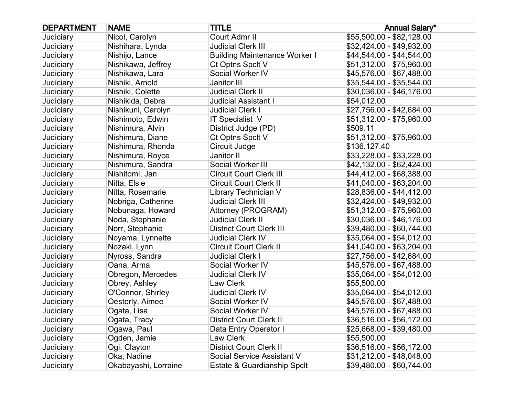| <b>DEPARTMENT</b> | <b>NAME</b>          | <b>TITLE</b>                         | <b>Annual Salary*</b>     |
|-------------------|----------------------|--------------------------------------|---------------------------|
| Judiciary         | Nicol, Carolyn       | Court Admr II                        | \$55,500.00 - \$82,128.00 |
| Judiciary         | Nishihara, Lynda     | <b>Judicial Clerk III</b>            | \$32,424.00 - \$49,932.00 |
| Judiciary         | Nishijo, Lance       | <b>Building Maintenance Worker I</b> | \$44,544.00 - \$44,544.00 |
| Judiciary         | Nishikawa, Jeffrey   | Ct Optns Spclt V                     | \$51,312.00 - \$75,960.00 |
| Judiciary         | Nishikawa, Lara      | Social Worker IV                     | \$45,576.00 - \$67,488.00 |
| Judiciary         | Nishiki, Arnold      | Janitor III                          | \$35,544.00 - \$35,544.00 |
| Judiciary         | Nishiki, Colette     | <b>Judicial Clerk II</b>             | \$30,036.00 - \$46,176.00 |
| Judiciary         | Nishikida, Debra     | <b>Judicial Assistant I</b>          | \$54,012.00               |
| Judiciary         | Nishikuni, Carolyn   | <b>Judicial Clerk I</b>              | \$27,756.00 - \$42,684.00 |
| Judiciary         | Nishimoto, Edwin     | IT Specialist V                      | \$51,312.00 - \$75,960.00 |
| Judiciary         | Nishimura, Alvin     | District Judge (PD)                  | \$509.11                  |
| Judiciary         | Nishimura, Diane     | Ct Optns Spclt V                     | \$51,312.00 - \$75,960.00 |
| Judiciary         | Nishimura, Rhonda    | Circuit Judge                        | \$136,127.40              |
| Judiciary         | Nishimura, Royce     | Janitor II                           | \$33,228.00 - \$33,228.00 |
| Judiciary         | Nishimura, Sandra    | Social Worker III                    | \$42,132.00 - \$62,424.00 |
| Judiciary         | Nishitomi, Jan       | <b>Circuit Court Clerk III</b>       | \$44,412.00 - \$68,388.00 |
| <b>Judiciary</b>  | Nitta, Elsie         | <b>Circuit Court Clerk II</b>        | \$41,040.00 - \$63,204.00 |
| Judiciary         | Nitta, Rosemarie     | Library Technician V                 | \$28,836.00 - \$44,412.00 |
| Judiciary         | Nobriga, Catherine   | <b>Judicial Clerk III</b>            | \$32,424.00 - \$49,932.00 |
| Judiciary         | Nobunaga, Howard     | Attorney (PROGRAM)                   | \$51,312.00 - \$75,960.00 |
| Judiciary         | Noda, Stephanie      | <b>Judicial Clerk II</b>             | \$30,036.00 - \$46,176.00 |
| Judiciary         | Norr, Stephanie      | <b>District Court Clerk III</b>      | \$39,480.00 - \$60,744.00 |
| Judiciary         | Noyama, Lynnette     | <b>Judicial Clerk IV</b>             | \$35,064.00 - \$54,012.00 |
| Judiciary         | Nozaki, Lynn         | <b>Circuit Court Clerk II</b>        | \$41,040.00 - \$63,204.00 |
| Judiciary         | Nyross, Sandra       | <b>Judicial Clerk I</b>              | \$27,756.00 - \$42,684.00 |
| Judiciary         | Oana, Arma           | Social Worker IV                     | \$45,576.00 - \$67,488.00 |
| Judiciary         | Obregon, Mercedes    | <b>Judicial Clerk IV</b>             | \$35,064.00 - \$54,012.00 |
| Judiciary         | Obrey, Ashley        | Law Clerk                            | \$55,500.00               |
| Judiciary         | O'Connor, Shirley    | <b>Judicial Clerk IV</b>             | \$35,064.00 - \$54,012.00 |
| Judiciary         | Oesterly, Aimee      | Social Worker IV                     | \$45,576.00 - \$67,488.00 |
| Judiciary         | Ogata, Lisa          | Social Worker IV                     | \$45,576.00 - \$67,488.00 |
| Judiciary         | Ogata, Tracy         | <b>District Court Clerk II</b>       | \$36,516.00 - \$56,172.00 |
| Judiciary         | Ogawa, Paul          | Data Entry Operator I                | \$25,668.00 - \$39,480.00 |
| Judiciary         | Ogden, Jamie         | Law Clerk                            | \$55,500.00               |
| Judiciary         | Ogi, Clayton         | <b>District Court Clerk II</b>       | \$36,516.00 - \$56,172.00 |
| Judiciary         | Oka, Nadine          | Social Service Assistant V           | \$31,212.00 - \$48,048.00 |
| Judiciary         | Okabayashi, Lorraine | Estate & Guardianship Spclt          | \$39,480.00 - \$60,744.00 |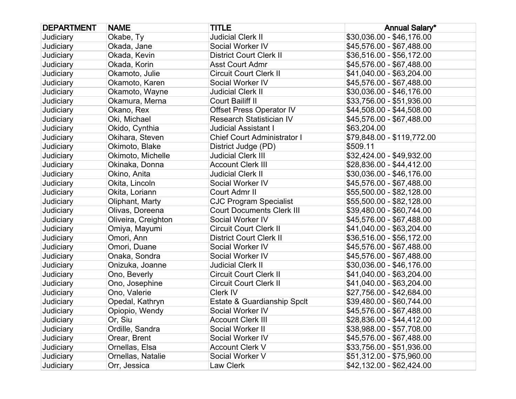| <b>DEPARTMENT</b> | <b>NAME</b>         | <b>TITLE</b>                       | <b>Annual Salary*</b>      |
|-------------------|---------------------|------------------------------------|----------------------------|
| Judiciary         | Okabe, Ty           | <b>Judicial Clerk II</b>           | \$30,036.00 - \$46,176.00  |
| <b>Judiciary</b>  | Okada, Jane         | Social Worker IV                   | \$45,576.00 - \$67,488.00  |
| Judiciary         | Okada, Kevin        | <b>District Court Clerk II</b>     | \$36,516.00 - \$56,172.00  |
| Judiciary         | Okada, Korin        | <b>Asst Court Admr</b>             | \$45,576.00 - \$67,488.00  |
| <b>Judiciary</b>  | Okamoto, Julie      | <b>Circuit Court Clerk II</b>      | \$41,040.00 - \$63,204.00  |
| Judiciary         | Okamoto, Karen      | Social Worker IV                   | \$45,576.00 - \$67,488.00  |
| Judiciary         | Okamoto, Wayne      | <b>Judicial Clerk II</b>           | \$30,036.00 - \$46,176.00  |
| <b>Judiciary</b>  | Okamura, Merna      | Court Bailiff II                   | \$33,756.00 - \$51,936.00  |
| Judiciary         | Okano, Rex          | <b>Offset Press Operator IV</b>    | \$44,508.00 - \$44,508.00  |
| Judiciary         | Oki, Michael        | <b>Research Statistician IV</b>    | \$45,576.00 - \$67,488.00  |
| Judiciary         | Okido, Cynthia      | <b>Judicial Assistant I</b>        | \$63,204.00                |
| Judiciary         | Okihara, Steven     | <b>Chief Court Administrator I</b> | \$79,848.00 - \$119,772.00 |
| Judiciary         | Okimoto, Blake      | District Judge (PD)                | \$509.11                   |
| Judiciary         | Okimoto, Michelle   | <b>Judicial Clerk III</b>          | \$32,424.00 - \$49,932.00  |
| Judiciary         | Okinaka, Donna      | <b>Account Clerk III</b>           | \$28,836.00 - \$44,412.00  |
| Judiciary         | Okino, Anita        | <b>Judicial Clerk II</b>           | \$30,036.00 - \$46,176.00  |
| <b>Judiciary</b>  | Okita, Lincoln      | Social Worker IV                   | \$45,576.00 - \$67,488.00  |
| Judiciary         | Okita, Loriann      | Court Admr II                      | \$55,500.00 - \$82,128.00  |
| Judiciary         | Oliphant, Marty     | <b>CJC Program Specialist</b>      | \$55,500.00 - \$82,128.00  |
| <b>Judiciary</b>  | Olivas, Doreena     | <b>Court Documents Clerk III</b>   | \$39,480.00 - \$60,744.00  |
| Judiciary         | Oliveira, Creighton | Social Worker IV                   | \$45,576.00 - \$67,488.00  |
| Judiciary         | Omiya, Mayumi       | <b>Circuit Court Clerk II</b>      | \$41,040.00 - \$63,204.00  |
| Judiciary         | Omori, Ann          | <b>District Court Clerk II</b>     | \$36,516.00 - \$56,172.00  |
| Judiciary         | Omori, Duane        | Social Worker IV                   | \$45,576.00 - \$67,488.00  |
| Judiciary         | Onaka, Sondra       | Social Worker IV                   | \$45,576.00 - \$67,488.00  |
| Judiciary         | Onizuka, Joanne     | <b>Judicial Clerk II</b>           | \$30,036.00 - \$46,176.00  |
| Judiciary         | Ono, Beverly        | <b>Circuit Court Clerk II</b>      | \$41,040.00 - \$63,204.00  |
| Judiciary         | Ono, Josephine      | <b>Circuit Court Clerk II</b>      | \$41,040.00 - \$63,204.00  |
| Judiciary         | Ono, Valerie        | Clerk IV                           | \$27,756.00 - \$42,684.00  |
| Judiciary         | Opedal, Kathryn     | Estate & Guardianship Spclt        | \$39,480.00 - \$60,744.00  |
| Judiciary         | Opiopio, Wendy      | Social Worker IV                   | \$45,576.00 - \$67,488.00  |
| Judiciary         | Or, Siu             | <b>Account Clerk III</b>           | \$28,836.00 - \$44,412.00  |
| Judiciary         | Ordille, Sandra     | Social Worker II                   | \$38,988.00 - \$57,708.00  |
| Judiciary         | Orear, Brent        | Social Worker IV                   | \$45,576.00 - \$67,488.00  |
| Judiciary         | Ornellas, Elsa      | <b>Account Clerk V</b>             | \$33,756.00 - \$51,936.00  |
| Judiciary         | Ornellas, Natalie   | Social Worker V                    | \$51,312.00 - \$75,960.00  |
| Judiciary         | Orr, Jessica        | Law Clerk                          | \$42,132.00 - \$62,424.00  |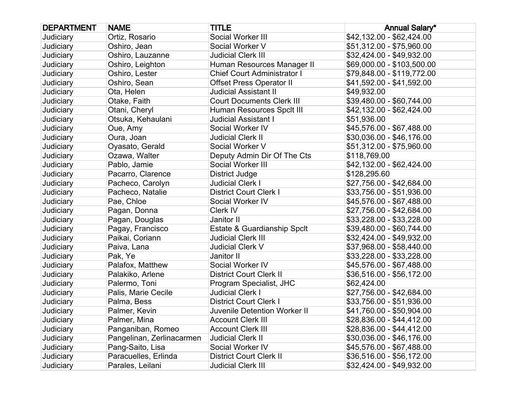| <b>DEPARTMENT</b> | <b>NAME</b>               | <b>TITLE</b>                        | <b>Annual Salary*</b>      |
|-------------------|---------------------------|-------------------------------------|----------------------------|
| Judiciary         | Ortiz, Rosario            | Social Worker III                   | \$42,132.00 - \$62,424.00  |
| Judiciary         | Oshiro, Jean              | Social Worker V                     | \$51,312.00 - \$75,960.00  |
| Judiciary         | Oshiro, Lauzanne          | <b>Judicial Clerk III</b>           | \$32,424.00 - \$49,932.00  |
| Judiciary         | Oshiro, Leighton          | Human Resources Manager II          | \$69,000.00 - \$103,500.00 |
| <b>Judiciary</b>  | Oshiro, Lester            | <b>Chief Court Administrator I</b>  | \$79,848.00 - \$119,772.00 |
| Judiciary         | Oshiro, Sean              | <b>Offset Press Operator II</b>     | \$41,592.00 - \$41,592.00  |
| Judiciary         | Ota, Helen                | <b>Judicial Assistant II</b>        | \$49,932.00                |
| Judiciary         | Otake, Faith              | <b>Court Documents Clerk III</b>    | \$39,480.00 - \$60,744.00  |
| Judiciary         | Otani, Cheryl             | Human Resources Spclt III           | \$42,132.00 - \$62,424.00  |
| Judiciary         | Otsuka, Kehaulani         | <b>Judicial Assistant I</b>         | \$51,936.00                |
| Judiciary         | Oue, Amy                  | Social Worker IV                    | \$45,576.00 - \$67,488.00  |
| Judiciary         | Oura, Joan                | <b>Judicial Clerk II</b>            | \$30,036.00 - \$46,176.00  |
| Judiciary         | Oyasato, Gerald           | Social Worker V                     | \$51,312.00 - \$75,960.00  |
| Judiciary         | Ozawa, Walter             | Deputy Admin Dir Of The Cts         | \$118,769.00               |
| Judiciary         | Pablo, Jamie              | Social Worker III                   | \$42,132.00 - \$62,424.00  |
| Judiciary         | Pacarro, Clarence         | District Judge                      | \$128,295.60               |
| Judiciary         | Pacheco, Carolyn          | <b>Judicial Clerk I</b>             | \$27,756.00 - \$42,684.00  |
| Judiciary         | Pacheco, Natalie          | <b>District Court Clerk I</b>       | \$33,756.00 - \$51,936.00  |
| Judiciary         | Pae, Chloe                | Social Worker IV                    | \$45,576.00 - \$67,488.00  |
| Judiciary         | Pagan, Donna              | Clerk IV                            | \$27,756.00 - \$42,684.00  |
| Judiciary         | Pagan, Douglas            | Janitor II                          | \$33,228.00 - \$33,228.00  |
| Judiciary         | Pagay, Francisco          | Estate & Guardianship Spclt         | \$39,480.00 - \$60,744.00  |
| Judiciary         | Paikai, Coriann           | <b>Judicial Clerk III</b>           | \$32,424.00 - \$49,932.00  |
| Judiciary         | Paiva, Lana               | Judicial Clerk V                    | \$37,968.00 - \$58,440.00  |
| Judiciary         | Pak, Ye                   | Janitor II                          | \$33,228.00 - \$33,228.00  |
| <b>Judiciary</b>  | Palafox, Matthew          | Social Worker IV                    | \$45,576.00 - \$67,488.00  |
| Judiciary         | Palakiko, Arlene          | <b>District Court Clerk II</b>      | \$36,516.00 - \$56,172.00  |
| Judiciary         | Palermo, Toni             | Program Specialist, JHC             | \$62,424.00                |
| Judiciary         | Palis, Marie Cecile       | <b>Judicial Clerk I</b>             | \$27,756.00 - \$42,684.00  |
| Judiciary         | Palma, Bess               | <b>District Court Clerk I</b>       | \$33,756.00 - \$51,936.00  |
| Judiciary         | Palmer, Kevin             | <b>Juvenile Detention Worker II</b> | \$41,760.00 - \$50,904.00  |
| Judiciary         | Palmer, Mina              | <b>Account Clerk III</b>            | \$28,836.00 - \$44,412.00  |
| Judiciary         | Panganiban, Romeo         | <b>Account Clerk III</b>            | \$28,836.00 - \$44,412.00  |
| Judiciary         | Pangelinan, Zerlinacarmen | <b>Judicial Clerk II</b>            | \$30,036.00 - \$46,176.00  |
| Judiciary         | Pang-Saito, Lisa          | Social Worker IV                    | \$45,576.00 - \$67,488.00  |
| Judiciary         | Paracuelles, Erlinda      | <b>District Court Clerk II</b>      | \$36,516.00 - \$56,172.00  |
| Judiciary         | Parales, Leilani          | <b>Judicial Clerk III</b>           | \$32,424.00 - \$49,932.00  |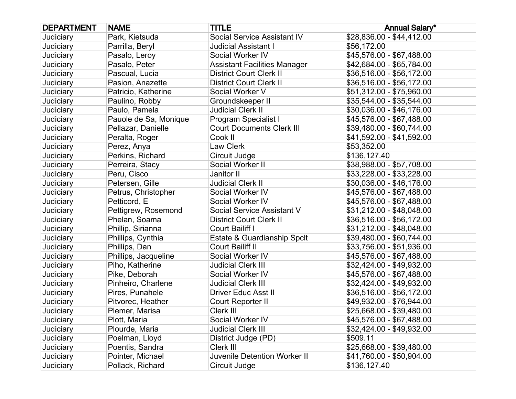| <b>DEPARTMENT</b> | <b>NAME</b>           | <b>TITLE</b>                        | <b>Annual Salary*</b>     |
|-------------------|-----------------------|-------------------------------------|---------------------------|
| Judiciary         | Park, Kietsuda        | Social Service Assistant IV         | \$28,836.00 - \$44,412.00 |
| <b>Judiciary</b>  | Parrilla, Beryl       | <b>Judicial Assistant I</b>         | \$56,172.00               |
| Judiciary         | Pasalo, Leroy         | Social Worker IV                    | \$45,576.00 - \$67,488.00 |
| Judiciary         | Pasalo, Peter         | <b>Assistant Facilities Manager</b> | \$42,684.00 - \$65,784.00 |
| Judiciary         | Pascual, Lucia        | <b>District Court Clerk II</b>      | \$36,516.00 - \$56,172.00 |
| Judiciary         | Pasion, Anazette      | <b>District Court Clerk II</b>      | \$36,516.00 - \$56,172.00 |
| Judiciary         | Patricio, Katherine   | Social Worker V                     | \$51,312.00 - \$75,960.00 |
| Judiciary         | Paulino, Robby        | Groundskeeper II                    | \$35,544.00 - \$35,544.00 |
| Judiciary         | Paulo, Pamela         | <b>Judicial Clerk II</b>            | \$30,036.00 - \$46,176.00 |
| Judiciary         | Pauole de Sa, Monique | <b>Program Specialist I</b>         | \$45,576.00 - \$67,488.00 |
| Judiciary         | Pellazar, Danielle    | <b>Court Documents Clerk III</b>    | \$39,480.00 - \$60,744.00 |
| Judiciary         | Peralta, Roger        | Cook II                             | \$41,592.00 - \$41,592.00 |
| Judiciary         | Perez, Anya           | Law Clerk                           | \$53,352.00               |
| Judiciary         | Perkins, Richard      | Circuit Judge                       | \$136,127.40              |
| Judiciary         | Perreira, Stacy       | Social Worker II                    | \$38,988.00 - \$57,708.00 |
| Judiciary         | Peru, Cisco           | Janitor II                          | \$33,228.00 - \$33,228.00 |
| Judiciary         | Petersen, Gille       | <b>Judicial Clerk II</b>            | \$30,036.00 - \$46,176.00 |
| Judiciary         | Petrus, Christopher   | Social Worker IV                    | \$45,576.00 - \$67,488.00 |
| Judiciary         | Petticord, E          | Social Worker IV                    | \$45,576.00 - \$67,488.00 |
| Judiciary         | Pettigrew, Rosemond   | Social Service Assistant V          | \$31,212.00 - \$48,048.00 |
| Judiciary         | Phelan, Soama         | <b>District Court Clerk II</b>      | \$36,516.00 - \$56,172.00 |
| Judiciary         | Phillip, Sirianna     | Court Bailiff I                     | \$31,212.00 - \$48,048.00 |
| Judiciary         | Phillips, Cynthia     | Estate & Guardianship Spclt         | \$39,480.00 - \$60,744.00 |
| Judiciary         | Phillips, Dan         | Court Bailiff II                    | \$33,756.00 - \$51,936.00 |
| Judiciary         | Phillips, Jacqueline  | Social Worker IV                    | \$45,576.00 - \$67,488.00 |
| Judiciary         | Piho, Katherine       | <b>Judicial Clerk III</b>           | \$32,424.00 - \$49,932.00 |
| Judiciary         | Pike, Deborah         | Social Worker IV                    | \$45,576.00 - \$67,488.00 |
| Judiciary         | Pinheiro, Charlene    | <b>Judicial Clerk III</b>           | \$32,424.00 - \$49,932.00 |
| Judiciary         | Pires, Punahele       | <b>Driver Educ Asst II</b>          | \$36,516.00 - \$56,172.00 |
| Judiciary         | Pitvorec, Heather     | Court Reporter II                   | \$49,932.00 - \$76,944.00 |
| Judiciary         | Plemer, Marisa        | Clerk III                           | \$25,668.00 - \$39,480.00 |
| Judiciary         | Plott, Maria          | Social Worker IV                    | \$45,576.00 - \$67,488.00 |
| Judiciary         | Plourde, Maria        | <b>Judicial Clerk III</b>           | \$32,424.00 - \$49,932.00 |
| Judiciary         | Poelman, Lloyd        | District Judge (PD)                 | \$509.11                  |
| Judiciary         | Poentis, Sandra       | Clerk III                           | \$25,668.00 - \$39,480.00 |
| Judiciary         | Pointer, Michael      | <b>Juvenile Detention Worker II</b> | \$41,760.00 - \$50,904.00 |
| Judiciary         | Pollack, Richard      | Circuit Judge                       | \$136,127.40              |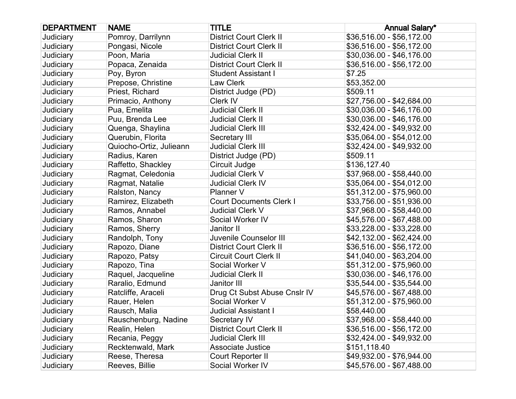| <b>DEPARTMENT</b> | <b>NAME</b>             | <b>TITLE</b>                   | <b>Annual Salary*</b>     |
|-------------------|-------------------------|--------------------------------|---------------------------|
| Judiciary         | Pomroy, Darrilynn       | <b>District Court Clerk II</b> | \$36,516.00 - \$56,172.00 |
| Judiciary         | Pongasi, Nicole         | <b>District Court Clerk II</b> | \$36,516.00 - \$56,172.00 |
| Judiciary         | Poon, Maria             | <b>Judicial Clerk II</b>       | \$30,036.00 - \$46,176.00 |
| Judiciary         | Popaca, Zenaida         | <b>District Court Clerk II</b> | \$36,516.00 - \$56,172.00 |
| Judiciary         | Poy, Byron              | <b>Student Assistant I</b>     | \$7.25                    |
| Judiciary         | Prepose, Christine      | Law Clerk                      | \$53,352.00               |
| Judiciary         | Priest, Richard         | District Judge (PD)            | \$509.11                  |
| Judiciary         | Primacio, Anthony       | Clerk IV                       | \$27,756.00 - \$42,684.00 |
| Judiciary         | Pua, Emelita            | <b>Judicial Clerk II</b>       | \$30,036.00 - \$46,176.00 |
| Judiciary         | Puu, Brenda Lee         | <b>Judicial Clerk II</b>       | \$30,036.00 - \$46,176.00 |
| Judiciary         | Quenga, Shaylina        | <b>Judicial Clerk III</b>      | \$32,424.00 - \$49,932.00 |
| Judiciary         | Querubin, Florita       | Secretary III                  | \$35,064.00 - \$54,012.00 |
| Judiciary         | Quiocho-Ortiz, Julieann | <b>Judicial Clerk III</b>      | \$32,424.00 - \$49,932.00 |
| Judiciary         | Radius, Karen           | District Judge (PD)            | \$509.11                  |
| Judiciary         | Raffetto, Shackley      | Circuit Judge                  | \$136,127.40              |
| Judiciary         | Ragmat, Celedonia       | <b>Judicial Clerk V</b>        | \$37,968.00 - \$58,440.00 |
| Judiciary         | Ragmat, Natalie         | <b>Judicial Clerk IV</b>       | \$35,064.00 - \$54,012.00 |
| Judiciary         | Ralston, Nancy          | Planner V                      | \$51,312.00 - \$75,960.00 |
| Judiciary         | Ramirez, Elizabeth      | <b>Court Documents Clerk I</b> | \$33,756.00 - \$51,936.00 |
| Judiciary         | Ramos, Annabel          | <b>Judicial Clerk V</b>        | \$37,968.00 - \$58,440.00 |
| Judiciary         | Ramos, Sharon           | Social Worker IV               | \$45,576.00 - \$67,488.00 |
| Judiciary         | Ramos, Sherry           | Janitor II                     | \$33,228.00 - \$33,228.00 |
| Judiciary         | Randolph, Tony          | Juvenile Counselor III         | \$42,132.00 - \$62,424.00 |
| Judiciary         | Rapozo, Diane           | <b>District Court Clerk II</b> | \$36,516.00 - \$56,172.00 |
| Judiciary         | Rapozo, Patsy           | <b>Circuit Court Clerk II</b>  | \$41,040.00 - \$63,204.00 |
| Judiciary         | Rapozo, Tina            | Social Worker V                | \$51,312.00 - \$75,960.00 |
| Judiciary         | Raquel, Jacqueline      | <b>Judicial Clerk II</b>       | \$30,036.00 - \$46,176.00 |
| Judiciary         | Raralio, Edmund         | Janitor III                    | \$35,544.00 - \$35,544.00 |
| Judiciary         | Ratcliffe, Araceli      | Drug Ct Subst Abuse Cnslr IV   | \$45,576.00 - \$67,488.00 |
| Judiciary         | Rauer, Helen            | Social Worker V                | \$51,312.00 - \$75,960.00 |
| Judiciary         | Rausch, Malia           | <b>Judicial Assistant I</b>    | \$58,440.00               |
| Judiciary         | Rauschenburg, Nadine    | Secretary IV                   | \$37,968.00 - \$58,440.00 |
| Judiciary         | Realin, Helen           | <b>District Court Clerk II</b> | \$36,516.00 - \$56,172.00 |
| Judiciary         | Recania, Peggy          | <b>Judicial Clerk III</b>      | \$32,424.00 - \$49,932.00 |
| Judiciary         | Recktenwald, Mark       | <b>Associate Justice</b>       | \$151,118.40              |
| Judiciary         | Reese, Theresa          | Court Reporter II              | \$49,932.00 - \$76,944.00 |
| Judiciary         | Reeves, Billie          | Social Worker IV               | \$45,576.00 - \$67,488.00 |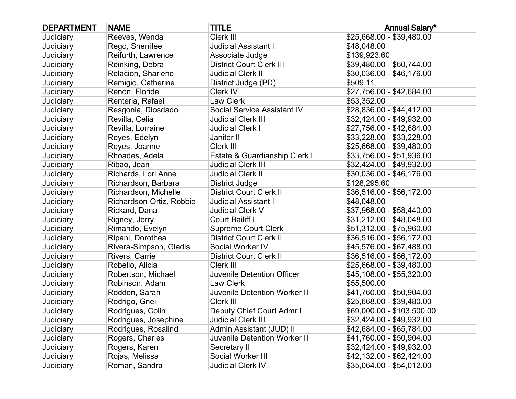| <b>DEPARTMENT</b> | <b>NAME</b>              | <b>TITLE</b>                        | <b>Annual Salary*</b>      |
|-------------------|--------------------------|-------------------------------------|----------------------------|
| Judiciary         | Reeves, Wenda            | Clerk III                           | \$25,668.00 - \$39,480.00  |
| Judiciary         | Rego, Sherrilee          | <b>Judicial Assistant I</b>         | \$48,048.00                |
| Judiciary         | Reifurth, Lawrence       | Associate Judge                     | \$139,923.60               |
| Judiciary         | Reinking, Debra          | <b>District Court Clerk III</b>     | \$39,480.00 - \$60,744.00  |
| Judiciary         | Relacion, Sharlene       | <b>Judicial Clerk II</b>            | \$30,036.00 - \$46,176.00  |
| Judiciary         | Remigio, Catherine       | District Judge (PD)                 | \$509.11                   |
| Judiciary         | Renon, Floridel          | Clerk IV                            | \$27,756.00 - \$42,684.00  |
| Judiciary         | Renteria, Rafael         | Law Clerk                           | \$53,352.00                |
| Judiciary         | Resgonia, Diosdado       | Social Service Assistant IV         | \$28,836.00 - \$44,412.00  |
| Judiciary         | Revilla, Celia           | <b>Judicial Clerk III</b>           | \$32,424.00 - \$49,932.00  |
| Judiciary         | Revilla, Lorraine        | <b>Judicial Clerk I</b>             | \$27,756.00 - \$42,684.00  |
| Judiciary         | Reyes, Edelyn            | Janitor II                          | \$33,228.00 - \$33,228.00  |
| Judiciary         | Reyes, Joanne            | Clerk III                           | \$25,668.00 - \$39,480.00  |
| Judiciary         | Rhoades, Adela           | Estate & Guardianship Clerk I       | \$33,756.00 - \$51,936.00  |
| Judiciary         | Ribao, Jean              | <b>Judicial Clerk III</b>           | \$32,424.00 - \$49,932.00  |
| Judiciary         | Richards, Lori Anne      | <b>Judicial Clerk II</b>            | \$30,036.00 - \$46,176.00  |
| Judiciary         | Richardson, Barbara      | District Judge                      | \$128,295.60               |
| Judiciary         | Richardson, Michelle     | <b>District Court Clerk II</b>      | \$36,516.00 - \$56,172.00  |
| Judiciary         | Richardson-Ortiz, Robbie | <b>Judicial Assistant I</b>         | \$48,048.00                |
| Judiciary         | Rickard, Dana            | <b>Judicial Clerk V</b>             | \$37,968.00 - \$58,440.00  |
| Judiciary         | Rigney, Jerry            | Court Bailiff I                     | \$31,212.00 - \$48,048.00  |
| Judiciary         | Rimando, Evelyn          | <b>Supreme Court Clerk</b>          | \$51,312.00 - \$75,960.00  |
| Judiciary         | Ripani, Dorothea         | <b>District Court Clerk II</b>      | \$36,516.00 - \$56,172.00  |
| Judiciary         | Rivera-Simpson, Gladis   | Social Worker IV                    | \$45,576.00 - \$67,488.00  |
| Judiciary         | Rivers, Carrie           | <b>District Court Clerk II</b>      | \$36,516.00 - \$56,172.00  |
| Judiciary         | Robello, Alicia          | Clerk III                           | \$25,668.00 - \$39,480.00  |
| Judiciary         | Robertson, Michael       | Juvenile Detention Officer          | \$45,108.00 - \$55,320.00  |
| Judiciary         | Robinson, Adam           | Law Clerk                           | \$55,500.00                |
| Judiciary         | Rodden, Sarah            | <b>Juvenile Detention Worker II</b> | \$41,760.00 - \$50,904.00  |
| Judiciary         | Rodrigo, Gnei            | Clerk III                           | \$25,668.00 - \$39,480.00  |
| Judiciary         | Rodrigues, Colin         | Deputy Chief Court Admr I           | \$69,000.00 - \$103,500.00 |
| Judiciary         | Rodrigues, Josephine     | <b>Judicial Clerk III</b>           | \$32,424.00 - \$49,932.00  |
| Judiciary         | Rodrigues, Rosalind      | Admin Assistant (JUD) II            | \$42,684.00 - \$65,784.00  |
| Judiciary         | Rogers, Charles          | Juvenile Detention Worker II        | \$41,760.00 - \$50,904.00  |
| Judiciary         | Rogers, Karen            | Secretary II                        | \$32,424.00 - \$49,932.00  |
| Judiciary         | Rojas, Melissa           | Social Worker III                   | \$42,132.00 - \$62,424.00  |
| Judiciary         | Roman, Sandra            | <b>Judicial Clerk IV</b>            | \$35,064.00 - \$54,012.00  |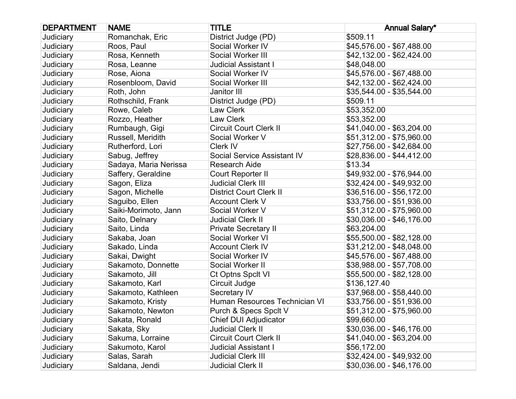| <b>DEPARTMENT</b> | <b>NAME</b>           | <b>TITLE</b>                   | <b>Annual Salary*</b>     |
|-------------------|-----------------------|--------------------------------|---------------------------|
| Judiciary         | Romanchak, Eric       | District Judge (PD)            | \$509.11                  |
| Judiciary         | Roos, Paul            | Social Worker IV               | \$45,576.00 - \$67,488.00 |
| Judiciary         | Rosa, Kenneth         | Social Worker III              | \$42,132.00 - \$62,424.00 |
| Judiciary         | Rosa, Leanne          | <b>Judicial Assistant I</b>    | \$48,048.00               |
| <b>Judiciary</b>  | Rose, Aiona           | Social Worker IV               | \$45,576.00 - \$67,488.00 |
| Judiciary         | Rosenbloom, David     | Social Worker III              | \$42,132.00 - \$62,424.00 |
| Judiciary         | Roth, John            | Janitor III                    | \$35,544.00 - \$35,544.00 |
| Judiciary         | Rothschild, Frank     | District Judge (PD)            | \$509.11                  |
| Judiciary         | Rowe, Caleb           | Law Clerk                      | \$53,352.00               |
| Judiciary         | Rozzo, Heather        | Law Clerk                      | \$53,352.00               |
| <b>Judiciary</b>  | Rumbaugh, Gigi        | <b>Circuit Court Clerk II</b>  | \$41,040.00 - \$63,204.00 |
| Judiciary         | Russell, Meridith     | Social Worker V                | \$51,312.00 - \$75,960.00 |
| Judiciary         | Rutherford, Lori      | Clerk IV                       | \$27,756.00 - \$42,684.00 |
| Judiciary         | Sabug, Jeffrey        | Social Service Assistant IV    | \$28,836.00 - \$44,412.00 |
| Judiciary         | Sadaya, Maria Nerissa | <b>Research Aide</b>           | \$13.34                   |
| Judiciary         | Saffery, Geraldine    | Court Reporter II              | \$49,932.00 - \$76,944.00 |
| Judiciary         | Sagon, Eliza          | <b>Judicial Clerk III</b>      | \$32,424.00 - \$49,932.00 |
| Judiciary         | Sagon, Michelle       | <b>District Court Clerk II</b> | \$36,516.00 - \$56,172.00 |
| Judiciary         | Saguibo, Ellen        | <b>Account Clerk V</b>         | \$33,756.00 - \$51,936.00 |
| Judiciary         | Saiki-Morimoto, Jann  | Social Worker V                | \$51,312.00 - \$75,960.00 |
| Judiciary         | Saito, Delnary        | <b>Judicial Clerk II</b>       | \$30,036.00 - \$46,176.00 |
| Judiciary         | Saito, Linda          | <b>Private Secretary II</b>    | \$63,204.00               |
| <b>Judiciary</b>  | Sakaba, Joan          | Social Worker VI               | \$55,500.00 - \$82,128.00 |
| Judiciary         | Sakado, Linda         | <b>Account Clerk IV</b>        | \$31,212.00 - \$48,048.00 |
| Judiciary         | Sakai, Dwight         | Social Worker IV               | \$45,576.00 - \$67,488.00 |
| Judiciary         | Sakamoto, Donnette    | Social Worker II               | \$38,988.00 - \$57,708.00 |
| Judiciary         | Sakamoto, Jill        | Ct Optns Spclt VI              | \$55,500.00 - \$82,128.00 |
| Judiciary         | Sakamoto, Karl        | Circuit Judge                  | \$136,127.40              |
| Judiciary         | Sakamoto, Kathleen    | Secretary IV                   | \$37,968.00 - \$58,440.00 |
| Judiciary         | Sakamoto, Kristy      | Human Resources Technician VI  | \$33,756.00 - \$51,936.00 |
| Judiciary         | Sakamoto, Newton      | Purch & Specs Spclt V          | \$51,312.00 - \$75,960.00 |
| Judiciary         | Sakata, Ronald        | <b>Chief DUI Adjudicator</b>   | \$99,660.00               |
| Judiciary         | Sakata, Sky           | <b>Judicial Clerk II</b>       | \$30,036.00 - \$46,176.00 |
| Judiciary         | Sakuma, Lorraine      | <b>Circuit Court Clerk II</b>  | \$41,040.00 - \$63,204.00 |
| Judiciary         | Sakumoto, Karol       | Judicial Assistant I           | \$56,172.00               |
| Judiciary         | Salas, Sarah          | <b>Judicial Clerk III</b>      | \$32,424.00 - \$49,932.00 |
| Judiciary         | Saldana, Jendi        | <b>Judicial Clerk II</b>       | \$30,036.00 - \$46,176.00 |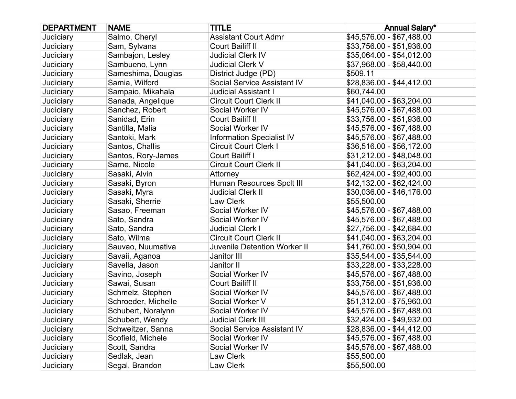| <b>DEPARTMENT</b> | <b>NAME</b>         | <b>TITLE</b>                        | <b>Annual Salary*</b>     |
|-------------------|---------------------|-------------------------------------|---------------------------|
| Judiciary         | Salmo, Cheryl       | <b>Assistant Court Admr</b>         | \$45,576.00 - \$67,488.00 |
| Judiciary         | Sam, Sylvana        | Court Bailiff II                    | \$33,756.00 - \$51,936.00 |
| Judiciary         | Sambajon, Lesley    | <b>Judicial Clerk IV</b>            | \$35,064.00 - \$54,012.00 |
| Judiciary         | Sambueno, Lynn      | Judicial Clerk V                    | \$37,968.00 - \$58,440.00 |
| Judiciary         | Sameshima, Douglas  | District Judge (PD)                 | \$509.11                  |
| Judiciary         | Samia, Wilford      | <b>Social Service Assistant IV</b>  | \$28,836.00 - \$44,412.00 |
| Judiciary         | Sampaio, Mikahala   | <b>Judicial Assistant I</b>         | \$60,744.00               |
| Judiciary         | Sanada, Angelique   | <b>Circuit Court Clerk II</b>       | \$41,040.00 - \$63,204.00 |
| Judiciary         | Sanchez, Robert     | Social Worker IV                    | \$45,576.00 - \$67,488.00 |
| Judiciary         | Sanidad, Erin       | Court Bailiff II                    | \$33,756.00 - \$51,936.00 |
| Judiciary         | Santilla, Malia     | Social Worker IV                    | \$45,576.00 - \$67,488.00 |
| Judiciary         | Santoki, Mark       | <b>Information Specialist IV</b>    | \$45,576.00 - \$67,488.00 |
| Judiciary         | Santos, Challis     | <b>Circuit Court Clerk I</b>        | \$36,516.00 - \$56,172.00 |
| Judiciary         | Santos, Rory-James  | Court Bailiff I                     | \$31,212.00 - \$48,048.00 |
| Judiciary         | Sarne, Nicole       | <b>Circuit Court Clerk II</b>       | \$41,040.00 - \$63,204.00 |
| Judiciary         | Sasaki, Alvin       | Attorney                            | \$62,424.00 - \$92,400.00 |
| Judiciary         | Sasaki, Byron       | Human Resources Spclt III           | \$42,132.00 - \$62,424.00 |
| Judiciary         | Sasaki, Myra        | <b>Judicial Clerk II</b>            | \$30,036.00 - \$46,176.00 |
| Judiciary         | Sasaki, Sherrie     | Law Clerk                           | \$55,500.00               |
| Judiciary         | Sasao, Freeman      | Social Worker IV                    | \$45,576.00 - \$67,488.00 |
| Judiciary         | Sato, Sandra        | Social Worker IV                    | \$45,576.00 - \$67,488.00 |
| Judiciary         | Sato, Sandra        | <b>Judicial Clerk I</b>             | \$27,756.00 - \$42,684.00 |
| Judiciary         | Sato, Wilma         | <b>Circuit Court Clerk II</b>       | \$41,040.00 - \$63,204.00 |
| Judiciary         | Sauvao, Nuumativa   | <b>Juvenile Detention Worker II</b> | \$41,760.00 - \$50,904.00 |
| Judiciary         | Savaii, Aganoa      | Janitor III                         | \$35,544.00 - \$35,544.00 |
| Judiciary         | Savella, Jason      | Janitor II                          | \$33,228.00 - \$33,228.00 |
| Judiciary         | Savino, Joseph      | Social Worker IV                    | \$45,576.00 - \$67,488.00 |
| Judiciary         | Sawai, Susan        | Court Bailiff II                    | \$33,756.00 - \$51,936.00 |
| Judiciary         | Schmelz, Stephen    | Social Worker IV                    | \$45,576.00 - \$67,488.00 |
| Judiciary         | Schroeder, Michelle | Social Worker V                     | \$51,312.00 - \$75,960.00 |
| Judiciary         | Schubert, Noralynn  | Social Worker IV                    | \$45,576.00 - \$67,488.00 |
| Judiciary         | Schubert, Wendy     | <b>Judicial Clerk III</b>           | \$32,424.00 - \$49,932.00 |
| Judiciary         | Schweitzer, Sanna   | <b>Social Service Assistant IV</b>  | \$28,836.00 - \$44,412.00 |
| Judiciary         | Scofield, Michele   | Social Worker IV                    | \$45,576.00 - \$67,488.00 |
| Judiciary         | Scott, Sandra       | Social Worker IV                    | \$45,576.00 - \$67,488.00 |
| Judiciary         | Sedlak, Jean        | Law Clerk                           | \$55,500.00               |
| Judiciary         | Segal, Brandon      | Law Clerk                           | \$55,500.00               |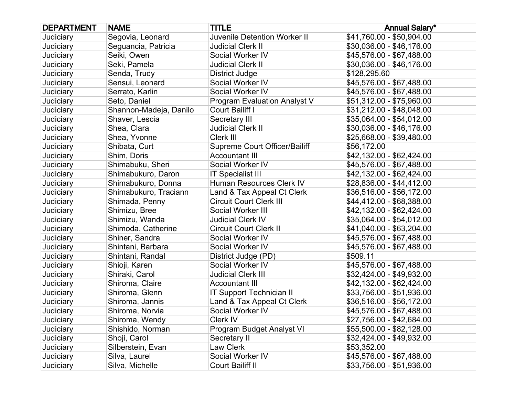| <b>DEPARTMENT</b> | <b>NAME</b>            | <b>TITLE</b>                        | <b>Annual Salary*</b>     |
|-------------------|------------------------|-------------------------------------|---------------------------|
| Judiciary         | Segovia, Leonard       | <b>Juvenile Detention Worker II</b> | \$41,760.00 - \$50,904.00 |
| Judiciary         | Seguancia, Patricia    | <b>Judicial Clerk II</b>            | \$30,036.00 - \$46,176.00 |
| Judiciary         | Seiki, Owen            | Social Worker IV                    | \$45,576.00 - \$67,488.00 |
| Judiciary         | Seki, Pamela           | <b>Judicial Clerk II</b>            | \$30,036.00 - \$46,176.00 |
| Judiciary         | Senda, Trudy           | District Judge                      | \$128,295.60              |
| Judiciary         | Sensui, Leonard        | Social Worker IV                    | \$45,576.00 - \$67,488.00 |
| Judiciary         | Serrato, Karlin        | Social Worker IV                    | \$45,576.00 - \$67,488.00 |
| Judiciary         | Seto, Daniel           | <b>Program Evaluation Analyst V</b> | \$51,312.00 - \$75,960.00 |
| Judiciary         | Shannon-Madeja, Danilo | Court Bailiff I                     | \$31,212.00 - \$48,048.00 |
| Judiciary         | Shaver, Lescia         | Secretary III                       | \$35,064.00 - \$54,012.00 |
| Judiciary         | Shea, Clara            | <b>Judicial Clerk II</b>            | \$30,036.00 - \$46,176.00 |
| Judiciary         | Shea, Yvonne           | Clerk III                           | \$25,668.00 - \$39,480.00 |
| Judiciary         | Shibata, Curt          | Supreme Court Officer/Bailiff       | \$56,172.00               |
| Judiciary         | Shim, Doris            | <b>Accountant III</b>               | \$42,132.00 - \$62,424.00 |
| Judiciary         | Shimabuku, Sheri       | Social Worker IV                    | \$45,576.00 - \$67,488.00 |
| Judiciary         | Shimabukuro, Daron     | <b>IT Specialist III</b>            | \$42,132.00 - \$62,424.00 |
| Judiciary         | Shimabukuro, Donna     | Human Resources Clerk IV            | \$28,836.00 - \$44,412.00 |
| Judiciary         | Shimabukuro, Traciann  | Land & Tax Appeal Ct Clerk          | \$36,516.00 - \$56,172.00 |
| Judiciary         | Shimada, Penny         | <b>Circuit Court Clerk III</b>      | \$44,412.00 - \$68,388.00 |
| Judiciary         | Shimizu, Bree          | Social Worker III                   | \$42,132.00 - \$62,424.00 |
| Judiciary         | Shimizu, Wanda         | <b>Judicial Clerk IV</b>            | \$35,064.00 - \$54,012.00 |
| Judiciary         | Shimoda, Catherine     | <b>Circuit Court Clerk II</b>       | \$41,040.00 - \$63,204.00 |
| Judiciary         | Shiner, Sandra         | Social Worker IV                    | \$45,576.00 - \$67,488.00 |
| Judiciary         | Shintani, Barbara      | Social Worker IV                    | \$45,576.00 - \$67,488.00 |
| Judiciary         | Shintani, Randal       | District Judge (PD)                 | \$509.11                  |
| Judiciary         | Shioji, Karen          | Social Worker IV                    | \$45,576.00 - \$67,488.00 |
| Judiciary         | Shiraki, Carol         | <b>Judicial Clerk III</b>           | \$32,424.00 - \$49,932.00 |
| Judiciary         | Shiroma, Claire        | <b>Accountant III</b>               | \$42,132.00 - \$62,424.00 |
| Judiciary         | Shiroma, Glenn         | <b>IT Support Technician II</b>     | \$33,756.00 - \$51,936.00 |
| Judiciary         | Shiroma, Jannis        | Land & Tax Appeal Ct Clerk          | \$36,516.00 - \$56,172.00 |
| Judiciary         | Shiroma, Norvia        | Social Worker IV                    | \$45,576.00 - \$67,488.00 |
| Judiciary         | Shiroma, Wendy         | Clerk IV                            | \$27,756.00 - \$42,684.00 |
| Judiciary         | Shishido, Norman       | Program Budget Analyst VI           | \$55,500.00 - \$82,128.00 |
| Judiciary         | Shoji, Carol           | Secretary II                        | \$32,424.00 - \$49,932.00 |
| Judiciary         | Silberstein, Evan      | Law Clerk                           | \$53,352.00               |
| Judiciary         | Silva, Laurel          | Social Worker IV                    | \$45,576.00 - \$67,488.00 |
| Judiciary         | Silva, Michelle        | Court Bailiff II                    | \$33,756.00 - \$51,936.00 |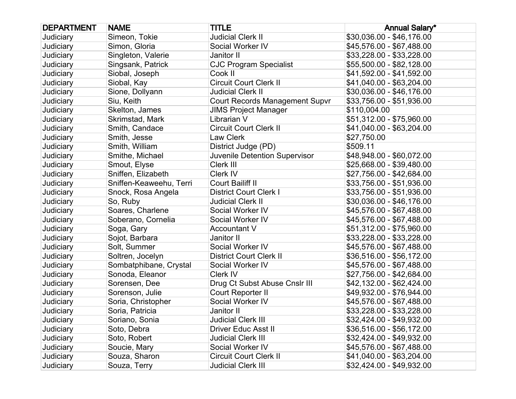| <b>DEPARTMENT</b> | <b>NAME</b>             | <b>TITLE</b>                          | <b>Annual Salary*</b>     |
|-------------------|-------------------------|---------------------------------------|---------------------------|
| Judiciary         | Simeon, Tokie           | <b>Judicial Clerk II</b>              | \$30,036.00 - \$46,176.00 |
| Judiciary         | Simon, Gloria           | Social Worker IV                      | \$45,576.00 - \$67,488.00 |
| Judiciary         | Singleton, Valerie      | Janitor II                            | \$33,228.00 - \$33,228.00 |
| Judiciary         | Singsank, Patrick       | <b>CJC Program Specialist</b>         | \$55,500.00 - \$82,128.00 |
| Judiciary         | Siobal, Joseph          | Cook II                               | \$41,592.00 - \$41,592.00 |
| Judiciary         | Siobal, Kay             | <b>Circuit Court Clerk II</b>         | \$41,040.00 - \$63,204.00 |
| Judiciary         | Sione, Dollyann         | <b>Judicial Clerk II</b>              | \$30,036.00 - \$46,176.00 |
| Judiciary         | Siu, Keith              | <b>Court Records Management Supvr</b> | \$33,756.00 - \$51,936.00 |
| Judiciary         | Skelton, James          | <b>JIMS Project Manager</b>           | \$110,004.00              |
| Judiciary         | Skrimstad, Mark         | Librarian V                           | \$51,312.00 - \$75,960.00 |
| Judiciary         | Smith, Candace          | <b>Circuit Court Clerk II</b>         | \$41,040.00 - \$63,204.00 |
| Judiciary         | Smith, Jesse            | Law Clerk                             | \$27,750.00               |
| Judiciary         | Smith, William          | District Judge (PD)                   | \$509.11                  |
| Judiciary         | Smithe, Michael         | Juvenile Detention Supervisor         | \$48,948.00 - \$60,072.00 |
| Judiciary         | Smout, Elyse            | Clerk III                             | \$25,668.00 - \$39,480.00 |
| Judiciary         | Sniffen, Elizabeth      | Clerk IV                              | \$27,756.00 - \$42,684.00 |
| Judiciary         | Sniffen-Keaweehu, Terri | Court Bailiff II                      | \$33,756.00 - \$51,936.00 |
| Judiciary         | Snock, Rosa Angela      | <b>District Court Clerk I</b>         | \$33,756.00 - \$51,936.00 |
| Judiciary         | So, Ruby                | <b>Judicial Clerk II</b>              | \$30,036.00 - \$46,176.00 |
| Judiciary         | Soares, Charlene        | Social Worker IV                      | \$45,576.00 - \$67,488.00 |
| Judiciary         | Soberano, Cornelia      | Social Worker IV                      | \$45,576.00 - \$67,488.00 |
| Judiciary         | Soga, Gary              | <b>Accountant V</b>                   | \$51,312.00 - \$75,960.00 |
| Judiciary         | Sojot, Barbara          | Janitor II                            | \$33,228.00 - \$33,228.00 |
| Judiciary         | Solt, Summer            | Social Worker IV                      | \$45,576.00 - \$67,488.00 |
| Judiciary         | Soltren, Jocelyn        | <b>District Court Clerk II</b>        | $$36,516.00 - $56,172.00$ |
| Judiciary         | Sombatphibane, Crystal  | Social Worker IV                      | \$45,576.00 - \$67,488.00 |
| Judiciary         | Sonoda, Eleanor         | Clerk IV                              | \$27,756.00 - \$42,684.00 |
| Judiciary         | Sorensen, Dee           | Drug Ct Subst Abuse Cnslr III         | \$42,132.00 - \$62,424.00 |
| Judiciary         | Sorenson, Julie         | Court Reporter II                     | \$49,932.00 - \$76,944.00 |
| Judiciary         | Soria, Christopher      | Social Worker IV                      | \$45,576.00 - \$67,488.00 |
| Judiciary         | Soria, Patricia         | Janitor II                            | \$33,228.00 - \$33,228.00 |
| Judiciary         | Soriano, Sonia          | <b>Judicial Clerk III</b>             | \$32,424.00 - \$49,932.00 |
| Judiciary         | Soto, Debra             | <b>Driver Educ Asst II</b>            | \$36,516.00 - \$56,172.00 |
| Judiciary         | Soto, Robert            | <b>Judicial Clerk III</b>             | \$32,424.00 - \$49,932.00 |
| Judiciary         | Soucie, Mary            | Social Worker IV                      | \$45,576.00 - \$67,488.00 |
| Judiciary         | Souza, Sharon           | <b>Circuit Court Clerk II</b>         | \$41,040.00 - \$63,204.00 |
| Judiciary         | Souza, Terry            | <b>Judicial Clerk III</b>             | \$32,424.00 - \$49,932.00 |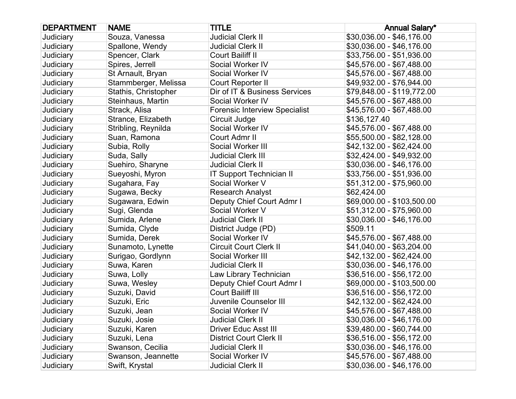| <b>DEPARTMENT</b> | <b>NAME</b>          | <b>TITLE</b>                         | <b>Annual Salary*</b>      |
|-------------------|----------------------|--------------------------------------|----------------------------|
| Judiciary         | Souza, Vanessa       | <b>Judicial Clerk II</b>             | \$30,036.00 - \$46,176.00  |
| Judiciary         | Spallone, Wendy      | <b>Judicial Clerk II</b>             | \$30,036.00 - \$46,176.00  |
| Judiciary         | Spencer, Clark       | Court Bailiff II                     | \$33,756.00 - \$51,936.00  |
| Judiciary         | Spires, Jerrell      | Social Worker IV                     | \$45,576.00 - \$67,488.00  |
| Judiciary         | St Arnault, Bryan    | Social Worker IV                     | \$45,576.00 - \$67,488.00  |
| Judiciary         | Stammberger, Melissa | Court Reporter II                    | \$49,932.00 - \$76,944.00  |
| Judiciary         | Stathis, Christopher | Dir of IT & Business Services        | \$79,848.00 - \$119,772.00 |
| Judiciary         | Steinhaus, Martin    | Social Worker IV                     | \$45,576.00 - \$67,488.00  |
| Judiciary         | Strack, Alisa        | <b>Forensic Interview Specialist</b> | \$45,576.00 - \$67,488.00  |
| Judiciary         | Strance, Elizabeth   | Circuit Judge                        | \$136,127.40               |
| Judiciary         | Stribling, Reynilda  | Social Worker IV                     | \$45,576.00 - \$67,488.00  |
| Judiciary         | Suan, Ramona         | Court Admr II                        | \$55,500.00 - \$82,128.00  |
| Judiciary         | Subia, Rolly         | Social Worker III                    | \$42,132.00 - \$62,424.00  |
| Judiciary         | Suda, Sally          | <b>Judicial Clerk III</b>            | \$32,424.00 - \$49,932.00  |
| Judiciary         | Suehiro, Sharyne     | <b>Judicial Clerk II</b>             | \$30,036.00 - \$46,176.00  |
| Judiciary         | Sueyoshi, Myron      | <b>IT Support Technician II</b>      | \$33,756.00 - \$51,936.00  |
| Judiciary         | Sugahara, Fay        | Social Worker V                      | \$51,312.00 - \$75,960.00  |
| Judiciary         | Sugawa, Becky        | <b>Research Analyst</b>              | \$62,424.00                |
| Judiciary         | Sugawara, Edwin      | Deputy Chief Court Admr I            | \$69,000.00 - \$103,500.00 |
| Judiciary         | Sugi, Glenda         | Social Worker V                      | \$51,312.00 - \$75,960.00  |
| Judiciary         | Sumida, Arlene       | <b>Judicial Clerk II</b>             | \$30,036.00 - \$46,176.00  |
| Judiciary         | Sumida, Clyde        | District Judge (PD)                  | \$509.11                   |
| Judiciary         | Sumida, Derek        | Social Worker IV                     | \$45,576.00 - \$67,488.00  |
| Judiciary         | Sunamoto, Lynette    | <b>Circuit Court Clerk II</b>        | \$41,040.00 - \$63,204.00  |
| Judiciary         | Surigao, Gordlynn    | Social Worker III                    | \$42,132.00 - \$62,424.00  |
| Judiciary         | Suwa, Karen          | <b>Judicial Clerk II</b>             | \$30,036.00 - \$46,176.00  |
| Judiciary         | Suwa, Lolly          | Law Library Technician               | \$36,516.00 - \$56,172.00  |
| Judiciary         | Suwa, Wesley         | Deputy Chief Court Admr I            | \$69,000.00 - \$103,500.00 |
| Judiciary         | Suzuki, David        | Court Bailiff III                    | \$36,516.00 - \$56,172.00  |
| Judiciary         | Suzuki, Eric         | Juvenile Counselor III               | \$42,132.00 - \$62,424.00  |
| Judiciary         | Suzuki, Jean         | Social Worker IV                     | \$45,576.00 - \$67,488.00  |
| Judiciary         | Suzuki, Josie        | <b>Judicial Clerk II</b>             | \$30,036.00 - \$46,176.00  |
| Judiciary         | Suzuki, Karen        | <b>Driver Educ Asst III</b>          | \$39,480.00 - \$60,744.00  |
| Judiciary         | Suzuki, Lena         | <b>District Court Clerk II</b>       | \$36,516.00 - \$56,172.00  |
| Judiciary         | Swanson, Cecilia     | <b>Judicial Clerk II</b>             | \$30,036.00 - \$46,176.00  |
| Judiciary         | Swanson, Jeannette   | Social Worker IV                     | \$45,576.00 - \$67,488.00  |
| Judiciary         | Swift, Krystal       | <b>Judicial Clerk II</b>             | \$30,036.00 - \$46,176.00  |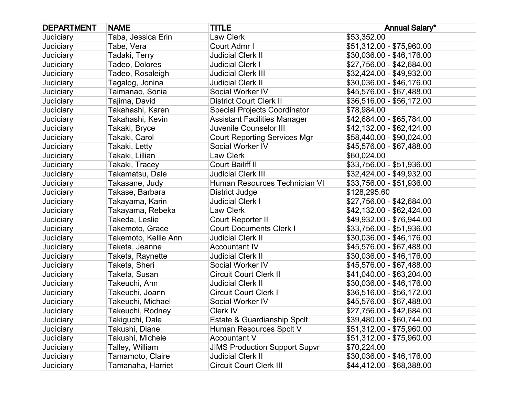| <b>DEPARTMENT</b> | <b>NAME</b>          | <b>TITLE</b>                         | <b>Annual Salary*</b>     |
|-------------------|----------------------|--------------------------------------|---------------------------|
| Judiciary         | Taba, Jessica Erin   | Law Clerk                            | \$53,352.00               |
| Judiciary         | Tabe, Vera           | Court Admr I                         | \$51,312.00 - \$75,960.00 |
| Judiciary         | Tadaki, Terry        | Judicial Clerk II                    | \$30,036.00 - \$46,176.00 |
| Judiciary         | Tadeo, Dolores       | <b>Judicial Clerk I</b>              | \$27,756.00 - \$42,684.00 |
| Judiciary         | Tadeo, Rosaleigh     | Judicial Clerk III                   | \$32,424.00 - \$49,932.00 |
| Judiciary         | Tagalog, Jonina      | <b>Judicial Clerk II</b>             | \$30,036.00 - \$46,176.00 |
| Judiciary         | Taimanao, Sonia      | Social Worker IV                     | \$45,576.00 - \$67,488.00 |
| Judiciary         | Tajima, David        | <b>District Court Clerk II</b>       | \$36,516.00 - \$56,172.00 |
| Judiciary         | Takahashi, Karen     | <b>Special Projects Coordinator</b>  | \$78,984.00               |
| Judiciary         | Takahashi, Kevin     | <b>Assistant Facilities Manager</b>  | \$42,684.00 - \$65,784.00 |
| Judiciary         | Takaki, Bryce        | Juvenile Counselor III               | \$42,132.00 - \$62,424.00 |
| Judiciary         | Takaki, Carol        | <b>Court Reporting Services Mgr</b>  | \$58,440.00 - \$90,024.00 |
| Judiciary         | Takaki, Letty        | Social Worker IV                     | \$45,576.00 - \$67,488.00 |
| Judiciary         | Takaki, Lillian      | Law Clerk                            | \$60,024.00               |
| Judiciary         | Takaki, Tracey       | <b>Court Bailiff II</b>              | \$33,756.00 - \$51,936.00 |
| Judiciary         | Takamatsu, Dale      | <b>Judicial Clerk III</b>            | \$32,424.00 - \$49,932.00 |
| Judiciary         | Takasane, Judy       | Human Resources Technician VI        | \$33,756.00 - \$51,936.00 |
| Judiciary         | Takase, Barbara      | <b>District Judge</b>                | \$128,295.60              |
| Judiciary         | Takayama, Karin      | <b>Judicial Clerk I</b>              | \$27,756.00 - \$42,684.00 |
| Judiciary         | Takayama, Rebeka     | Law Clerk                            | \$42,132.00 - \$62,424.00 |
| Judiciary         | Takeda, Leslie       | Court Reporter II                    | \$49,932.00 - \$76,944.00 |
| Judiciary         | Takemoto, Grace      | <b>Court Documents Clerk I</b>       | \$33,756.00 - \$51,936.00 |
| Judiciary         | Takemoto, Kellie Ann | Judicial Clerk II                    | \$30,036.00 - \$46,176.00 |
| Judiciary         | Taketa, Jeanne       | <b>Accountant IV</b>                 | \$45,576.00 - \$67,488.00 |
| Judiciary         | Taketa, Raynette     | <b>Judicial Clerk II</b>             | \$30,036.00 - \$46,176.00 |
| Judiciary         | Taketa, Sheri        | Social Worker IV                     | \$45,576.00 - \$67,488.00 |
| Judiciary         | Taketa, Susan        | <b>Circuit Court Clerk II</b>        | \$41,040.00 - \$63,204.00 |
| Judiciary         | Takeuchi, Ann        | <b>Judicial Clerk II</b>             | \$30,036.00 - \$46,176.00 |
| Judiciary         | Takeuchi, Joann      | <b>Circuit Court Clerk I</b>         | \$36,516.00 - \$56,172.00 |
| Judiciary         | Takeuchi, Michael    | Social Worker IV                     | \$45,576.00 - \$67,488.00 |
| Judiciary         | Takeuchi, Rodney     | Clerk IV                             | \$27,756.00 - \$42,684.00 |
| Judiciary         | Takiguchi, Dale      | Estate & Guardianship Spclt          | \$39,480.00 - \$60,744.00 |
| Judiciary         | Takushi, Diane       | Human Resources Spclt V              | \$51,312.00 - \$75,960.00 |
| Judiciary         | Takushi, Michele     | <b>Accountant V</b>                  | \$51,312.00 - \$75,960.00 |
| Judiciary         | Talley, William      | <b>JIMS Production Support Supvr</b> | \$70,224.00               |
| Judiciary         | Tamamoto, Claire     | <b>Judicial Clerk II</b>             | \$30,036.00 - \$46,176.00 |
| Judiciary         | Tamanaha, Harriet    | <b>Circuit Court Clerk III</b>       | \$44,412.00 - \$68,388.00 |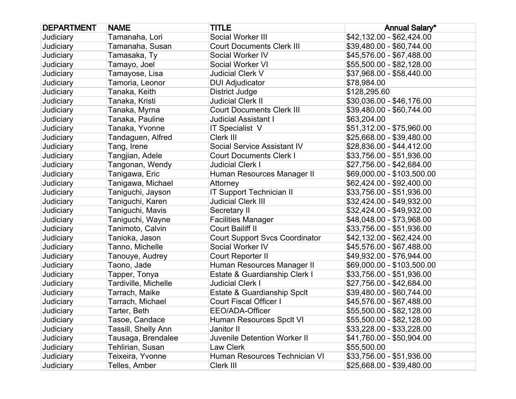| <b>DEPARTMENT</b> | <b>NAME</b>          | <b>TITLE</b>                          | <b>Annual Salary*</b>      |
|-------------------|----------------------|---------------------------------------|----------------------------|
| Judiciary         | Tamanaha, Lori       | Social Worker III                     | \$42,132.00 - \$62,424.00  |
| Judiciary         | Tamanaha, Susan      | <b>Court Documents Clerk III</b>      | \$39,480.00 - \$60,744.00  |
| Judiciary         | Tamasaka, Ty         | Social Worker IV                      | \$45,576.00 - \$67,488.00  |
| Judiciary         | Tamayo, Joel         | Social Worker VI                      | \$55,500.00 - \$82,128.00  |
| Judiciary         | Tamayose, Lisa       | <b>Judicial Clerk V</b>               | \$37,968.00 - \$58,440.00  |
| Judiciary         | Tamoria, Leonor      | <b>DUI Adjudicator</b>                | \$78,984.00                |
| Judiciary         | Tanaka, Keith        | <b>District Judge</b>                 | \$128,295.60               |
| Judiciary         | Tanaka, Kristi       | <b>Judicial Clerk II</b>              | \$30,036.00 - \$46,176.00  |
| Judiciary         | Tanaka, Myrna        | <b>Court Documents Clerk III</b>      | \$39,480.00 - \$60,744.00  |
| Judiciary         | Tanaka, Pauline      | <b>Judicial Assistant I</b>           | \$63,204.00                |
| Judiciary         | Tanaka, Yvonne       | <b>IT Specialist V</b>                | \$51,312.00 - \$75,960.00  |
| Judiciary         | Tandaguen, Alfred    | Clerk III                             | \$25,668.00 - \$39,480.00  |
| Judiciary         | Tang, Irene          | Social Service Assistant IV           | \$28,836.00 - \$44,412.00  |
| Judiciary         | Tangjian, Adele      | <b>Court Documents Clerk I</b>        | \$33,756.00 - \$51,936.00  |
| Judiciary         | Tangonan, Wendy      | <b>Judicial Clerk I</b>               | \$27,756.00 - \$42,684.00  |
| Judiciary         | Tanigawa, Eric       | Human Resources Manager II            | \$69,000.00 - \$103,500.00 |
| Judiciary         | Tanigawa, Michael    | Attorney                              | \$62,424.00 - \$92,400.00  |
| Judiciary         | Taniguchi, Jayson    | <b>IT Support Technician II</b>       | \$33,756.00 - \$51,936.00  |
| Judiciary         | Taniguchi, Karen     | <b>Judicial Clerk III</b>             | \$32,424.00 - \$49,932.00  |
| Judiciary         | Taniguchi, Mavis     | Secretary II                          | \$32,424.00 - \$49,932.00  |
| Judiciary         | Taniguchi, Wayne     | <b>Facilities Manager</b>             | \$48,048.00 - \$73,968.00  |
| Judiciary         | Tanimoto, Calvin     | Court Bailiff II                      | \$33,756.00 - \$51,936.00  |
| Judiciary         | Tanioka, Jason       | <b>Court Support Svcs Coordinator</b> | \$42,132.00 - \$62,424.00  |
| Judiciary         | Tanno, Michelle      | Social Worker IV                      | \$45,576.00 - \$67,488.00  |
| Judiciary         | Tanouye, Audrey      | Court Reporter II                     | \$49,932.00 - \$76,944.00  |
| Judiciary         | Taono, Jade          | Human Resources Manager II            | \$69,000.00 - \$103,500.00 |
| Judiciary         | Tapper, Tonya        | Estate & Guardianship Clerk I         | \$33,756.00 - \$51,936.00  |
| Judiciary         | Tardiville, Michelle | <b>Judicial Clerk I</b>               | \$27,756.00 - \$42,684.00  |
| Judiciary         | Tarrach, Maike       | Estate & Guardianship Spclt           | \$39,480.00 - \$60,744.00  |
| Judiciary         | Tarrach, Michael     | <b>Court Fiscal Officer I</b>         | \$45,576.00 - \$67,488.00  |
| Judiciary         | Tarter, Beth         | EEO/ADA-Officer                       | \$55,500.00 - \$82,128.00  |
| Judiciary         | Tasoe, Candace       | Human Resources Spclt VI              | \$55,500.00 - \$82,128.00  |
| Judiciary         | Tassill, Shelly Ann  | Janitor II                            | \$33,228.00 - \$33,228.00  |
| Judiciary         | Tausaga, Brendalee   | <b>Juvenile Detention Worker II</b>   | \$41,760.00 - \$50,904.00  |
| Judiciary         | Tehlirian, Susan     | Law Clerk                             | \$55,500.00                |
| Judiciary         | Teixeira, Yvonne     | Human Resources Technician VI         | \$33,756.00 - \$51,936.00  |
| Judiciary         | Telles, Amber        | Clerk III                             | \$25,668.00 - \$39,480.00  |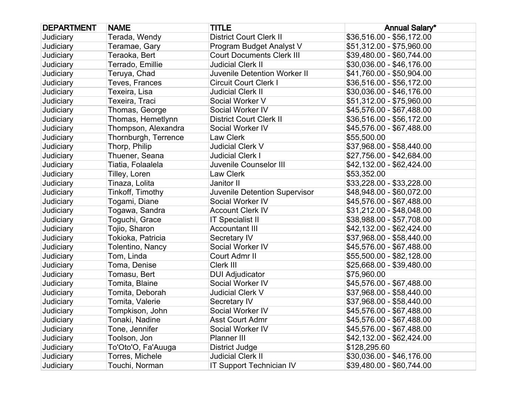| <b>DEPARTMENT</b> | <b>NAME</b>          | <b>TITLE</b>                        | <b>Annual Salary*</b>     |
|-------------------|----------------------|-------------------------------------|---------------------------|
| Judiciary         | Terada, Wendy        | <b>District Court Clerk II</b>      | \$36,516.00 - \$56,172.00 |
| Judiciary         | Teramae, Gary        | Program Budget Analyst V            | \$51,312.00 - \$75,960.00 |
| Judiciary         | Teraoka, Bert        | <b>Court Documents Clerk III</b>    | \$39,480.00 - \$60,744.00 |
| Judiciary         | Terrado, Emillie     | <b>Judicial Clerk II</b>            | \$30,036.00 - \$46,176.00 |
| Judiciary         | Teruya, Chad         | <b>Juvenile Detention Worker II</b> | \$41,760.00 - \$50,904.00 |
| Judiciary         | Teves, Frances       | <b>Circuit Court Clerk I</b>        | \$36,516.00 - \$56,172.00 |
| Judiciary         | Texeira, Lisa        | <b>Judicial Clerk II</b>            | \$30,036.00 - \$46,176.00 |
| Judiciary         | Texeira, Traci       | Social Worker V                     | \$51,312.00 - \$75,960.00 |
| Judiciary         | Thomas, George       | Social Worker IV                    | \$45,576.00 - \$67,488.00 |
| Judiciary         | Thomas, Hemetlynn    | <b>District Court Clerk II</b>      | \$36,516.00 - \$56,172.00 |
| Judiciary         | Thompson, Alexandra  | Social Worker IV                    | \$45,576.00 - \$67,488.00 |
| Judiciary         | Thornburgh, Terrence | Law Clerk                           | \$55,500.00               |
| Judiciary         | Thorp, Philip        | Judicial Clerk V                    | \$37,968.00 - \$58,440.00 |
| Judiciary         | Thuener, Seana       | <b>Judicial Clerk I</b>             | \$27,756.00 - \$42,684.00 |
| Judiciary         | Tiatia, Folaalela    | Juvenile Counselor III              | \$42,132.00 - \$62,424.00 |
| Judiciary         | Tilley, Loren        | Law Clerk                           | \$53,352.00               |
| Judiciary         | Tinaza, Lolita       | Janitor II                          | \$33,228.00 - \$33,228.00 |
| Judiciary         | Tinkoff, Timothy     | Juvenile Detention Supervisor       | \$48,948.00 - \$60,072.00 |
| Judiciary         | Togami, Diane        | Social Worker IV                    | \$45,576.00 - \$67,488.00 |
| Judiciary         | Togawa, Sandra       | <b>Account Clerk IV</b>             | \$31,212.00 - \$48,048.00 |
| Judiciary         | Toguchi, Grace       | <b>IT Specialist II</b>             | \$38,988.00 - \$57,708.00 |
| Judiciary         | Tojio, Sharon        | <b>Accountant III</b>               | \$42,132.00 - \$62,424.00 |
| Judiciary         | Tokioka, Patricia    | Secretary IV                        | \$37,968.00 - \$58,440.00 |
| Judiciary         | Tolentino, Nancy     | Social Worker IV                    | \$45,576.00 - \$67,488.00 |
| Judiciary         | Tom, Linda           | Court Admr II                       | \$55,500.00 - \$82,128.00 |
| Judiciary         | Toma, Denise         | Clerk III                           | \$25,668.00 - \$39,480.00 |
| Judiciary         | Tomasu, Bert         | <b>DUI Adjudicator</b>              | \$75,960.00               |
| Judiciary         | Tomita, Blaine       | Social Worker IV                    | \$45,576.00 - \$67,488.00 |
| Judiciary         | Tomita, Deborah      | <b>Judicial Clerk V</b>             | \$37,968.00 - \$58,440.00 |
| Judiciary         | Tomita, Valerie      | Secretary IV                        | \$37,968.00 - \$58,440.00 |
| Judiciary         | Tompkison, John      | Social Worker IV                    | \$45,576.00 - \$67,488.00 |
| Judiciary         | Tonaki, Nadine       | <b>Asst Court Admr</b>              | \$45,576.00 - \$67,488.00 |
| Judiciary         | Tone, Jennifer       | Social Worker IV                    | \$45,576.00 - \$67,488.00 |
| Judiciary         | Toolson, Jon         | Planner III                         | \$42,132.00 - \$62,424.00 |
| Judiciary         | To'Oto'O, Fa'Auuga   | District Judge                      | \$128,295.60              |
| Judiciary         | Torres, Michele      | <b>Judicial Clerk II</b>            | \$30,036.00 - \$46,176.00 |
| Judiciary         | Touchi, Norman       | <b>IT Support Technician IV</b>     | \$39,480.00 - \$60,744.00 |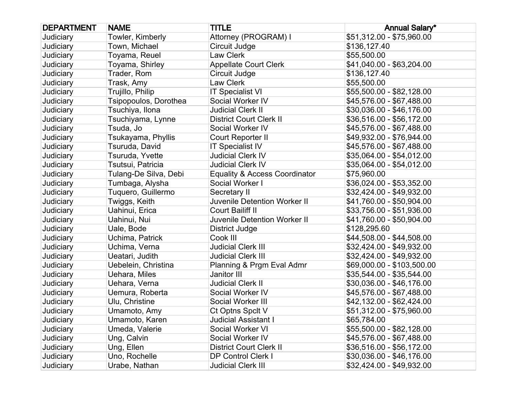| <b>DEPARTMENT</b> | <b>NAME</b>           | <b>TITLE</b>                             | <b>Annual Salary*</b>      |
|-------------------|-----------------------|------------------------------------------|----------------------------|
| Judiciary         | Towler, Kimberly      | Attorney (PROGRAM) I                     | \$51,312.00 - \$75,960.00  |
| Judiciary         | Town, Michael         | Circuit Judge                            | \$136,127.40               |
| Judiciary         | Toyama, Reuel         | <b>Law Clerk</b>                         | \$55,500.00                |
| Judiciary         | Toyama, Shirley       | <b>Appellate Court Clerk</b>             | \$41,040.00 - \$63,204.00  |
| Judiciary         | Trader, Rom           | Circuit Judge                            | \$136,127.40               |
| Judiciary         | Trask, Amy            | Law Clerk                                | \$55,500.00                |
| Judiciary         | Trujillo, Philip      | <b>IT Specialist VI</b>                  | \$55,500.00 - \$82,128.00  |
| Judiciary         | Tsipopoulos, Dorothea | Social Worker IV                         | \$45,576.00 - \$67,488.00  |
| Judiciary         | Tsuchiya, Ilona       | <b>Judicial Clerk II</b>                 | \$30,036.00 - \$46,176.00  |
| Judiciary         | Tsuchiyama, Lynne     | <b>District Court Clerk II</b>           | \$36,516.00 - \$56,172.00  |
| Judiciary         | Tsuda, Jo             | Social Worker IV                         | \$45,576.00 - \$67,488.00  |
| Judiciary         | Tsukayama, Phyllis    | Court Reporter II                        | \$49,932.00 - \$76,944.00  |
| Judiciary         | Tsuruda, David        | <b>IT Specialist IV</b>                  | \$45,576.00 - \$67,488.00  |
| Judiciary         | Tsuruda, Yvette       | <b>Judicial Clerk IV</b>                 | \$35,064.00 - \$54,012.00  |
| Judiciary         | Tsutsui, Patricia     | <b>Judicial Clerk IV</b>                 | \$35,064.00 - \$54,012.00  |
| Judiciary         | Tulang-De Silva, Debi | <b>Equality &amp; Access Coordinator</b> | \$75,960.00                |
| Judiciary         | Tumbaga, Alysha       | Social Worker I                          | \$36,024.00 - \$53,352.00  |
| Judiciary         | Tuquero, Guillermo    | Secretary II                             | \$32,424.00 - \$49,932.00  |
| Judiciary         | Twiggs, Keith         | Juvenile Detention Worker II             | \$41,760.00 - \$50,904.00  |
| Judiciary         | Uahinui, Erica        | <b>Court Bailiff II</b>                  | \$33,756.00 - \$51,936.00  |
| Judiciary         | Uahinui, Nui          | Juvenile Detention Worker II             | \$41,760.00 - \$50,904.00  |
| Judiciary         | Uale, Bode            | <b>District Judge</b>                    | \$128,295.60               |
| Judiciary         | Uchima, Patrick       | Cook III                                 | \$44,508.00 - \$44,508.00  |
| Judiciary         | Uchima, Verna         | <b>Judicial Clerk III</b>                | \$32,424.00 - \$49,932.00  |
| Judiciary         | Ueatari, Judith       | <b>Judicial Clerk III</b>                | \$32,424.00 - \$49,932.00  |
| Judiciary         | Uebelein, Christina   | Planning & Prgm Eval Admr                | \$69,000.00 - \$103,500.00 |
| Judiciary         | Uehara, Miles         | Janitor III                              | \$35,544.00 - \$35,544.00  |
| Judiciary         | Uehara, Verna         | <b>Judicial Clerk II</b>                 | \$30,036.00 - \$46,176.00  |
| Judiciary         | Uemura, Roberta       | Social Worker IV                         | \$45,576.00 - \$67,488.00  |
| Judiciary         | Ulu, Christine        | Social Worker III                        | \$42,132.00 - \$62,424.00  |
| Judiciary         | Umamoto, Amy          | Ct Optns Spclt V                         | \$51,312.00 - \$75,960.00  |
| Judiciary         | Umamoto, Karen        | <b>Judicial Assistant I</b>              | \$65,784.00                |
| Judiciary         | Umeda, Valerie        | Social Worker VI                         | \$55,500.00 - \$82,128.00  |
| Judiciary         | Ung, Calvin           | Social Worker IV                         | \$45,576.00 - \$67,488.00  |
| Judiciary         | Ung, Ellen            | <b>District Court Clerk II</b>           | \$36,516.00 - \$56,172.00  |
| Judiciary         | Uno, Rochelle         | <b>DP Control Clerk I</b>                | \$30,036.00 - \$46,176.00  |
| Judiciary         | Urabe, Nathan         | <b>Judicial Clerk III</b>                | \$32,424.00 - \$49,932.00  |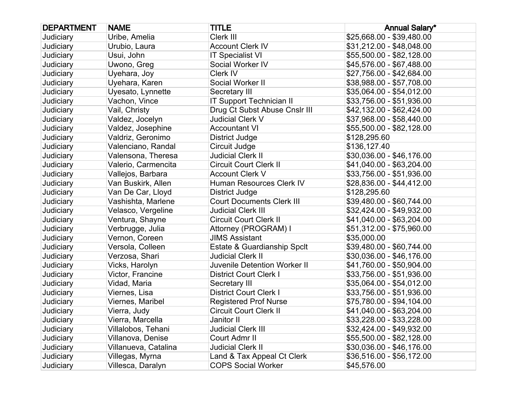| <b>DEPARTMENT</b> | <b>NAME</b>          | <b>TITLE</b>                     | <b>Annual Salary*</b>     |
|-------------------|----------------------|----------------------------------|---------------------------|
| Judiciary         | Uribe, Amelia        | Clerk III                        | \$25,668.00 - \$39,480.00 |
| Judiciary         | Urubio, Laura        | <b>Account Clerk IV</b>          | \$31,212.00 - \$48,048.00 |
| Judiciary         | Usui, John           | <b>IT Specialist VI</b>          | \$55,500.00 - \$82,128.00 |
| Judiciary         | Uwono, Greg          | Social Worker IV                 | \$45,576.00 - \$67,488.00 |
| Judiciary         | Uyehara, Joy         | Clerk IV                         | \$27,756.00 - \$42,684.00 |
| Judiciary         | Uyehara, Karen       | Social Worker II                 | \$38,988.00 - \$57,708.00 |
| Judiciary         | Uyesato, Lynnette    | Secretary III                    | \$35,064.00 - \$54,012.00 |
| Judiciary         | Vachon, Vince        | <b>IT Support Technician II</b>  | \$33,756.00 - \$51,936.00 |
| Judiciary         | Vail, Christy        | Drug Ct Subst Abuse Cnslr III    | \$42,132.00 - \$62,424.00 |
| Judiciary         | Valdez, Jocelyn      | Judicial Clerk V                 | \$37,968.00 - \$58,440.00 |
| Judiciary         | Valdez, Josephine    | <b>Accountant VI</b>             | \$55,500.00 - \$82,128.00 |
| Judiciary         | Valdriz, Geronimo    | District Judge                   | \$128,295.60              |
| Judiciary         | Valenciano, Randal   | Circuit Judge                    | \$136,127.40              |
| Judiciary         | Valensona, Theresa   | <b>Judicial Clerk II</b>         | \$30,036.00 - \$46,176.00 |
| Judiciary         | Valerio, Carmencita  | <b>Circuit Court Clerk II</b>    | \$41,040.00 - \$63,204.00 |
| Judiciary         | Vallejos, Barbara    | <b>Account Clerk V</b>           | \$33,756.00 - \$51,936.00 |
| Judiciary         | Van Buskirk, Allen   | Human Resources Clerk IV         | \$28,836.00 - \$44,412.00 |
| Judiciary         | Van De Car, Lloyd    | <b>District Judge</b>            | \$128,295.60              |
| Judiciary         | Vashishta, Marlene   | <b>Court Documents Clerk III</b> | \$39,480.00 - \$60,744.00 |
| Judiciary         | Velasco, Vergeline   | <b>Judicial Clerk III</b>        | \$32,424.00 - \$49,932.00 |
| Judiciary         | Ventura, Shayne      | <b>Circuit Court Clerk II</b>    | \$41,040.00 - \$63,204.00 |
| Judiciary         | Verbrugge, Julia     | Attorney (PROGRAM) I             | \$51,312.00 - \$75,960.00 |
| Judiciary         | Vernon, Coreen       | <b>JIMS Assistant</b>            | \$35,000.00               |
| Judiciary         | Versola, Colleen     | Estate & Guardianship Spclt      | \$39,480.00 - \$60,744.00 |
| Judiciary         | Verzosa, Shari       | <b>Judicial Clerk II</b>         | \$30,036.00 - \$46,176.00 |
| Judiciary         | Vicks, Harolyn       | Juvenile Detention Worker II     | \$41,760.00 - \$50,904.00 |
| Judiciary         | Victor, Francine     | <b>District Court Clerk I</b>    | \$33,756.00 - \$51,936.00 |
| Judiciary         | Vidad, Maria         | Secretary III                    | \$35,064.00 - \$54,012.00 |
| Judiciary         | Viernes, Lisa        | <b>District Court Clerk I</b>    | \$33,756.00 - \$51,936.00 |
| Judiciary         | Viernes, Maribel     | <b>Registered Prof Nurse</b>     | \$75,780.00 - \$94,104.00 |
| Judiciary         | Vierra, Judy         | <b>Circuit Court Clerk II</b>    | \$41,040.00 - \$63,204.00 |
| Judiciary         | Vierra, Marcella     | Janitor II                       | \$33,228.00 - \$33,228.00 |
| Judiciary         | Villalobos, Tehani   | <b>Judicial Clerk III</b>        | \$32,424.00 - \$49,932.00 |
| Judiciary         | Villanova, Denise    | Court Admr II                    | \$55,500.00 - \$82,128.00 |
| Judiciary         | Villanueva, Catalina | <b>Judicial Clerk II</b>         | \$30,036.00 - \$46,176.00 |
| Judiciary         | Villegas, Myrna      | Land & Tax Appeal Ct Clerk       | \$36,516.00 - \$56,172.00 |
| Judiciary         | Villesca, Daralyn    | <b>COPS Social Worker</b>        | \$45,576.00               |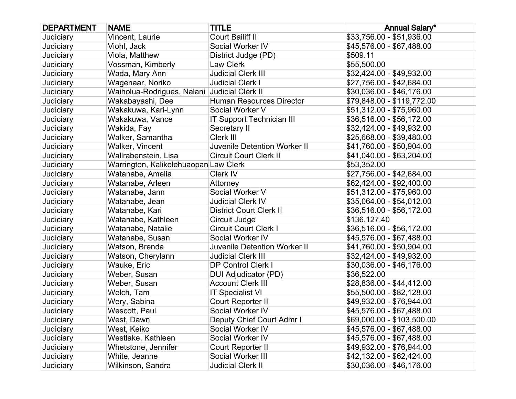| <b>DEPARTMENT</b> | <b>NAME</b>                                  | <b>TITLE</b>                     | <b>Annual Salary*</b>      |
|-------------------|----------------------------------------------|----------------------------------|----------------------------|
| Judiciary         | Vincent, Laurie                              | Court Bailiff II                 | \$33,756.00 - \$51,936.00  |
| Judiciary         | Viohl, Jack                                  | Social Worker IV                 | \$45,576.00 - \$67,488.00  |
| Judiciary         | Viola, Matthew                               | District Judge (PD)              | \$509.11                   |
| Judiciary         | Vossman, Kimberly                            | Law Clerk                        | \$55,500.00                |
| Judiciary         | Wada, Mary Ann                               | <b>Judicial Clerk III</b>        | \$32,424.00 - \$49,932.00  |
| Judiciary         | Wagenaar, Noriko                             | <b>Judicial Clerk I</b>          | \$27,756.00 - \$42,684.00  |
| Judiciary         | Waiholua-Rodrigues, Nalani Judicial Clerk II |                                  | \$30,036.00 - \$46,176.00  |
| Judiciary         | Wakabayashi, Dee                             | <b>Human Resources Director</b>  | \$79,848.00 - \$119,772.00 |
| Judiciary         | Wakakuwa, Kari-Lynn                          | Social Worker V                  | \$51,312.00 - \$75,960.00  |
| Judiciary         | Wakakuwa, Vance                              | <b>IT Support Technician III</b> | \$36,516.00 - \$56,172.00  |
| Judiciary         | Wakida, Fay                                  | Secretary II                     | \$32,424.00 - \$49,932.00  |
| Judiciary         | Walker, Samantha                             | Clerk III                        | \$25,668.00 - \$39,480.00  |
| Judiciary         | Walker, Vincent                              | Juvenile Detention Worker II     | \$41,760.00 - \$50,904.00  |
| Judiciary         | Wallrabenstein, Lisa                         | <b>Circuit Court Clerk II</b>    | \$41,040.00 - \$63,204.00  |
| Judiciary         | Warrington, Kalikolehuaopan Law Clerk        |                                  | \$53,352.00                |
| Judiciary         | Watanabe, Amelia                             | Clerk IV                         | \$27,756.00 - \$42,684.00  |
| Judiciary         | Watanabe, Arleen                             | Attorney                         | \$62,424.00 - \$92,400.00  |
| Judiciary         | Watanabe, Jann                               | Social Worker V                  | \$51,312.00 - \$75,960.00  |
| Judiciary         | Watanabe, Jean                               | <b>Judicial Clerk IV</b>         | \$35,064.00 - \$54,012.00  |
| Judiciary         | Watanabe, Kari                               | <b>District Court Clerk II</b>   | \$36,516.00 - \$56,172.00  |
| Judiciary         | Watanabe, Kathleen                           | Circuit Judge                    | \$136,127.40               |
| Judiciary         | Watanabe, Natalie                            | <b>Circuit Court Clerk I</b>     | \$36,516.00 - \$56,172.00  |
| Judiciary         | Watanabe, Susan                              | Social Worker IV                 | \$45,576.00 - \$67,488.00  |
| Judiciary         | Watson, Brenda                               | Juvenile Detention Worker II     | \$41,760.00 - \$50,904.00  |
| Judiciary         | Watson, Cherylann                            | <b>Judicial Clerk III</b>        | \$32,424.00 - \$49,932.00  |
| Judiciary         | Wauke, Eric                                  | <b>DP Control Clerk I</b>        | \$30,036.00 - \$46,176.00  |
| Judiciary         | Weber, Susan                                 | DUI Adjudicator (PD)             | \$36,522.00                |
| Judiciary         | Weber, Susan                                 | <b>Account Clerk III</b>         | \$28,836.00 - \$44,412.00  |
| Judiciary         | Welch, Tam                                   | <b>IT Specialist VI</b>          | \$55,500.00 - \$82,128.00  |
| Judiciary         | Wery, Sabina                                 | Court Reporter II                | \$49,932.00 - \$76,944.00  |
| Judiciary         | Wescott, Paul                                | Social Worker IV                 | \$45,576.00 - \$67,488.00  |
| Judiciary         | West, Dawn                                   | Deputy Chief Court Admr I        | \$69,000.00 - \$103,500.00 |
| Judiciary         | West, Keiko                                  | Social Worker IV                 | \$45,576.00 - \$67,488.00  |
| Judiciary         | Westlake, Kathleen                           | Social Worker IV                 | \$45,576.00 - \$67,488.00  |
| Judiciary         | Whetstone, Jennifer                          | Court Reporter II                | \$49,932.00 - \$76,944.00  |
| Judiciary         | White, Jeanne                                | Social Worker III                | \$42,132.00 - \$62,424.00  |
| Judiciary         | Wilkinson, Sandra                            | <b>Judicial Clerk II</b>         | \$30,036.00 - \$46,176.00  |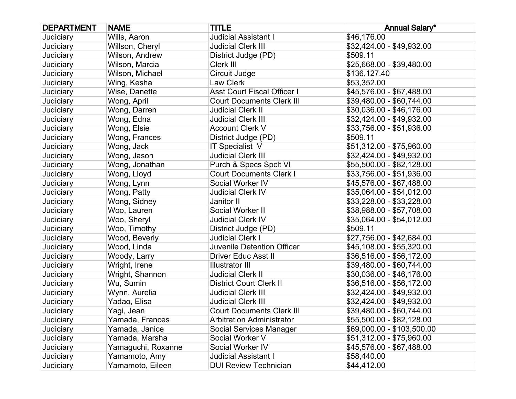| <b>DEPARTMENT</b> | <b>NAME</b>        | <b>TITLE</b>                       | <b>Annual Salary*</b>      |
|-------------------|--------------------|------------------------------------|----------------------------|
| Judiciary         | Wills, Aaron       | <b>Judicial Assistant I</b>        | \$46,176.00                |
| Judiciary         | Willson, Cheryl    | <b>Judicial Clerk III</b>          | \$32,424.00 - \$49,932.00  |
| Judiciary         | Wilson, Andrew     | District Judge (PD)                | \$509.11                   |
| Judiciary         | Wilson, Marcia     | Clerk III                          | \$25,668.00 - \$39,480.00  |
| Judiciary         | Wilson, Michael    | Circuit Judge                      | \$136,127.40               |
| Judiciary         | Wing, Kesha        | Law Clerk                          | \$53,352.00                |
| Judiciary         | Wise, Danette      | <b>Asst Court Fiscal Officer I</b> | \$45,576.00 - \$67,488.00  |
| Judiciary         | Wong, April        | <b>Court Documents Clerk III</b>   | \$39,480.00 - \$60,744.00  |
| Judiciary         | Wong, Darren       | <b>Judicial Clerk II</b>           | \$30,036.00 - \$46,176.00  |
| Judiciary         | Wong, Edna         | <b>Judicial Clerk III</b>          | \$32,424.00 - \$49,932.00  |
| Judiciary         | Wong, Elsie        | <b>Account Clerk V</b>             | \$33,756.00 - \$51,936.00  |
| Judiciary         | Wong, Frances      | District Judge (PD)                | \$509.11                   |
| Judiciary         | Wong, Jack         | IT Specialist V                    | \$51,312.00 - \$75,960.00  |
| Judiciary         | Wong, Jason        | <b>Judicial Clerk III</b>          | \$32,424.00 - \$49,932.00  |
| Judiciary         | Wong, Jonathan     | Purch & Specs Spclt VI             | \$55,500.00 - \$82,128.00  |
| Judiciary         | Wong, Lloyd        | <b>Court Documents Clerk I</b>     | \$33,756.00 - \$51,936.00  |
| Judiciary         | Wong, Lynn         | Social Worker IV                   | \$45,576.00 - \$67,488.00  |
| Judiciary         | Wong, Patty        | <b>Judicial Clerk IV</b>           | \$35,064.00 - \$54,012.00  |
| Judiciary         | Wong, Sidney       | Janitor II                         | \$33,228.00 - \$33,228.00  |
| Judiciary         | Woo, Lauren        | Social Worker II                   | \$38,988.00 - \$57,708.00  |
| Judiciary         | Woo, Sheryl        | <b>Judicial Clerk IV</b>           | \$35,064.00 - \$54,012.00  |
| Judiciary         | Woo, Timothy       | District Judge (PD)                | \$509.11                   |
| Judiciary         | Wood, Beverly      | <b>Judicial Clerk I</b>            | \$27,756.00 - \$42,684.00  |
| Judiciary         | Wood, Linda        | Juvenile Detention Officer         | \$45,108.00 - \$55,320.00  |
| Judiciary         | Woody, Larry       | <b>Driver Educ Asst II</b>         | \$36,516.00 - \$56,172.00  |
| Judiciary         | Wright, Irene      | <b>Illustrator III</b>             | \$39,480.00 - \$60,744.00  |
| Judiciary         | Wright, Shannon    | <b>Judicial Clerk II</b>           | \$30,036.00 - \$46,176.00  |
| Judiciary         | Wu, Sumin          | <b>District Court Clerk II</b>     | \$36,516.00 - \$56,172.00  |
| Judiciary         | Wynn, Aurelia      | <b>Judicial Clerk III</b>          | \$32,424.00 - \$49,932.00  |
| Judiciary         | Yadao, Elisa       | <b>Judicial Clerk III</b>          | \$32,424.00 - \$49,932.00  |
| Judiciary         | Yagi, Jean         | <b>Court Documents Clerk III</b>   | \$39,480.00 - \$60,744.00  |
| Judiciary         | Yamada, Frances    | <b>Arbitration Administrator</b>   | \$55,500.00 - \$82,128.00  |
| Judiciary         | Yamada, Janice     | <b>Social Services Manager</b>     | \$69,000.00 - \$103,500.00 |
| Judiciary         | Yamada, Marsha     | Social Worker V                    | \$51,312.00 - \$75,960.00  |
| Judiciary         | Yamaguchi, Roxanne | Social Worker IV                   | \$45,576.00 - \$67,488.00  |
| Judiciary         | Yamamoto, Amy      | <b>Judicial Assistant I</b>        | \$58,440.00                |
| Judiciary         | Yamamoto, Eileen   | <b>DUI Review Technician</b>       | \$44,412.00                |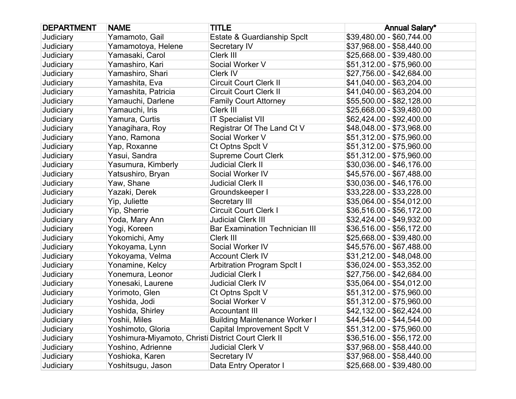| <b>DEPARTMENT</b> | <b>NAME</b>                                         | <b>TITLE</b>                          | <b>Annual Salary*</b>     |
|-------------------|-----------------------------------------------------|---------------------------------------|---------------------------|
| Judiciary         | Yamamoto, Gail                                      | Estate & Guardianship Spclt           | \$39,480.00 - \$60,744.00 |
| Judiciary         | Yamamotoya, Helene                                  | Secretary IV                          | \$37,968.00 - \$58,440.00 |
| Judiciary         | Yamasaki, Carol                                     | Clerk III                             | \$25,668.00 - \$39,480.00 |
| Judiciary         | Yamashiro, Kari                                     | Social Worker V                       | \$51,312.00 - \$75,960.00 |
| Judiciary         | Yamashiro, Shari                                    | Clerk IV                              | \$27,756.00 - \$42,684.00 |
| Judiciary         | Yamashita, Eva                                      | <b>Circuit Court Clerk II</b>         | \$41,040.00 - \$63,204.00 |
| Judiciary         | Yamashita, Patricia                                 | <b>Circuit Court Clerk II</b>         | \$41,040.00 - \$63,204.00 |
| Judiciary         | Yamauchi, Darlene                                   | <b>Family Court Attorney</b>          | \$55,500.00 - \$82,128.00 |
| Judiciary         | Yamauchi, Iris                                      | Clerk III                             | \$25,668.00 - \$39,480.00 |
| Judiciary         | Yamura, Curtis                                      | <b>IT Specialist VII</b>              | \$62,424.00 - \$92,400.00 |
| Judiciary         | Yanagihara, Roy                                     | Registrar Of The Land Ct V            | \$48,048.00 - \$73,968.00 |
| Judiciary         | Yano, Ramona                                        | Social Worker V                       | \$51,312.00 - \$75,960.00 |
| Judiciary         | Yap, Roxanne                                        | Ct Optns Spclt V                      | \$51,312.00 - \$75,960.00 |
| Judiciary         | Yasui, Sandra                                       | <b>Supreme Court Clerk</b>            | \$51,312.00 - \$75,960.00 |
| Judiciary         | Yasumura, Kimberly                                  | <b>Judicial Clerk II</b>              | \$30,036.00 - \$46,176.00 |
| Judiciary         | Yatsushiro, Bryan                                   | Social Worker IV                      | \$45,576.00 - \$67,488.00 |
| Judiciary         | Yaw, Shane                                          | <b>Judicial Clerk II</b>              | \$30,036.00 - \$46,176.00 |
| Judiciary         | Yazaki, Derek                                       | Groundskeeper I                       | \$33,228.00 - \$33,228.00 |
| Judiciary         | Yip, Juliette                                       | Secretary III                         | \$35,064.00 - \$54,012.00 |
| Judiciary         | Yip, Sherrie                                        | <b>Circuit Court Clerk I</b>          | \$36,516.00 - \$56,172.00 |
| Judiciary         | Yoda, Mary Ann                                      | <b>Judicial Clerk III</b>             | \$32,424.00 - \$49,932.00 |
| Judiciary         | Yogi, Koreen                                        | <b>Bar Examination Technician III</b> | \$36,516.00 - \$56,172.00 |
| Judiciary         | Yokomichi, Amy                                      | Clerk III                             | \$25,668.00 - \$39,480.00 |
| Judiciary         | Yokoyama, Lynn                                      | Social Worker IV                      | \$45,576.00 - \$67,488.00 |
| Judiciary         | Yokoyama, Velma                                     | <b>Account Clerk IV</b>               | \$31,212.00 - \$48,048.00 |
| Judiciary         | Yonamine, Kelcy                                     | <b>Arbitration Program Spclt I</b>    | \$36,024.00 - \$53,352.00 |
| Judiciary         | Yonemura, Leonor                                    | <b>Judicial Clerk I</b>               | \$27,756.00 - \$42,684.00 |
| Judiciary         | Yonesaki, Laurene                                   | <b>Judicial Clerk IV</b>              | \$35,064.00 - \$54,012.00 |
| Judiciary         | Yorimoto, Glen                                      | Ct Optns Spclt V                      | \$51,312.00 - \$75,960.00 |
| Judiciary         | Yoshida, Jodi                                       | Social Worker V                       | \$51,312.00 - \$75,960.00 |
| Judiciary         | Yoshida, Shirley                                    | <b>Accountant III</b>                 | \$42,132.00 - \$62,424.00 |
| Judiciary         | Yoshii, Miles                                       | <b>Building Maintenance Worker I</b>  | \$44,544.00 - \$44,544.00 |
| Judiciary         | Yoshimoto, Gloria                                   | Capital Improvement Spclt V           | \$51,312.00 - \$75,960.00 |
| Judiciary         | Yoshimura-Miyamoto, Christi District Court Clerk II |                                       | \$36,516.00 - \$56,172.00 |
| Judiciary         | Yoshino, Adrienne                                   | Judicial Clerk V                      | \$37,968.00 - \$58,440.00 |
| Judiciary         | Yoshioka, Karen                                     | Secretary IV                          | \$37,968.00 - \$58,440.00 |
| Judiciary         | Yoshitsugu, Jason                                   | Data Entry Operator I                 | \$25,668.00 - \$39,480.00 |